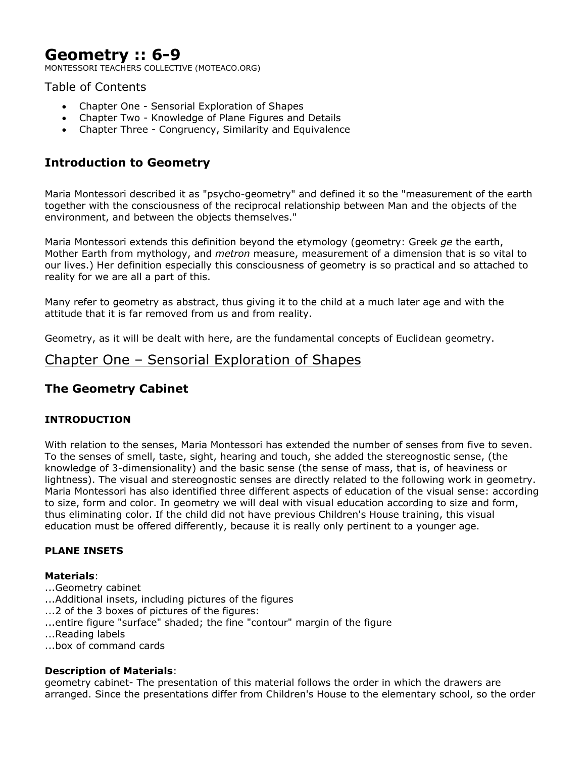# **Geometry :: 6-9**

MONTESSORI TEACHERS COLLECTIVE (MOTEACO.ORG)

# Table of Contents

- Chapter One Sensorial Exploration of Shapes
- Chapter Two Knowledge of Plane Figures and Details
- Chapter Three Congruency, Similarity and Equivalence

# **Introduction to Geometry**

Maria Montessori described it as "psycho-geometry" and defined it so the "measurement of the earth together with the consciousness of the reciprocal relationship between Man and the objects of the environment, and between the objects themselves."

Maria Montessori extends this definition beyond the etymology (geometry: Greek *ge* the earth, Mother Earth from mythology, and *metron* measure, measurement of a dimension that is so vital to our lives.) Her definition especially this consciousness of geometry is so practical and so attached to reality for we are all a part of this.

Many refer to geometry as abstract, thus giving it to the child at a much later age and with the attitude that it is far removed from us and from reality.

Geometry, as it will be dealt with here, are the fundamental concepts of Euclidean geometry.

# Chapter One – Sensorial Exploration of Shapes

# **The Geometry Cabinet**

# **INTRODUCTION**

With relation to the senses, Maria Montessori has extended the number of senses from five to seven. To the senses of smell, taste, sight, hearing and touch, she added the stereognostic sense, (the knowledge of 3-dimensionality) and the basic sense (the sense of mass, that is, of heaviness or lightness). The visual and stereognostic senses are directly related to the following work in geometry. Maria Montessori has also identified three different aspects of education of the visual sense: according to size, form and color. In geometry we will deal with visual education according to size and form, thus eliminating color. If the child did not have previous Children's House training, this visual education must be offered differently, because it is really only pertinent to a younger age.

#### **PLANE INSETS**

#### **Materials**:

- ...Geometry cabinet
- ...Additional insets, including pictures of the figures
- ...2 of the 3 boxes of pictures of the figures:
- ...entire figure "surface" shaded; the fine "contour" margin of the figure
- ...Reading labels
- ...box of command cards

#### **Description of Materials**:

geometry cabinet- The presentation of this material follows the order in which the drawers are arranged. Since the presentations differ from Children's House to the elementary school, so the order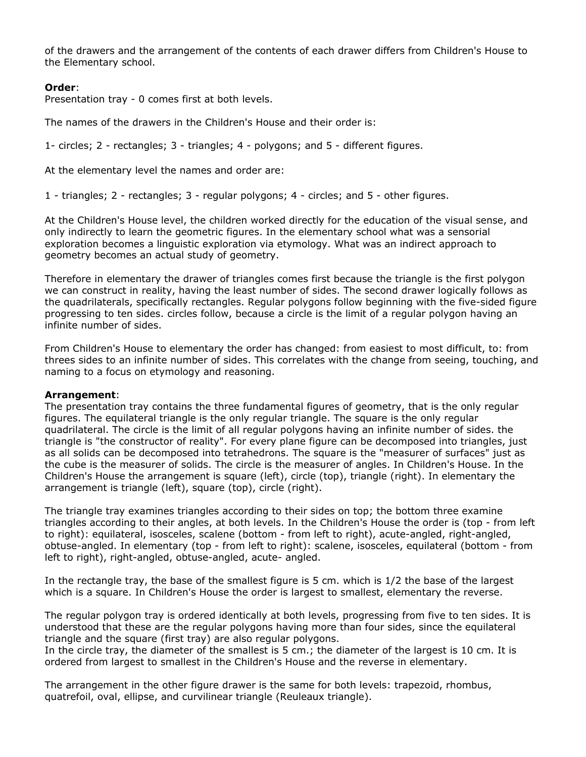of the drawers and the arrangement of the contents of each drawer differs from Children's House to the Elementary school.

### **Order**:

Presentation tray - 0 comes first at both levels.

The names of the drawers in the Children's House and their order is:

1- circles; 2 - rectangles; 3 - triangles; 4 - polygons; and 5 - different figures.

At the elementary level the names and order are:

1 - triangles; 2 - rectangles; 3 - regular polygons; 4 - circles; and 5 - other figures.

At the Children's House level, the children worked directly for the education of the visual sense, and only indirectly to learn the geometric figures. In the elementary school what was a sensorial exploration becomes a linguistic exploration via etymology. What was an indirect approach to geometry becomes an actual study of geometry.

Therefore in elementary the drawer of triangles comes first because the triangle is the first polygon we can construct in reality, having the least number of sides. The second drawer logically follows as the quadrilaterals, specifically rectangles. Regular polygons follow beginning with the five-sided figure progressing to ten sides. circles follow, because a circle is the limit of a regular polygon having an infinite number of sides.

From Children's House to elementary the order has changed: from easiest to most difficult, to: from threes sides to an infinite number of sides. This correlates with the change from seeing, touching, and naming to a focus on etymology and reasoning.

#### **Arrangement**:

The presentation tray contains the three fundamental figures of geometry, that is the only regular figures. The equilateral triangle is the only regular triangle. The square is the only regular quadrilateral. The circle is the limit of all regular polygons having an infinite number of sides. the triangle is "the constructor of reality". For every plane figure can be decomposed into triangles, just as all solids can be decomposed into tetrahedrons. The square is the "measurer of surfaces" just as the cube is the measurer of solids. The circle is the measurer of angles. In Children's House. In the Children's House the arrangement is square (left), circle (top), triangle (right). In elementary the arrangement is triangle (left), square (top), circle (right).

The triangle tray examines triangles according to their sides on top; the bottom three examine triangles according to their angles, at both levels. In the Children's House the order is (top - from left to right): equilateral, isosceles, scalene (bottom - from left to right), acute-angled, right-angled, obtuse-angled. In elementary (top - from left to right): scalene, isosceles, equilateral (bottom - from left to right), right-angled, obtuse-angled, acute- angled.

In the rectangle tray, the base of the smallest figure is 5 cm. which is 1/2 the base of the largest which is a square. In Children's House the order is largest to smallest, elementary the reverse.

The regular polygon tray is ordered identically at both levels, progressing from five to ten sides. It is understood that these are the regular polygons having more than four sides, since the equilateral triangle and the square (first tray) are also regular polygons.

In the circle tray, the diameter of the smallest is 5 cm.; the diameter of the largest is 10 cm. It is ordered from largest to smallest in the Children's House and the reverse in elementary.

The arrangement in the other figure drawer is the same for both levels: trapezoid, rhombus, quatrefoil, oval, ellipse, and curvilinear triangle (Reuleaux triangle).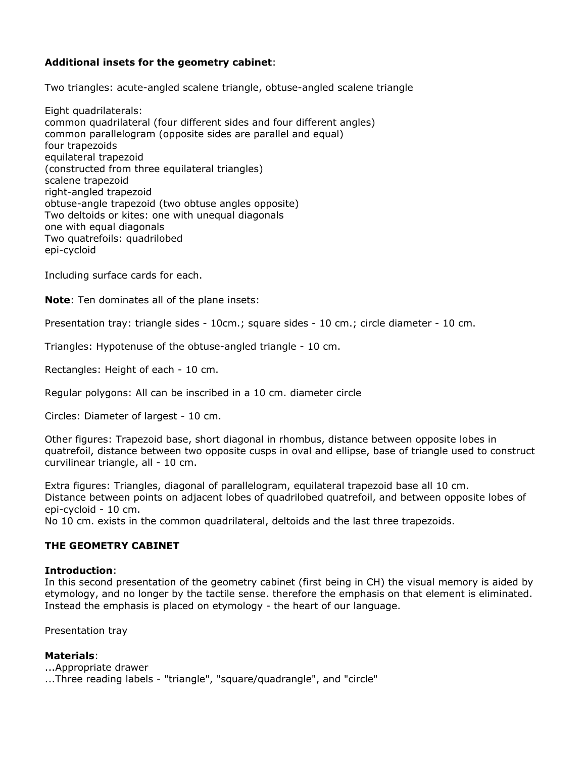# **Additional insets for the geometry cabinet**:

Two triangles: acute-angled scalene triangle, obtuse-angled scalene triangle

Eight quadrilaterals: common quadrilateral (four different sides and four different angles) common parallelogram (opposite sides are parallel and equal) four trapezoids equilateral trapezoid (constructed from three equilateral triangles) scalene trapezoid right-angled trapezoid obtuse-angle trapezoid (two obtuse angles opposite) Two deltoids or kites: one with unequal diagonals one with equal diagonals Two quatrefoils: quadrilobed epi-cycloid

Including surface cards for each.

**Note**: Ten dominates all of the plane insets:

Presentation tray: triangle sides - 10cm.; square sides - 10 cm.; circle diameter - 10 cm.

Triangles: Hypotenuse of the obtuse-angled triangle - 10 cm.

Rectangles: Height of each - 10 cm.

Regular polygons: All can be inscribed in a 10 cm. diameter circle

Circles: Diameter of largest - 10 cm.

Other figures: Trapezoid base, short diagonal in rhombus, distance between opposite lobes in quatrefoil, distance between two opposite cusps in oval and ellipse, base of triangle used to construct curvilinear triangle, all - 10 cm.

Extra figures: Triangles, diagonal of parallelogram, equilateral trapezoid base all 10 cm. Distance between points on adjacent lobes of quadrilobed quatrefoil, and between opposite lobes of epi-cycloid - 10 cm.

No 10 cm. exists in the common quadrilateral, deltoids and the last three trapezoids.

#### **THE GEOMETRY CABINET**

#### **Introduction**:

In this second presentation of the geometry cabinet (first being in CH) the visual memory is aided by etymology, and no longer by the tactile sense. therefore the emphasis on that element is eliminated. Instead the emphasis is placed on etymology - the heart of our language.

Presentation tray

#### **Materials**:

...Appropriate drawer ...Three reading labels - "triangle", "square/quadrangle", and "circle"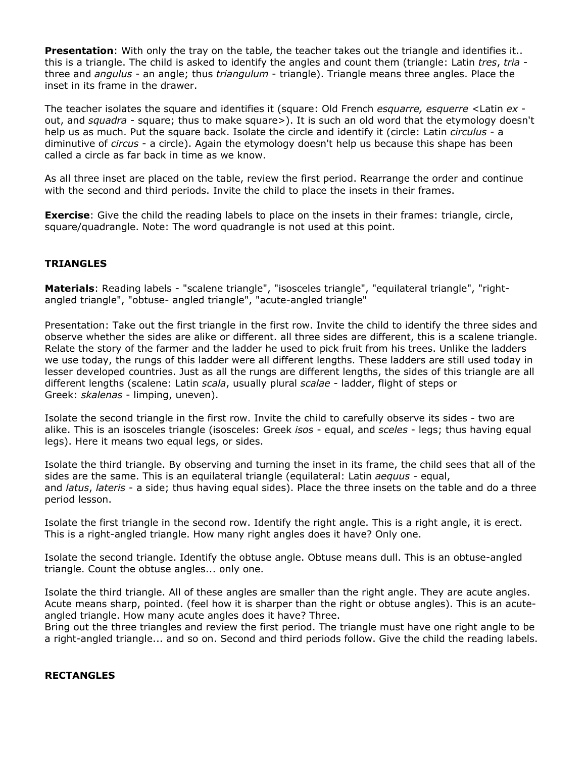**Presentation**: With only the tray on the table, the teacher takes out the triangle and identifies it.. this is a triangle. The child is asked to identify the angles and count them (triangle: Latin *tres*, *tria* three and *angulus* - an angle; thus *triangulum* - triangle). Triangle means three angles. Place the inset in its frame in the drawer.

The teacher isolates the square and identifies it (square: Old French *esquarre, esquerre* <Latin *ex* out, and *squadra* - square; thus to make square>). It is such an old word that the etymology doesn't help us as much. Put the square back. Isolate the circle and identify it (circle: Latin *circulus* - a diminutive of *circus* - a circle). Again the etymology doesn't help us because this shape has been called a circle as far back in time as we know.

As all three inset are placed on the table, review the first period. Rearrange the order and continue with the second and third periods. Invite the child to place the insets in their frames.

**Exercise**: Give the child the reading labels to place on the insets in their frames: triangle, circle, square/quadrangle. Note: The word quadrangle is not used at this point.

# **TRIANGLES**

**Materials**: Reading labels - "scalene triangle", "isosceles triangle", "equilateral triangle", "rightangled triangle", "obtuse- angled triangle", "acute-angled triangle"

Presentation: Take out the first triangle in the first row. Invite the child to identify the three sides and observe whether the sides are alike or different. all three sides are different, this is a scalene triangle. Relate the story of the farmer and the ladder he used to pick fruit from his trees. Unlike the ladders we use today, the rungs of this ladder were all different lengths. These ladders are still used today in lesser developed countries. Just as all the rungs are different lengths, the sides of this triangle are all different lengths (scalene: Latin *scala*, usually plural *scalae* - ladder, flight of steps or Greek: *skalenas* - limping, uneven).

Isolate the second triangle in the first row. Invite the child to carefully observe its sides - two are alike. This is an isosceles triangle (isosceles: Greek *isos* - equal, and *sceles* - legs; thus having equal legs). Here it means two equal legs, or sides.

Isolate the third triangle. By observing and turning the inset in its frame, the child sees that all of the sides are the same. This is an equilateral triangle (equilateral: Latin *aequus* - equal, and *latus*, *lateris* - a side; thus having equal sides). Place the three insets on the table and do a three period lesson.

Isolate the first triangle in the second row. Identify the right angle. This is a right angle, it is erect. This is a right-angled triangle. How many right angles does it have? Only one.

Isolate the second triangle. Identify the obtuse angle. Obtuse means dull. This is an obtuse-angled triangle. Count the obtuse angles... only one.

Isolate the third triangle. All of these angles are smaller than the right angle. They are acute angles. Acute means sharp, pointed. (feel how it is sharper than the right or obtuse angles). This is an acuteangled triangle. How many acute angles does it have? Three.

Bring out the three triangles and review the first period. The triangle must have one right angle to be a right-angled triangle... and so on. Second and third periods follow. Give the child the reading labels.

#### **RECTANGLES**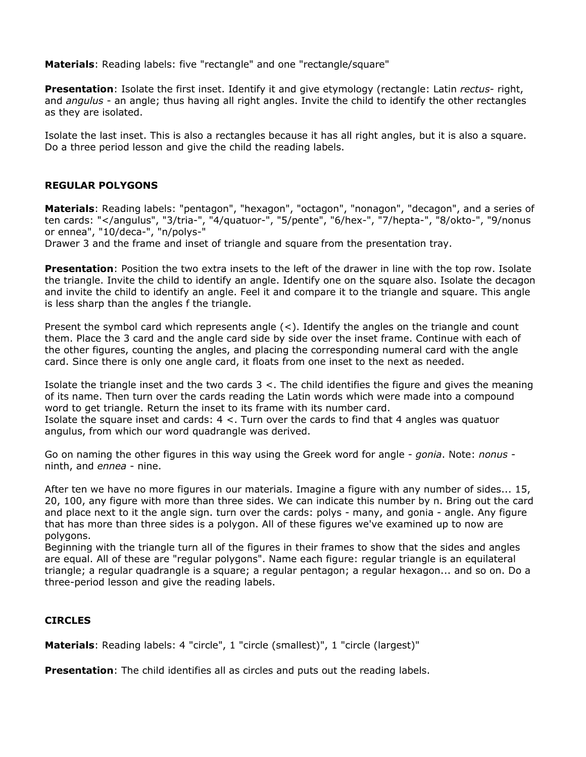**Materials**: Reading labels: five "rectangle" and one "rectangle/square"

**Presentation**: Isolate the first inset. Identify it and give etymology (rectangle: Latin *rectus*- right, and *angulus* - an angle; thus having all right angles. Invite the child to identify the other rectangles as they are isolated.

Isolate the last inset. This is also a rectangles because it has all right angles, but it is also a square. Do a three period lesson and give the child the reading labels.

### **REGULAR POLYGONS**

**Materials**: Reading labels: "pentagon", "hexagon", "octagon", "nonagon", "decagon", and a series of ten cards: "</angulus", "3/tria-", "4/quatuor-", "5/pente", "6/hex-", "7/hepta-", "8/okto-", "9/nonus or ennea", "10/deca-", "n/polys-"

Drawer 3 and the frame and inset of triangle and square from the presentation tray.

**Presentation**: Position the two extra insets to the left of the drawer in line with the top row. Isolate the triangle. Invite the child to identify an angle. Identify one on the square also. Isolate the decagon and invite the child to identify an angle. Feel it and compare it to the triangle and square. This angle is less sharp than the angles f the triangle.

Present the symbol card which represents angle (<). Identify the angles on the triangle and count them. Place the 3 card and the angle card side by side over the inset frame. Continue with each of the other figures, counting the angles, and placing the corresponding numeral card with the angle card. Since there is only one angle card, it floats from one inset to the next as needed.

Isolate the triangle inset and the two cards 3 <. The child identifies the figure and gives the meaning of its name. Then turn over the cards reading the Latin words which were made into a compound word to get triangle. Return the inset to its frame with its number card. Isolate the square inset and cards:  $4 <$ . Turn over the cards to find that 4 angles was quatuor angulus, from which our word quadrangle was derived.

Go on naming the other figures in this way using the Greek word for angle - *gonia*. Note: *nonus* ninth, and *ennea* - nine.

After ten we have no more figures in our materials. Imagine a figure with any number of sides... 15, 20, 100, any figure with more than three sides. We can indicate this number by n. Bring out the card and place next to it the angle sign. turn over the cards: polys - many, and gonia - angle. Any figure that has more than three sides is a polygon. All of these figures we've examined up to now are polygons.

Beginning with the triangle turn all of the figures in their frames to show that the sides and angles are equal. All of these are "regular polygons". Name each figure: regular triangle is an equilateral triangle; a regular quadrangle is a square; a regular pentagon; a regular hexagon... and so on. Do a three-period lesson and give the reading labels.

# **CIRCLES**

**Materials**: Reading labels: 4 "circle", 1 "circle (smallest)", 1 "circle (largest)"

**Presentation**: The child identifies all as circles and puts out the reading labels.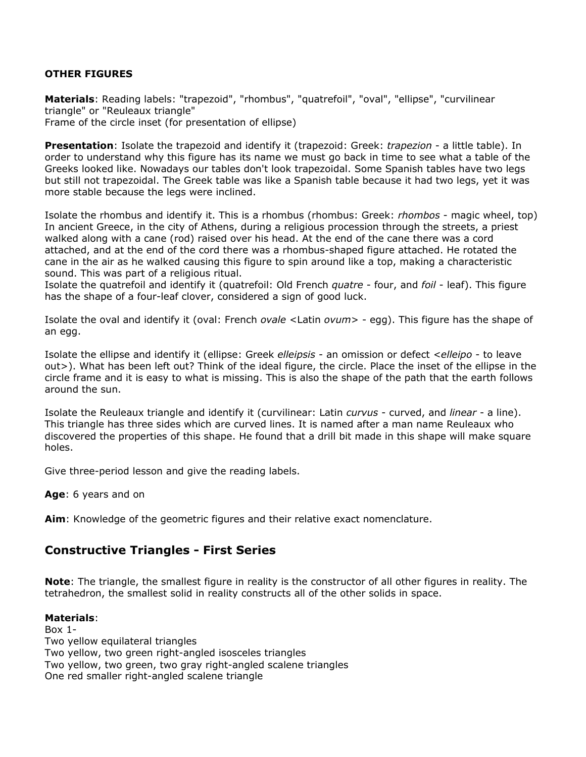# **OTHER FIGURES**

**Materials**: Reading labels: "trapezoid", "rhombus", "quatrefoil", "oval", "ellipse", "curvilinear triangle" or "Reuleaux triangle" Frame of the circle inset (for presentation of ellipse)

**Presentation**: Isolate the trapezoid and identify it (trapezoid: Greek: *trapezion* - a little table). In order to understand why this figure has its name we must go back in time to see what a table of the Greeks looked like. Nowadays our tables don't look trapezoidal. Some Spanish tables have two legs but still not trapezoidal. The Greek table was like a Spanish table because it had two legs, yet it was more stable because the legs were inclined.

Isolate the rhombus and identify it. This is a rhombus (rhombus: Greek: *rhombos* - magic wheel, top) In ancient Greece, in the city of Athens, during a religious procession through the streets, a priest walked along with a cane (rod) raised over his head. At the end of the cane there was a cord attached, and at the end of the cord there was a rhombus-shaped figure attached. He rotated the cane in the air as he walked causing this figure to spin around like a top, making a characteristic sound. This was part of a religious ritual.

Isolate the quatrefoil and identify it (quatrefoil: Old French *quatre* - four, and *foil* - leaf). This figure has the shape of a four-leaf clover, considered a sign of good luck.

Isolate the oval and identify it (oval: French *ovale* <Latin *ovum*> - egg). This figure has the shape of an egg.

Isolate the ellipse and identify it (ellipse: Greek *elleipsis* - an omission or defect <*elleipo* - to leave out>). What has been left out? Think of the ideal figure, the circle. Place the inset of the ellipse in the circle frame and it is easy to what is missing. This is also the shape of the path that the earth follows around the sun.

Isolate the Reuleaux triangle and identify it (curvilinear: Latin *curvus* - curved, and *linear* - a line). This triangle has three sides which are curved lines. It is named after a man name Reuleaux who discovered the properties of this shape. He found that a drill bit made in this shape will make square holes.

Give three-period lesson and give the reading labels.

**Age**: 6 years and on

**Aim**: Knowledge of the geometric figures and their relative exact nomenclature.

# **Constructive Triangles - First Series**

**Note**: The triangle, the smallest figure in reality is the constructor of all other figures in reality. The tetrahedron, the smallest solid in reality constructs all of the other solids in space.

#### **Materials**:

 $Box 1 -$ Two yellow equilateral triangles Two yellow, two green right-angled isosceles triangles Two yellow, two green, two gray right-angled scalene triangles One red smaller right-angled scalene triangle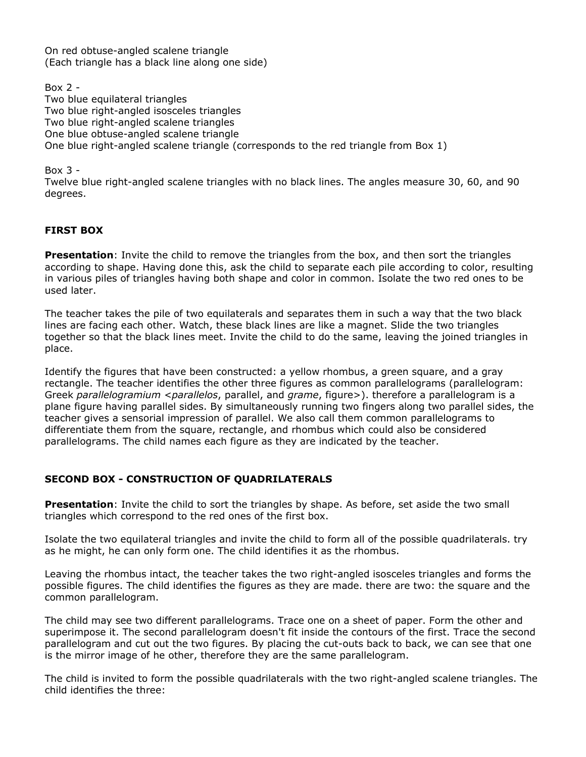On red obtuse-angled scalene triangle (Each triangle has a black line along one side)

Box 2 - Two blue equilateral triangles Two blue right-angled isosceles triangles Two blue right-angled scalene triangles One blue obtuse-angled scalene triangle One blue right-angled scalene triangle (corresponds to the red triangle from Box 1)

Box  $3 -$ 

Twelve blue right-angled scalene triangles with no black lines. The angles measure 30, 60, and 90 degrees.

# **FIRST BOX**

**Presentation**: Invite the child to remove the triangles from the box, and then sort the triangles according to shape. Having done this, ask the child to separate each pile according to color, resulting in various piles of triangles having both shape and color in common. Isolate the two red ones to be used later.

The teacher takes the pile of two equilaterals and separates them in such a way that the two black lines are facing each other. Watch, these black lines are like a magnet. Slide the two triangles together so that the black lines meet. Invite the child to do the same, leaving the joined triangles in place.

Identify the figures that have been constructed: a yellow rhombus, a green square, and a gray rectangle. The teacher identifies the other three figures as common parallelograms (parallelogram: Greek *parallelogramium* <*parallelos*, parallel, and *grame*, figure>). therefore a parallelogram is a plane figure having parallel sides. By simultaneously running two fingers along two parallel sides, the teacher gives a sensorial impression of parallel. We also call them common parallelograms to differentiate them from the square, rectangle, and rhombus which could also be considered parallelograms. The child names each figure as they are indicated by the teacher.

# **SECOND BOX - CONSTRUCTION OF QUADRILATERALS**

**Presentation**: Invite the child to sort the triangles by shape. As before, set aside the two small triangles which correspond to the red ones of the first box.

Isolate the two equilateral triangles and invite the child to form all of the possible quadrilaterals. try as he might, he can only form one. The child identifies it as the rhombus.

Leaving the rhombus intact, the teacher takes the two right-angled isosceles triangles and forms the possible figures. The child identifies the figures as they are made. there are two: the square and the common parallelogram.

The child may see two different parallelograms. Trace one on a sheet of paper. Form the other and superimpose it. The second parallelogram doesn't fit inside the contours of the first. Trace the second parallelogram and cut out the two figures. By placing the cut-outs back to back, we can see that one is the mirror image of he other, therefore they are the same parallelogram.

The child is invited to form the possible quadrilaterals with the two right-angled scalene triangles. The child identifies the three: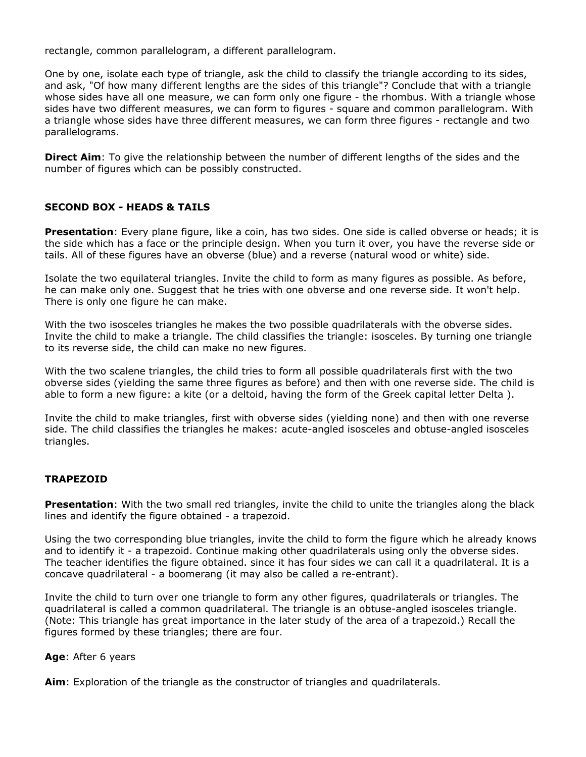rectangle, common parallelogram, a different parallelogram.

One by one, isolate each type of triangle, ask the child to classify the triangle according to its sides, and ask, "Of how many different lengths are the sides of this triangle"? Conclude that with a triangle whose sides have all one measure, we can form only one figure - the rhombus. With a triangle whose sides have two different measures, we can form to figures - square and common parallelogram. With a triangle whose sides have three different measures, we can form three figures - rectangle and two parallelograms.

**Direct Aim**: To give the relationship between the number of different lengths of the sides and the number of figures which can be possibly constructed.

### **SECOND BOX - HEADS & TAILS**

**Presentation**: Every plane figure, like a coin, has two sides. One side is called obverse or heads; it is the side which has a face or the principle design. When you turn it over, you have the reverse side or tails. All of these figures have an obverse (blue) and a reverse (natural wood or white) side.

Isolate the two equilateral triangles. Invite the child to form as many figures as possible. As before, he can make only one. Suggest that he tries with one obverse and one reverse side. It won't help. There is only one figure he can make.

With the two isosceles triangles he makes the two possible quadrilaterals with the obverse sides. Invite the child to make a triangle. The child classifies the triangle: isosceles. By turning one triangle to its reverse side, the child can make no new figures.

With the two scalene triangles, the child tries to form all possible quadrilaterals first with the two obverse sides (yielding the same three figures as before) and then with one reverse side. The child is able to form a new figure: a kite (or a deltoid, having the form of the Greek capital letter Delta ).

Invite the child to make triangles, first with obverse sides (yielding none) and then with one reverse side. The child classifies the triangles he makes: acute-angled isosceles and obtuse-angled isosceles triangles.

#### **TRAPEZOID**

**Presentation**: With the two small red triangles, invite the child to unite the triangles along the black lines and identify the figure obtained - a trapezoid.

Using the two corresponding blue triangles, invite the child to form the figure which he already knows and to identify it - a trapezoid. Continue making other quadrilaterals using only the obverse sides. The teacher identifies the figure obtained. since it has four sides we can call it a quadrilateral. It is a concave quadrilateral - a boomerang (it may also be called a re-entrant).

Invite the child to turn over one triangle to form any other figures, quadrilaterals or triangles. The quadrilateral is called a common quadrilateral. The triangle is an obtuse-angled isosceles triangle. (Note: This triangle has great importance in the later study of the area of a trapezoid.) Recall the figures formed by these triangles; there are four.

#### **Age**: After 6 years

**Aim**: Exploration of the triangle as the constructor of triangles and quadrilaterals.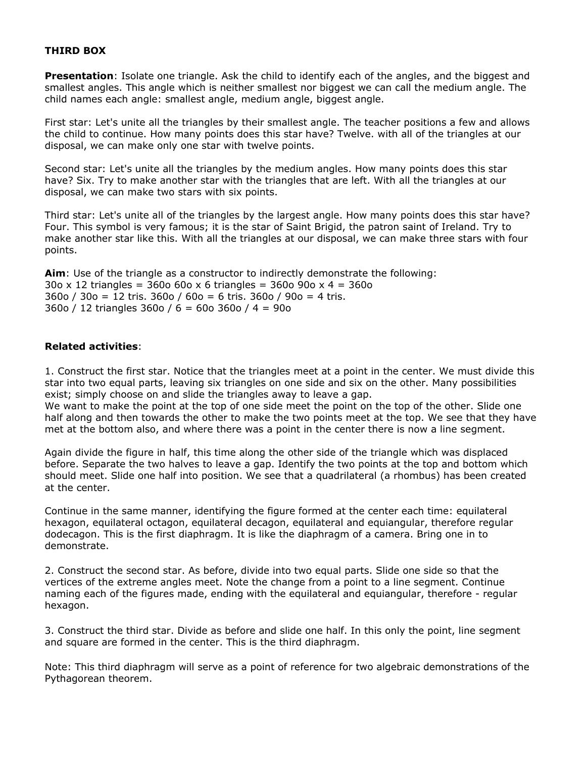### **THIRD BOX**

**Presentation**: Isolate one triangle. Ask the child to identify each of the angles, and the biggest and smallest angles. This angle which is neither smallest nor biggest we can call the medium angle. The child names each angle: smallest angle, medium angle, biggest angle.

First star: Let's unite all the triangles by their smallest angle. The teacher positions a few and allows the child to continue. How many points does this star have? Twelve. with all of the triangles at our disposal, we can make only one star with twelve points.

Second star: Let's unite all the triangles by the medium angles. How many points does this star have? Six. Try to make another star with the triangles that are left. With all the triangles at our disposal, we can make two stars with six points.

Third star: Let's unite all of the triangles by the largest angle. How many points does this star have? Four. This symbol is very famous; it is the star of Saint Brigid, the patron saint of Ireland. Try to make another star like this. With all the triangles at our disposal, we can make three stars with four points.

**Aim**: Use of the triangle as a constructor to indirectly demonstrate the following: 30o x 12 triangles = 360o 60o x 6 triangles = 360o 90o x 4 = 360o 360o / 30o = 12 tris. 360o / 60o = 6 tris. 360o / 90o = 4 tris. 360o / 12 triangles 360o / 6 = 60o 360o / 4 = 90o

#### **Related activities**:

1. Construct the first star. Notice that the triangles meet at a point in the center. We must divide this star into two equal parts, leaving six triangles on one side and six on the other. Many possibilities exist; simply choose on and slide the triangles away to leave a gap.

We want to make the point at the top of one side meet the point on the top of the other. Slide one half along and then towards the other to make the two points meet at the top. We see that they have met at the bottom also, and where there was a point in the center there is now a line segment.

Again divide the figure in half, this time along the other side of the triangle which was displaced before. Separate the two halves to leave a gap. Identify the two points at the top and bottom which should meet. Slide one half into position. We see that a quadrilateral (a rhombus) has been created at the center.

Continue in the same manner, identifying the figure formed at the center each time: equilateral hexagon, equilateral octagon, equilateral decagon, equilateral and equiangular, therefore regular dodecagon. This is the first diaphragm. It is like the diaphragm of a camera. Bring one in to demonstrate.

2. Construct the second star. As before, divide into two equal parts. Slide one side so that the vertices of the extreme angles meet. Note the change from a point to a line segment. Continue naming each of the figures made, ending with the equilateral and equiangular, therefore - regular hexagon.

3. Construct the third star. Divide as before and slide one half. In this only the point, line segment and square are formed in the center. This is the third diaphragm.

Note: This third diaphragm will serve as a point of reference for two algebraic demonstrations of the Pythagorean theorem.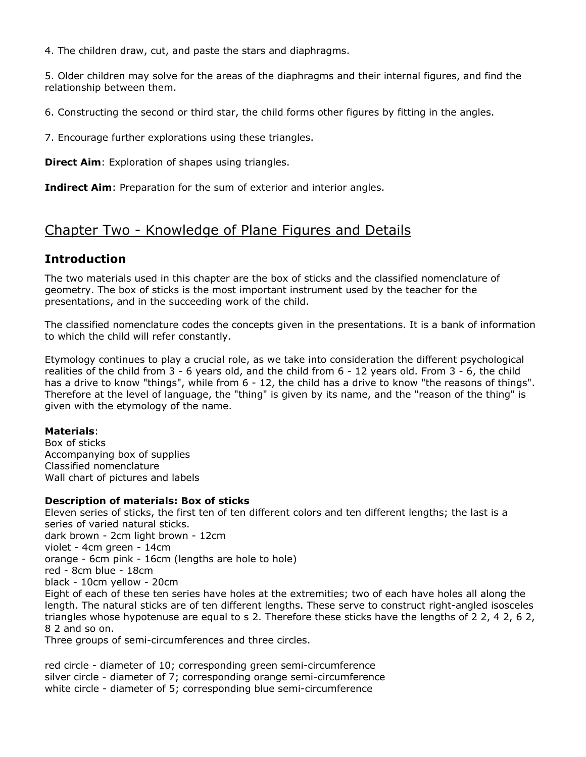4. The children draw, cut, and paste the stars and diaphragms.

5. Older children may solve for the areas of the diaphragms and their internal figures, and find the relationship between them.

6. Constructing the second or third star, the child forms other figures by fitting in the angles.

7. Encourage further explorations using these triangles.

**Direct Aim:** Exploration of shapes using triangles.

**Indirect Aim**: Preparation for the sum of exterior and interior angles.

# Chapter Two - Knowledge of Plane Figures and Details

# **Introduction**

The two materials used in this chapter are the box of sticks and the classified nomenclature of geometry. The box of sticks is the most important instrument used by the teacher for the presentations, and in the succeeding work of the child.

The classified nomenclature codes the concepts given in the presentations. It is a bank of information to which the child will refer constantly.

Etymology continues to play a crucial role, as we take into consideration the different psychological realities of the child from 3 - 6 years old, and the child from 6 - 12 years old. From 3 - 6, the child has a drive to know "things", while from 6 - 12, the child has a drive to know "the reasons of things". Therefore at the level of language, the "thing" is given by its name, and the "reason of the thing" is given with the etymology of the name.

# **Materials**:

Box of sticks Accompanying box of supplies Classified nomenclature Wall chart of pictures and labels

# **Description of materials: Box of sticks**

Eleven series of sticks, the first ten of ten different colors and ten different lengths; the last is a series of varied natural sticks. dark brown - 2cm light brown - 12cm violet - 4cm green - 14cm orange - 6cm pink - 16cm (lengths are hole to hole) red - 8cm blue - 18cm black - 10cm yellow - 20cm Eight of each of these ten series have holes at the extremities; two of each have holes all along the length. The natural sticks are of ten different lengths. These serve to construct right-angled isosceles triangles whose hypotenuse are equal to s 2. Therefore these sticks have the lengths of 2 2, 4 2, 6 2, 8 2 and so on. Three groups of semi-circumferences and three circles.

red circle - diameter of 10; corresponding green semi-circumference silver circle - diameter of 7; corresponding orange semi-circumference white circle - diameter of 5; corresponding blue semi-circumference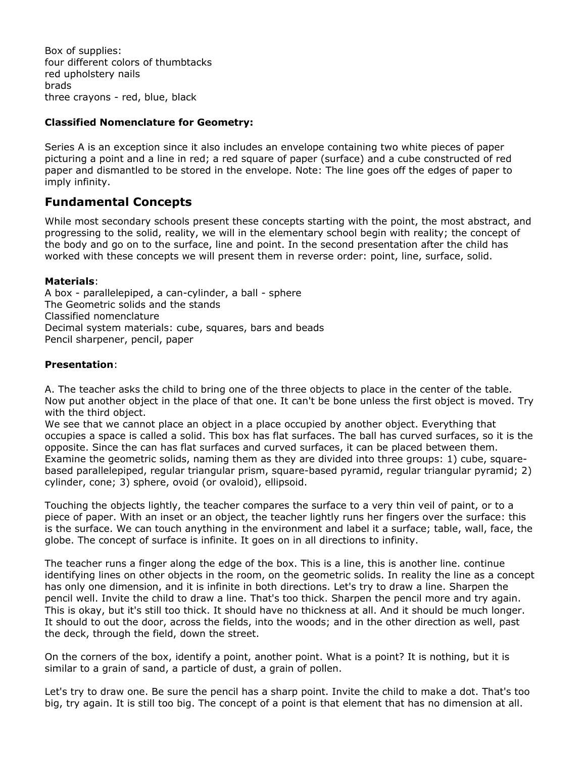Box of supplies: four different colors of thumbtacks red upholstery nails brads three crayons - red, blue, black

### **Classified Nomenclature for Geometry:**

Series A is an exception since it also includes an envelope containing two white pieces of paper picturing a point and a line in red; a red square of paper (surface) and a cube constructed of red paper and dismantled to be stored in the envelope. Note: The line goes off the edges of paper to imply infinity.

# **Fundamental Concepts**

While most secondary schools present these concepts starting with the point, the most abstract, and progressing to the solid, reality, we will in the elementary school begin with reality; the concept of the body and go on to the surface, line and point. In the second presentation after the child has worked with these concepts we will present them in reverse order: point, line, surface, solid.

#### **Materials**:

A box - parallelepiped, a can-cylinder, a ball - sphere The Geometric solids and the stands Classified nomenclature Decimal system materials: cube, squares, bars and beads Pencil sharpener, pencil, paper

#### **Presentation**:

A. The teacher asks the child to bring one of the three objects to place in the center of the table. Now put another object in the place of that one. It can't be bone unless the first object is moved. Try with the third object.

We see that we cannot place an object in a place occupied by another object. Everything that occupies a space is called a solid. This box has flat surfaces. The ball has curved surfaces, so it is the opposite. Since the can has flat surfaces and curved surfaces, it can be placed between them. Examine the geometric solids, naming them as they are divided into three groups: 1) cube, squarebased parallelepiped, regular triangular prism, square-based pyramid, regular triangular pyramid; 2) cylinder, cone; 3) sphere, ovoid (or ovaloid), ellipsoid.

Touching the objects lightly, the teacher compares the surface to a very thin veil of paint, or to a piece of paper. With an inset or an object, the teacher lightly runs her fingers over the surface: this is the surface. We can touch anything in the environment and label it a surface; table, wall, face, the globe. The concept of surface is infinite. It goes on in all directions to infinity.

The teacher runs a finger along the edge of the box. This is a line, this is another line. continue identifying lines on other objects in the room, on the geometric solids. In reality the line as a concept has only one dimension, and it is infinite in both directions. Let's try to draw a line. Sharpen the pencil well. Invite the child to draw a line. That's too thick. Sharpen the pencil more and try again. This is okay, but it's still too thick. It should have no thickness at all. And it should be much longer. It should to out the door, across the fields, into the woods; and in the other direction as well, past the deck, through the field, down the street.

On the corners of the box, identify a point, another point. What is a point? It is nothing, but it is similar to a grain of sand, a particle of dust, a grain of pollen.

Let's try to draw one. Be sure the pencil has a sharp point. Invite the child to make a dot. That's too big, try again. It is still too big. The concept of a point is that element that has no dimension at all.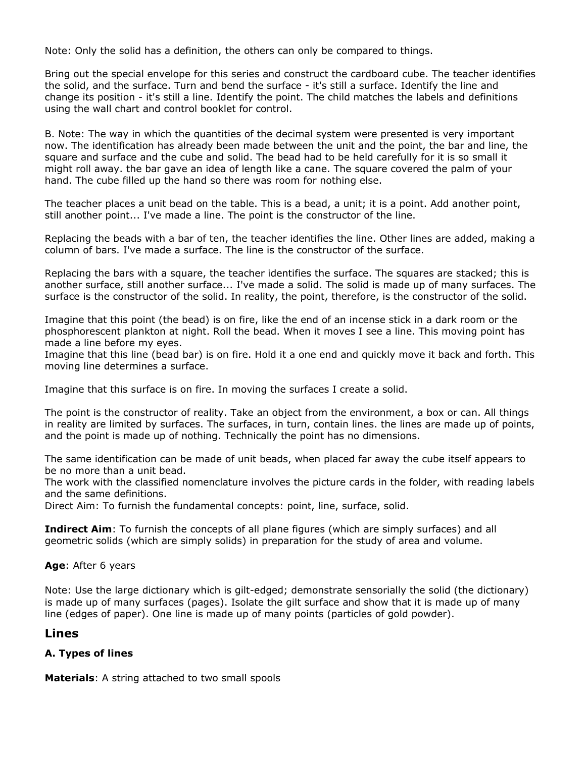Note: Only the solid has a definition, the others can only be compared to things.

Bring out the special envelope for this series and construct the cardboard cube. The teacher identifies the solid, and the surface. Turn and bend the surface - it's still a surface. Identify the line and change its position - it's still a line. Identify the point. The child matches the labels and definitions using the wall chart and control booklet for control.

B. Note: The way in which the quantities of the decimal system were presented is very important now. The identification has already been made between the unit and the point, the bar and line, the square and surface and the cube and solid. The bead had to be held carefully for it is so small it might roll away. the bar gave an idea of length like a cane. The square covered the palm of your hand. The cube filled up the hand so there was room for nothing else.

The teacher places a unit bead on the table. This is a bead, a unit; it is a point. Add another point, still another point... I've made a line. The point is the constructor of the line.

Replacing the beads with a bar of ten, the teacher identifies the line. Other lines are added, making a column of bars. I've made a surface. The line is the constructor of the surface.

Replacing the bars with a square, the teacher identifies the surface. The squares are stacked; this is another surface, still another surface... I've made a solid. The solid is made up of many surfaces. The surface is the constructor of the solid. In reality, the point, therefore, is the constructor of the solid.

Imagine that this point (the bead) is on fire, like the end of an incense stick in a dark room or the phosphorescent plankton at night. Roll the bead. When it moves I see a line. This moving point has made a line before my eyes.

Imagine that this line (bead bar) is on fire. Hold it a one end and quickly move it back and forth. This moving line determines a surface.

Imagine that this surface is on fire. In moving the surfaces I create a solid.

The point is the constructor of reality. Take an object from the environment, a box or can. All things in reality are limited by surfaces. The surfaces, in turn, contain lines. the lines are made up of points, and the point is made up of nothing. Technically the point has no dimensions.

The same identification can be made of unit beads, when placed far away the cube itself appears to be no more than a unit bead.

The work with the classified nomenclature involves the picture cards in the folder, with reading labels and the same definitions.

Direct Aim: To furnish the fundamental concepts: point, line, surface, solid.

**Indirect Aim**: To furnish the concepts of all plane figures (which are simply surfaces) and all geometric solids (which are simply solids) in preparation for the study of area and volume.

**Age**: After 6 years

Note: Use the large dictionary which is gilt-edged; demonstrate sensorially the solid (the dictionary) is made up of many surfaces (pages). Isolate the gilt surface and show that it is made up of many line (edges of paper). One line is made up of many points (particles of gold powder).

# **Lines**

# **A. Types of lines**

**Materials**: A string attached to two small spools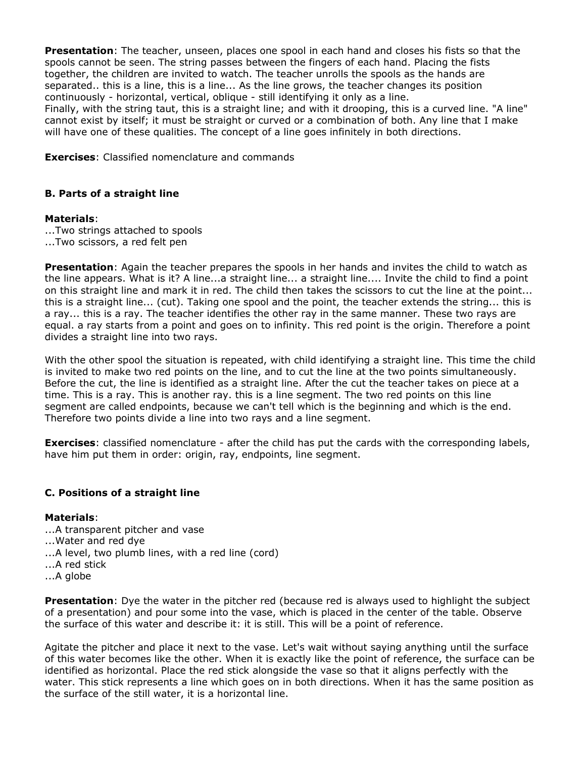**Presentation**: The teacher, unseen, places one spool in each hand and closes his fists so that the spools cannot be seen. The string passes between the fingers of each hand. Placing the fists together, the children are invited to watch. The teacher unrolls the spools as the hands are separated.. this is a line, this is a line... As the line grows, the teacher changes its position continuously - horizontal, vertical, oblique - still identifying it only as a line.

Finally, with the string taut, this is a straight line; and with it drooping, this is a curved line. "A line" cannot exist by itself; it must be straight or curved or a combination of both. Any line that I make will have one of these qualities. The concept of a line goes infinitely in both directions.

**Exercises**: Classified nomenclature and commands

#### **B. Parts of a straight line**

#### **Materials**:

...Two strings attached to spools ...Two scissors, a red felt pen

**Presentation**: Again the teacher prepares the spools in her hands and invites the child to watch as the line appears. What is it? A line...a straight line... a straight line.... Invite the child to find a point on this straight line and mark it in red. The child then takes the scissors to cut the line at the point... this is a straight line... (cut). Taking one spool and the point, the teacher extends the string... this is a ray... this is a ray. The teacher identifies the other ray in the same manner. These two rays are equal. a ray starts from a point and goes on to infinity. This red point is the origin. Therefore a point divides a straight line into two rays.

With the other spool the situation is repeated, with child identifying a straight line. This time the child is invited to make two red points on the line, and to cut the line at the two points simultaneously. Before the cut, the line is identified as a straight line. After the cut the teacher takes on piece at a time. This is a ray. This is another ray. this is a line segment. The two red points on this line segment are called endpoints, because we can't tell which is the beginning and which is the end. Therefore two points divide a line into two rays and a line segment.

**Exercises**: classified nomenclature - after the child has put the cards with the corresponding labels, have him put them in order: origin, ray, endpoints, line segment.

#### **C. Positions of a straight line**

#### **Materials**:

- ...A transparent pitcher and vase
- ...Water and red dye
- ...A level, two plumb lines, with a red line (cord)
- ...A red stick
- ...A globe

**Presentation**: Dye the water in the pitcher red (because red is always used to highlight the subject of a presentation) and pour some into the vase, which is placed in the center of the table. Observe the surface of this water and describe it: it is still. This will be a point of reference.

Agitate the pitcher and place it next to the vase. Let's wait without saying anything until the surface of this water becomes like the other. When it is exactly like the point of reference, the surface can be identified as horizontal. Place the red stick alongside the vase so that it aligns perfectly with the water. This stick represents a line which goes on in both directions. When it has the same position as the surface of the still water, it is a horizontal line.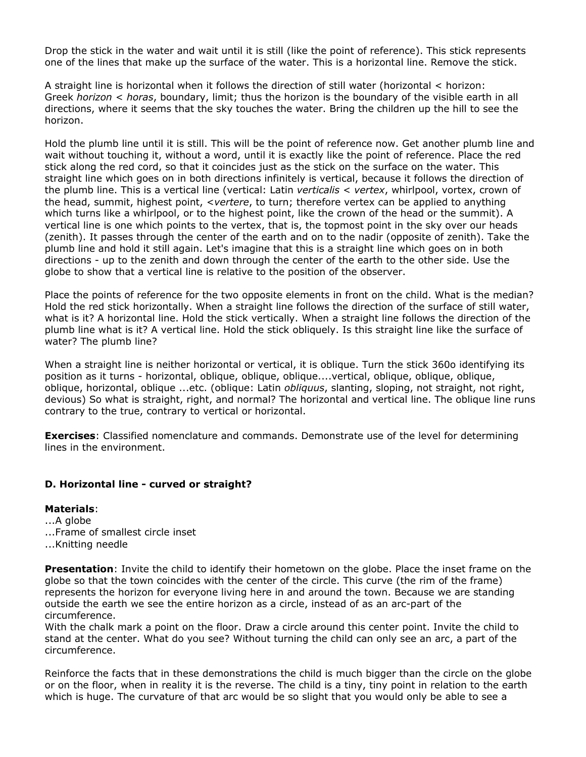Drop the stick in the water and wait until it is still (like the point of reference). This stick represents one of the lines that make up the surface of the water. This is a horizontal line. Remove the stick.

A straight line is horizontal when it follows the direction of still water (horizontal < horizon: Greek *horizon* < *horas*, boundary, limit; thus the horizon is the boundary of the visible earth in all directions, where it seems that the sky touches the water. Bring the children up the hill to see the horizon.

Hold the plumb line until it is still. This will be the point of reference now. Get another plumb line and wait without touching it, without a word, until it is exactly like the point of reference. Place the red stick along the red cord, so that it coincides just as the stick on the surface on the water. This straight line which goes on in both directions infinitely is vertical, because it follows the direction of the plumb line. This is a vertical line (vertical: Latin *verticalis* < *vertex*, whirlpool, vortex, crown of the head, summit, highest point, <*vertere*, to turn; therefore vertex can be applied to anything which turns like a whirlpool, or to the highest point, like the crown of the head or the summit). A vertical line is one which points to the vertex, that is, the topmost point in the sky over our heads (zenith). It passes through the center of the earth and on to the nadir (opposite of zenith). Take the plumb line and hold it still again. Let's imagine that this is a straight line which goes on in both directions - up to the zenith and down through the center of the earth to the other side. Use the globe to show that a vertical line is relative to the position of the observer.

Place the points of reference for the two opposite elements in front on the child. What is the median? Hold the red stick horizontally. When a straight line follows the direction of the surface of still water, what is it? A horizontal line. Hold the stick vertically. When a straight line follows the direction of the plumb line what is it? A vertical line. Hold the stick obliquely. Is this straight line like the surface of water? The plumb line?

When a straight line is neither horizontal or vertical, it is oblique. Turn the stick 360o identifying its position as it turns - horizontal, oblique, oblique, oblique....vertical, oblique, oblique, oblique, oblique, horizontal, oblique ...etc. (oblique: Latin *obliquus*, slanting, sloping, not straight, not right, devious) So what is straight, right, and normal? The horizontal and vertical line. The oblique line runs contrary to the true, contrary to vertical or horizontal.

**Exercises**: Classified nomenclature and commands. Demonstrate use of the level for determining lines in the environment.

#### **D. Horizontal line - curved or straight?**

#### **Materials**: ...A globe

- 
- ...Frame of smallest circle inset
- ...Knitting needle

**Presentation**: Invite the child to identify their hometown on the globe. Place the inset frame on the globe so that the town coincides with the center of the circle. This curve (the rim of the frame) represents the horizon for everyone living here in and around the town. Because we are standing outside the earth we see the entire horizon as a circle, instead of as an arc-part of the circumference.

With the chalk mark a point on the floor. Draw a circle around this center point. Invite the child to stand at the center. What do you see? Without turning the child can only see an arc, a part of the circumference.

Reinforce the facts that in these demonstrations the child is much bigger than the circle on the globe or on the floor, when in reality it is the reverse. The child is a tiny, tiny point in relation to the earth which is huge. The curvature of that arc would be so slight that you would only be able to see a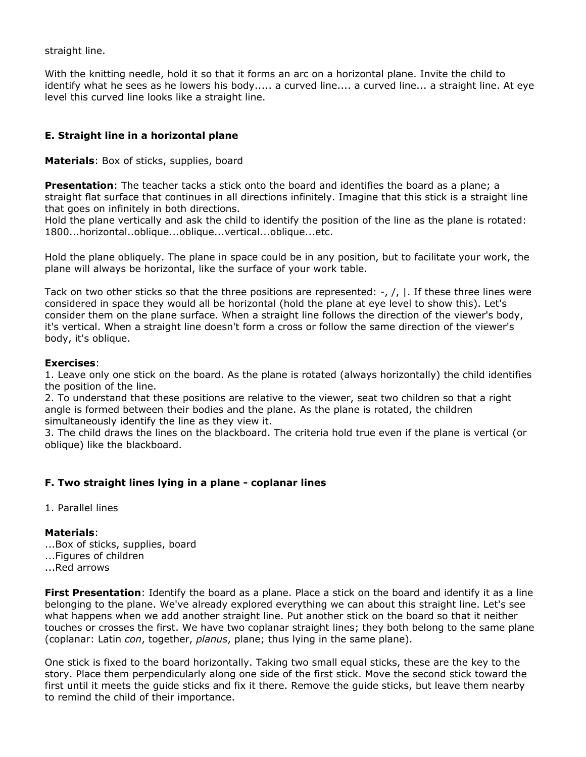straight line.

With the knitting needle, hold it so that it forms an arc on a horizontal plane. Invite the child to identify what he sees as he lowers his body..... a curved line.... a curved line... a straight line. At eye level this curved line looks like a straight line.

# **E. Straight line in a horizontal plane**

**Materials**: Box of sticks, supplies, board

**Presentation**: The teacher tacks a stick onto the board and identifies the board as a plane; a straight flat surface that continues in all directions infinitely. Imagine that this stick is a straight line that goes on infinitely in both directions.

Hold the plane vertically and ask the child to identify the position of the line as the plane is rotated: 1800...horizontal..oblique...oblique...vertical...oblique...etc.

Hold the plane obliquely. The plane in space could be in any position, but to facilitate your work, the plane will always be horizontal, like the surface of your work table.

Tack on two other sticks so that the three positions are represented:  $-$ ,  $/$ ,  $|$ . If these three lines were considered in space they would all be horizontal (hold the plane at eye level to show this). Let's consider them on the plane surface. When a straight line follows the direction of the viewer's body, it's vertical. When a straight line doesn't form a cross or follow the same direction of the viewer's body, it's oblique.

### **Exercises**:

1. Leave only one stick on the board. As the plane is rotated (always horizontally) the child identifies the position of the line.

2. To understand that these positions are relative to the viewer, seat two children so that a right angle is formed between their bodies and the plane. As the plane is rotated, the children simultaneously identify the line as they view it.

3. The child draws the lines on the blackboard. The criteria hold true even if the plane is vertical (or oblique) like the blackboard.

# **F. Two straight lines lying in a plane - coplanar lines**

1. Parallel lines

#### **Materials**:

- ...Box of sticks, supplies, board
- ...Figures of children
- ...Red arrows

**First Presentation**: Identify the board as a plane. Place a stick on the board and identify it as a line belonging to the plane. We've already explored everything we can about this straight line. Let's see what happens when we add another straight line. Put another stick on the board so that it neither touches or crosses the first. We have two coplanar straight lines; they both belong to the same plane (coplanar: Latin *con*, together, *planus*, plane; thus lying in the same plane).

One stick is fixed to the board horizontally. Taking two small equal sticks, these are the key to the story. Place them perpendicularly along one side of the first stick. Move the second stick toward the first until it meets the guide sticks and fix it there. Remove the guide sticks, but leave them nearby to remind the child of their importance.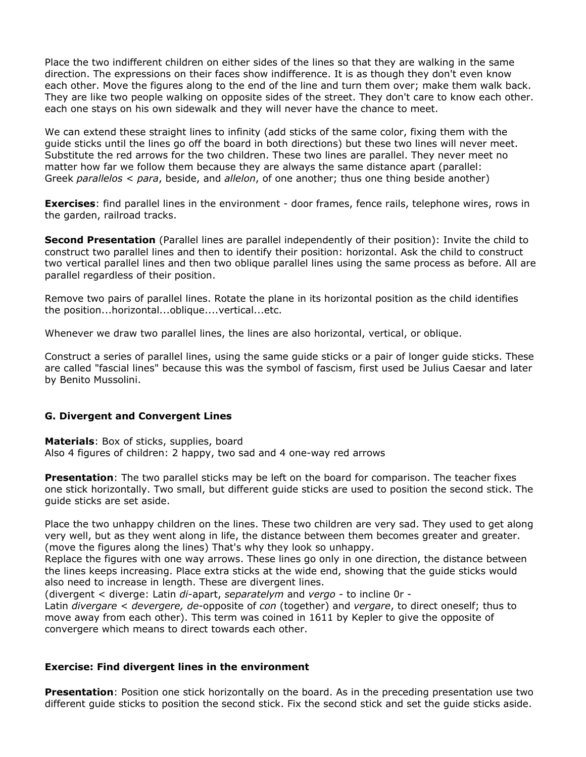Place the two indifferent children on either sides of the lines so that they are walking in the same direction. The expressions on their faces show indifference. It is as though they don't even know each other. Move the figures along to the end of the line and turn them over; make them walk back. They are like two people walking on opposite sides of the street. They don't care to know each other. each one stays on his own sidewalk and they will never have the chance to meet.

We can extend these straight lines to infinity (add sticks of the same color, fixing them with the guide sticks until the lines go off the board in both directions) but these two lines will never meet. Substitute the red arrows for the two children. These two lines are parallel. They never meet no matter how far we follow them because they are always the same distance apart (parallel: Greek *parallelos* < *para*, beside, and *allelon*, of one another; thus one thing beside another)

**Exercises**: find parallel lines in the environment - door frames, fence rails, telephone wires, rows in the garden, railroad tracks.

**Second Presentation** (Parallel lines are parallel independently of their position): Invite the child to construct two parallel lines and then to identify their position: horizontal. Ask the child to construct two vertical parallel lines and then two oblique parallel lines using the same process as before. All are parallel regardless of their position.

Remove two pairs of parallel lines. Rotate the plane in its horizontal position as the child identifies the position...horizontal...oblique....vertical...etc.

Whenever we draw two parallel lines, the lines are also horizontal, vertical, or oblique.

Construct a series of parallel lines, using the same guide sticks or a pair of longer guide sticks. These are called "fascial lines" because this was the symbol of fascism, first used be Julius Caesar and later by Benito Mussolini.

#### **G. Divergent and Convergent Lines**

**Materials**: Box of sticks, supplies, board Also 4 figures of children: 2 happy, two sad and 4 one-way red arrows

**Presentation**: The two parallel sticks may be left on the board for comparison. The teacher fixes one stick horizontally. Two small, but different guide sticks are used to position the second stick. The guide sticks are set aside.

Place the two unhappy children on the lines. These two children are very sad. They used to get along very well, but as they went along in life, the distance between them becomes greater and greater. (move the figures along the lines) That's why they look so unhappy.

Replace the figures with one way arrows. These lines go only in one direction, the distance between the lines keeps increasing. Place extra sticks at the wide end, showing that the guide sticks would also need to increase in length. These are divergent lines.

(divergent < diverge: Latin *di*-apart, *separatelym* and *vergo* - to incline 0r -

Latin *divergare* < *devergere, de*-opposite of *con* (together) and *vergare*, to direct oneself; thus to move away from each other). This term was coined in 1611 by Kepler to give the opposite of convergere which means to direct towards each other.

#### **Exercise: Find divergent lines in the environment**

**Presentation**: Position one stick horizontally on the board. As in the preceding presentation use two different guide sticks to position the second stick. Fix the second stick and set the guide sticks aside.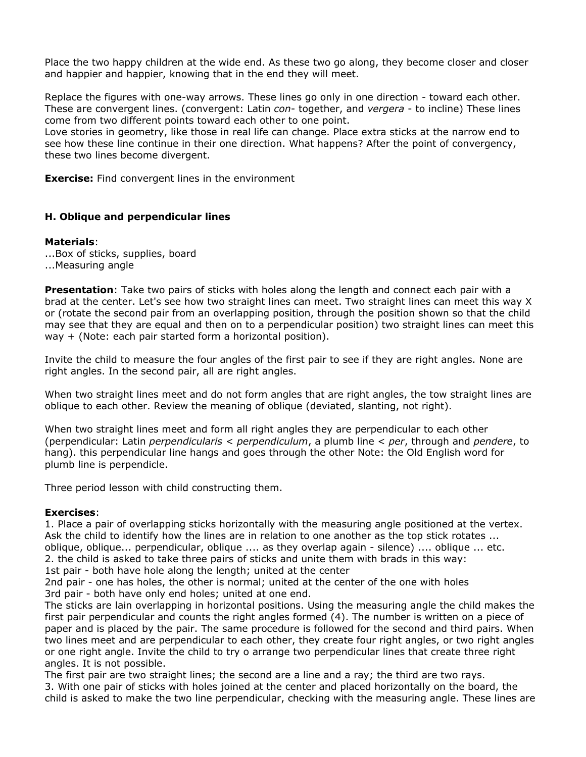Place the two happy children at the wide end. As these two go along, they become closer and closer and happier and happier, knowing that in the end they will meet.

Replace the figures with one-way arrows. These lines go only in one direction - toward each other. These are convergent lines. (convergent: Latin *con*- together, and *vergera* - to incline) These lines come from two different points toward each other to one point.

Love stories in geometry, like those in real life can change. Place extra sticks at the narrow end to see how these line continue in their one direction. What happens? After the point of convergency, these two lines become divergent.

**Exercise:** Find convergent lines in the environment

#### **H. Oblique and perpendicular lines**

#### **Materials**:

...Box of sticks, supplies, board ...Measuring angle

**Presentation**: Take two pairs of sticks with holes along the length and connect each pair with a brad at the center. Let's see how two straight lines can meet. Two straight lines can meet this way X or (rotate the second pair from an overlapping position, through the position shown so that the child may see that they are equal and then on to a perpendicular position) two straight lines can meet this way + (Note: each pair started form a horizontal position).

Invite the child to measure the four angles of the first pair to see if they are right angles. None are right angles. In the second pair, all are right angles.

When two straight lines meet and do not form angles that are right angles, the tow straight lines are oblique to each other. Review the meaning of oblique (deviated, slanting, not right).

When two straight lines meet and form all right angles they are perpendicular to each other (perpendicular: Latin *perpendicularis* < *perpendiculum*, a plumb line < *per*, through and *pendere*, to hang). this perpendicular line hangs and goes through the other Note: the Old English word for plumb line is perpendicle.

Three period lesson with child constructing them.

#### **Exercises**:

1. Place a pair of overlapping sticks horizontally with the measuring angle positioned at the vertex. Ask the child to identify how the lines are in relation to one another as the top stick rotates ... oblique, oblique... perpendicular, oblique .... as they overlap again - silence) .... oblique ... etc. 2. the child is asked to take three pairs of sticks and unite them with brads in this way:

1st pair - both have hole along the length; united at the center

2nd pair - one has holes, the other is normal; united at the center of the one with holes 3rd pair - both have only end holes; united at one end.

The sticks are lain overlapping in horizontal positions. Using the measuring angle the child makes the first pair perpendicular and counts the right angles formed (4). The number is written on a piece of paper and is placed by the pair. The same procedure is followed for the second and third pairs. When two lines meet and are perpendicular to each other, they create four right angles, or two right angles or one right angle. Invite the child to try o arrange two perpendicular lines that create three right angles. It is not possible.

The first pair are two straight lines; the second are a line and a ray; the third are two rays. 3. With one pair of sticks with holes joined at the center and placed horizontally on the board, the child is asked to make the two line perpendicular, checking with the measuring angle. These lines are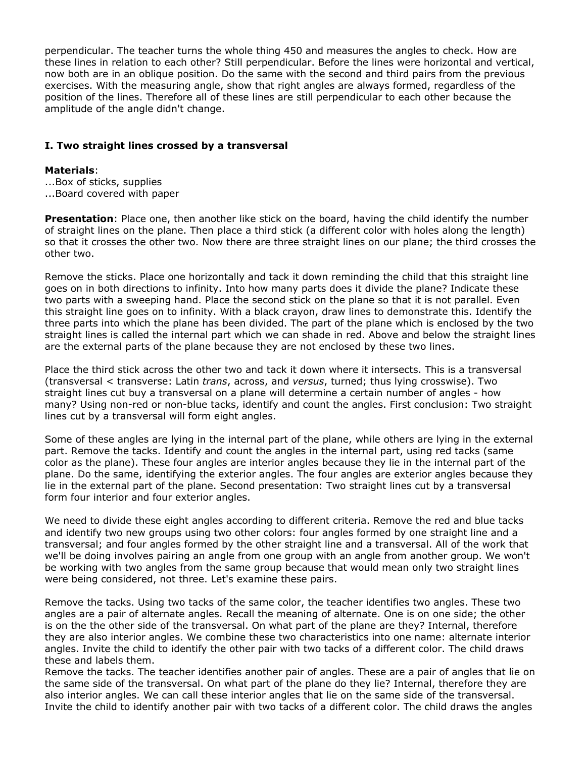perpendicular. The teacher turns the whole thing 450 and measures the angles to check. How are these lines in relation to each other? Still perpendicular. Before the lines were horizontal and vertical, now both are in an oblique position. Do the same with the second and third pairs from the previous exercises. With the measuring angle, show that right angles are always formed, regardless of the position of the lines. Therefore all of these lines are still perpendicular to each other because the amplitude of the angle didn't change.

#### **I. Two straight lines crossed by a transversal**

#### **Materials**:

- ...Box of sticks, supplies
- ...Board covered with paper

**Presentation**: Place one, then another like stick on the board, having the child identify the number of straight lines on the plane. Then place a third stick (a different color with holes along the length) so that it crosses the other two. Now there are three straight lines on our plane; the third crosses the other two.

Remove the sticks. Place one horizontally and tack it down reminding the child that this straight line goes on in both directions to infinity. Into how many parts does it divide the plane? Indicate these two parts with a sweeping hand. Place the second stick on the plane so that it is not parallel. Even this straight line goes on to infinity. With a black crayon, draw lines to demonstrate this. Identify the three parts into which the plane has been divided. The part of the plane which is enclosed by the two straight lines is called the internal part which we can shade in red. Above and below the straight lines are the external parts of the plane because they are not enclosed by these two lines.

Place the third stick across the other two and tack it down where it intersects. This is a transversal (transversal < transverse: Latin *trans*, across, and *versus*, turned; thus lying crosswise). Two straight lines cut buy a transversal on a plane will determine a certain number of angles - how many? Using non-red or non-blue tacks, identify and count the angles. First conclusion: Two straight lines cut by a transversal will form eight angles.

Some of these angles are lying in the internal part of the plane, while others are lying in the external part. Remove the tacks. Identify and count the angles in the internal part, using red tacks (same color as the plane). These four angles are interior angles because they lie in the internal part of the plane. Do the same, identifying the exterior angles. The four angles are exterior angles because they lie in the external part of the plane. Second presentation: Two straight lines cut by a transversal form four interior and four exterior angles.

We need to divide these eight angles according to different criteria. Remove the red and blue tacks and identify two new groups using two other colors: four angles formed by one straight line and a transversal; and four angles formed by the other straight line and a transversal. All of the work that we'll be doing involves pairing an angle from one group with an angle from another group. We won't be working with two angles from the same group because that would mean only two straight lines were being considered, not three. Let's examine these pairs.

Remove the tacks. Using two tacks of the same color, the teacher identifies two angles. These two angles are a pair of alternate angles. Recall the meaning of alternate. One is on one side; the other is on the the other side of the transversal. On what part of the plane are they? Internal, therefore they are also interior angles. We combine these two characteristics into one name: alternate interior angles. Invite the child to identify the other pair with two tacks of a different color. The child draws these and labels them.

Remove the tacks. The teacher identifies another pair of angles. These are a pair of angles that lie on the same side of the transversal. On what part of the plane do they lie? Internal, therefore they are also interior angles. We can call these interior angles that lie on the same side of the transversal. Invite the child to identify another pair with two tacks of a different color. The child draws the angles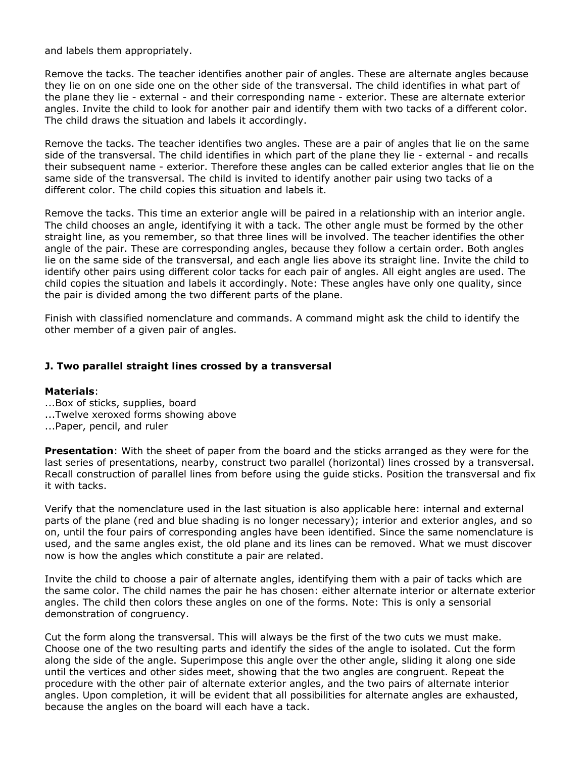and labels them appropriately.

Remove the tacks. The teacher identifies another pair of angles. These are alternate angles because they lie on on one side one on the other side of the transversal. The child identifies in what part of the plane they lie - external - and their corresponding name - exterior. These are alternate exterior angles. Invite the child to look for another pair and identify them with two tacks of a different color. The child draws the situation and labels it accordingly.

Remove the tacks. The teacher identifies two angles. These are a pair of angles that lie on the same side of the transversal. The child identifies in which part of the plane they lie - external - and recalls their subsequent name - exterior. Therefore these angles can be called exterior angles that lie on the same side of the transversal. The child is invited to identify another pair using two tacks of a different color. The child copies this situation and labels it.

Remove the tacks. This time an exterior angle will be paired in a relationship with an interior angle. The child chooses an angle, identifying it with a tack. The other angle must be formed by the other straight line, as you remember, so that three lines will be involved. The teacher identifies the other angle of the pair. These are corresponding angles, because they follow a certain order. Both angles lie on the same side of the transversal, and each angle lies above its straight line. Invite the child to identify other pairs using different color tacks for each pair of angles. All eight angles are used. The child copies the situation and labels it accordingly. Note: These angles have only one quality, since the pair is divided among the two different parts of the plane.

Finish with classified nomenclature and commands. A command might ask the child to identify the other member of a given pair of angles.

#### **J. Two parallel straight lines crossed by a transversal**

#### **Materials**:

- ...Box of sticks, supplies, board
- ...Twelve xeroxed forms showing above
- ...Paper, pencil, and ruler

**Presentation**: With the sheet of paper from the board and the sticks arranged as they were for the last series of presentations, nearby, construct two parallel (horizontal) lines crossed by a transversal. Recall construction of parallel lines from before using the guide sticks. Position the transversal and fix it with tacks.

Verify that the nomenclature used in the last situation is also applicable here: internal and external parts of the plane (red and blue shading is no longer necessary); interior and exterior angles, and so on, until the four pairs of corresponding angles have been identified. Since the same nomenclature is used, and the same angles exist, the old plane and its lines can be removed. What we must discover now is how the angles which constitute a pair are related.

Invite the child to choose a pair of alternate angles, identifying them with a pair of tacks which are the same color. The child names the pair he has chosen: either alternate interior or alternate exterior angles. The child then colors these angles on one of the forms. Note: This is only a sensorial demonstration of congruency.

Cut the form along the transversal. This will always be the first of the two cuts we must make. Choose one of the two resulting parts and identify the sides of the angle to isolated. Cut the form along the side of the angle. Superimpose this angle over the other angle, sliding it along one side until the vertices and other sides meet, showing that the two angles are congruent. Repeat the procedure with the other pair of alternate exterior angles, and the two pairs of alternate interior angles. Upon completion, it will be evident that all possibilities for alternate angles are exhausted, because the angles on the board will each have a tack.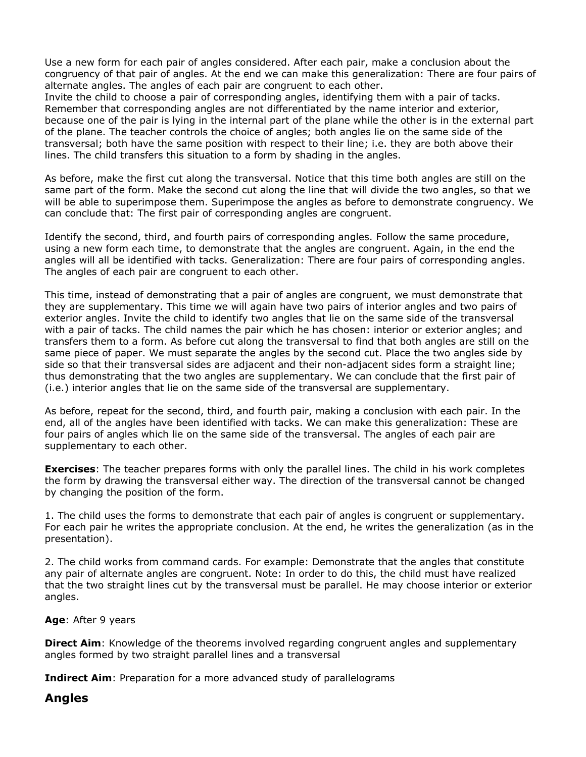Use a new form for each pair of angles considered. After each pair, make a conclusion about the congruency of that pair of angles. At the end we can make this generalization: There are four pairs of alternate angles. The angles of each pair are congruent to each other.

Invite the child to choose a pair of corresponding angles, identifying them with a pair of tacks. Remember that corresponding angles are not differentiated by the name interior and exterior, because one of the pair is lying in the internal part of the plane while the other is in the external part of the plane. The teacher controls the choice of angles; both angles lie on the same side of the transversal; both have the same position with respect to their line; i.e. they are both above their lines. The child transfers this situation to a form by shading in the angles.

As before, make the first cut along the transversal. Notice that this time both angles are still on the same part of the form. Make the second cut along the line that will divide the two angles, so that we will be able to superimpose them. Superimpose the angles as before to demonstrate congruency. We can conclude that: The first pair of corresponding angles are congruent.

Identify the second, third, and fourth pairs of corresponding angles. Follow the same procedure, using a new form each time, to demonstrate that the angles are congruent. Again, in the end the angles will all be identified with tacks. Generalization: There are four pairs of corresponding angles. The angles of each pair are congruent to each other.

This time, instead of demonstrating that a pair of angles are congruent, we must demonstrate that they are supplementary. This time we will again have two pairs of interior angles and two pairs of exterior angles. Invite the child to identify two angles that lie on the same side of the transversal with a pair of tacks. The child names the pair which he has chosen: interior or exterior angles; and transfers them to a form. As before cut along the transversal to find that both angles are still on the same piece of paper. We must separate the angles by the second cut. Place the two angles side by side so that their transversal sides are adjacent and their non-adjacent sides form a straight line; thus demonstrating that the two angles are supplementary. We can conclude that the first pair of (i.e.) interior angles that lie on the same side of the transversal are supplementary.

As before, repeat for the second, third, and fourth pair, making a conclusion with each pair. In the end, all of the angles have been identified with tacks. We can make this generalization: These are four pairs of angles which lie on the same side of the transversal. The angles of each pair are supplementary to each other.

**Exercises**: The teacher prepares forms with only the parallel lines. The child in his work completes the form by drawing the transversal either way. The direction of the transversal cannot be changed by changing the position of the form.

1. The child uses the forms to demonstrate that each pair of angles is congruent or supplementary. For each pair he writes the appropriate conclusion. At the end, he writes the generalization (as in the presentation).

2. The child works from command cards. For example: Demonstrate that the angles that constitute any pair of alternate angles are congruent. Note: In order to do this, the child must have realized that the two straight lines cut by the transversal must be parallel. He may choose interior or exterior angles.

**Age**: After 9 years

**Direct Aim**: Knowledge of the theorems involved regarding congruent angles and supplementary angles formed by two straight parallel lines and a transversal

**Indirect Aim**: Preparation for a more advanced study of parallelograms

# **Angles**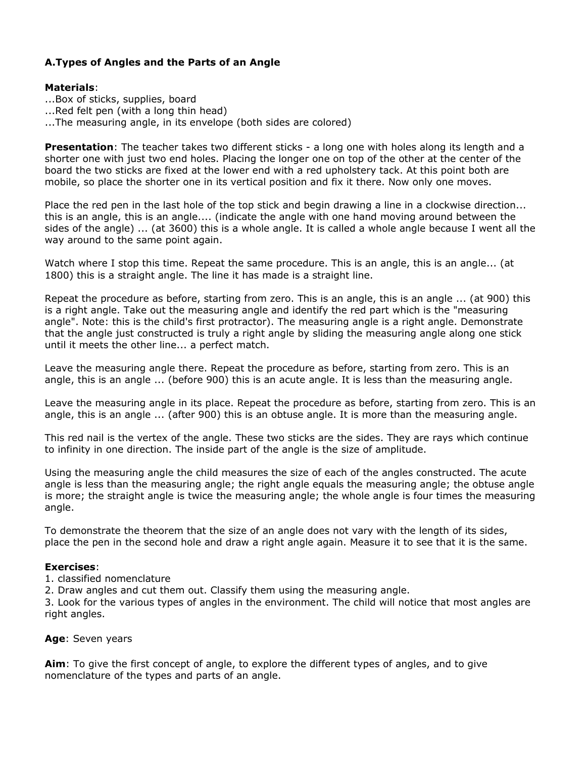# **A.Types of Angles and the Parts of an Angle**

### **Materials**:

- ...Box of sticks, supplies, board
- ...Red felt pen (with a long thin head)
- ...The measuring angle, in its envelope (both sides are colored)

**Presentation**: The teacher takes two different sticks - a long one with holes along its length and a shorter one with just two end holes. Placing the longer one on top of the other at the center of the board the two sticks are fixed at the lower end with a red upholstery tack. At this point both are mobile, so place the shorter one in its vertical position and fix it there. Now only one moves.

Place the red pen in the last hole of the top stick and begin drawing a line in a clockwise direction... this is an angle, this is an angle.... (indicate the angle with one hand moving around between the sides of the angle) ... (at 3600) this is a whole angle. It is called a whole angle because I went all the way around to the same point again.

Watch where I stop this time. Repeat the same procedure. This is an angle, this is an angle... (at 1800) this is a straight angle. The line it has made is a straight line.

Repeat the procedure as before, starting from zero. This is an angle, this is an angle ... (at 900) this is a right angle. Take out the measuring angle and identify the red part which is the "measuring angle". Note: this is the child's first protractor). The measuring angle is a right angle. Demonstrate that the angle just constructed is truly a right angle by sliding the measuring angle along one stick until it meets the other line... a perfect match.

Leave the measuring angle there. Repeat the procedure as before, starting from zero. This is an angle, this is an angle ... (before 900) this is an acute angle. It is less than the measuring angle.

Leave the measuring angle in its place. Repeat the procedure as before, starting from zero. This is an angle, this is an angle ... (after 900) this is an obtuse angle. It is more than the measuring angle.

This red nail is the vertex of the angle. These two sticks are the sides. They are rays which continue to infinity in one direction. The inside part of the angle is the size of amplitude.

Using the measuring angle the child measures the size of each of the angles constructed. The acute angle is less than the measuring angle; the right angle equals the measuring angle; the obtuse angle is more; the straight angle is twice the measuring angle; the whole angle is four times the measuring angle.

To demonstrate the theorem that the size of an angle does not vary with the length of its sides, place the pen in the second hole and draw a right angle again. Measure it to see that it is the same.

#### **Exercises**:

- 1. classified nomenclature
- 2. Draw angles and cut them out. Classify them using the measuring angle.

3. Look for the various types of angles in the environment. The child will notice that most angles are right angles.

#### **Age**: Seven years

**Aim**: To give the first concept of angle, to explore the different types of angles, and to give nomenclature of the types and parts of an angle.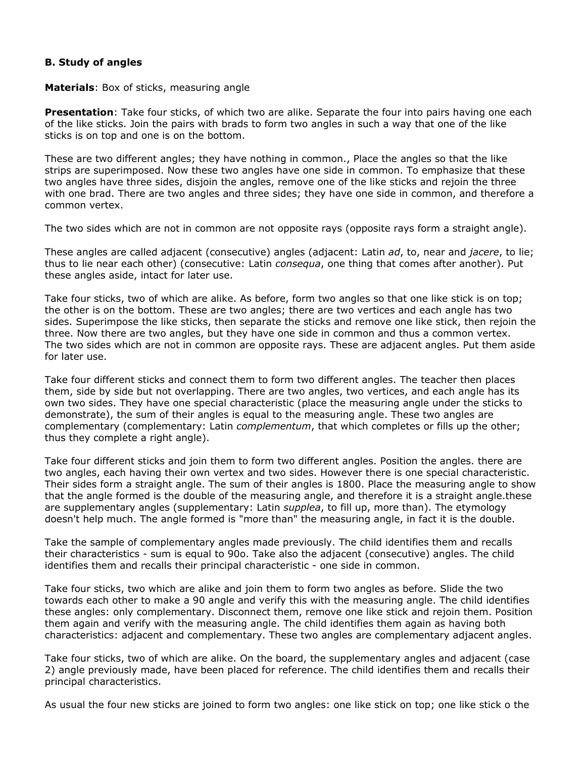### **B. Study of angles**

**Materials**: Box of sticks, measuring angle

**Presentation**: Take four sticks, of which two are alike. Separate the four into pairs having one each of the like sticks. Join the pairs with brads to form two angles in such a way that one of the like sticks is on top and one is on the bottom.

These are two different angles; they have nothing in common., Place the angles so that the like strips are superimposed. Now these two angles have one side in common. To emphasize that these two angles have three sides, disjoin the angles, remove one of the like sticks and rejoin the three with one brad. There are two angles and three sides; they have one side in common, and therefore a common vertex.

The two sides which are not in common are not opposite rays (opposite rays form a straight angle).

These angles are called adjacent (consecutive) angles (adjacent: Latin *ad*, to, near and *jacere*, to lie; thus to lie near each other) (consecutive: Latin *consequa*, one thing that comes after another). Put these angles aside, intact for later use.

Take four sticks, two of which are alike. As before, form two angles so that one like stick is on top; the other is on the bottom. These are two angles; there are two vertices and each angle has two sides. Superimpose the like sticks, then separate the sticks and remove one like stick, then rejoin the three. Now there are two angles, but they have one side in common and thus a common vertex. The two sides which are not in common are opposite rays. These are adjacent angles. Put them aside for later use.

Take four different sticks and connect them to form two different angles. The teacher then places them, side by side but not overlapping. There are two angles, two vertices, and each angle has its own two sides. They have one special characteristic (place the measuring angle under the sticks to demonstrate), the sum of their angles is equal to the measuring angle. These two angles are complementary (complementary: Latin *complementum*, that which completes or fills up the other; thus they complete a right angle).

Take four different sticks and join them to form two different angles. Position the angles. there are two angles, each having their own vertex and two sides. However there is one special characteristic. Their sides form a straight angle. The sum of their angles is 1800. Place the measuring angle to show that the angle formed is the double of the measuring angle, and therefore it is a straight angle.these are supplementary angles (supplementary: Latin *supplea*, to fill up, more than). The etymology doesn't help much. The angle formed is "more than" the measuring angle, in fact it is the double.

Take the sample of complementary angles made previously. The child identifies them and recalls their characteristics - sum is equal to 90o. Take also the adjacent (consecutive) angles. The child identifies them and recalls their principal characteristic - one side in common.

Take four sticks, two which are alike and join them to form two angles as before. Slide the two towards each other to make a 90 angle and verify this with the measuring angle. The child identifies these angles: only complementary. Disconnect them, remove one like stick and rejoin them. Position them again and verify with the measuring angle. The child identifies them again as having both characteristics: adjacent and complementary. These two angles are complementary adjacent angles.

Take four sticks, two of which are alike. On the board, the supplementary angles and adjacent (case 2) angle previously made, have been placed for reference. The child identifies them and recalls their principal characteristics.

As usual the four new sticks are joined to form two angles: one like stick on top; one like stick o the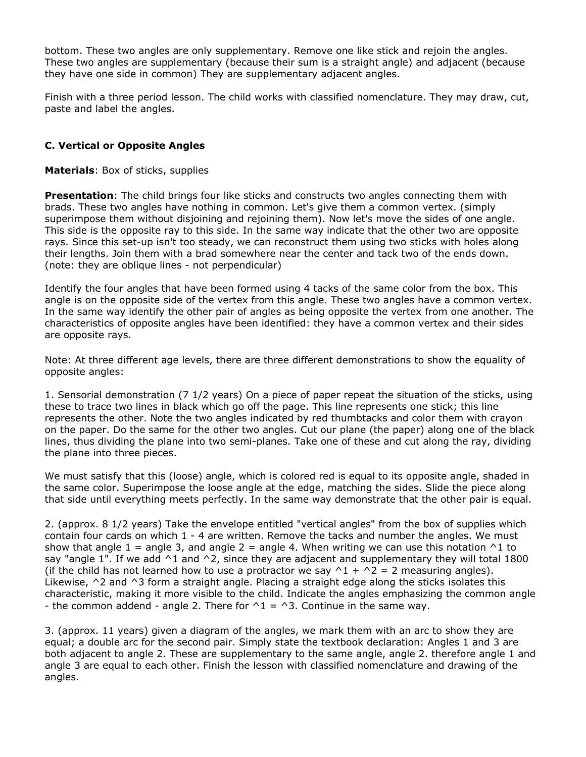bottom. These two angles are only supplementary. Remove one like stick and rejoin the angles. These two angles are supplementary (because their sum is a straight angle) and adjacent (because they have one side in common) They are supplementary adjacent angles.

Finish with a three period lesson. The child works with classified nomenclature. They may draw, cut, paste and label the angles.

### **C. Vertical or Opposite Angles**

#### **Materials**: Box of sticks, supplies

**Presentation**: The child brings four like sticks and constructs two angles connecting them with brads. These two angles have nothing in common. Let's give them a common vertex. (simply superimpose them without disjoining and rejoining them). Now let's move the sides of one angle. This side is the opposite ray to this side. In the same way indicate that the other two are opposite rays. Since this set-up isn't too steady, we can reconstruct them using two sticks with holes along their lengths. Join them with a brad somewhere near the center and tack two of the ends down. (note: they are oblique lines - not perpendicular)

Identify the four angles that have been formed using 4 tacks of the same color from the box. This angle is on the opposite side of the vertex from this angle. These two angles have a common vertex. In the same way identify the other pair of angles as being opposite the vertex from one another. The characteristics of opposite angles have been identified: they have a common vertex and their sides are opposite rays.

Note: At three different age levels, there are three different demonstrations to show the equality of opposite angles:

1. Sensorial demonstration (7 1/2 years) On a piece of paper repeat the situation of the sticks, using these to trace two lines in black which go off the page. This line represents one stick; this line represents the other. Note the two angles indicated by red thumbtacks and color them with crayon on the paper. Do the same for the other two angles. Cut our plane (the paper) along one of the black lines, thus dividing the plane into two semi-planes. Take one of these and cut along the ray, dividing the plane into three pieces.

We must satisfy that this (loose) angle, which is colored red is equal to its opposite angle, shaded in the same color. Superimpose the loose angle at the edge, matching the sides. Slide the piece along that side until everything meets perfectly. In the same way demonstrate that the other pair is equal.

2. (approx. 8 1/2 years) Take the envelope entitled "vertical angles" from the box of supplies which contain four cards on which 1 - 4 are written. Remove the tacks and number the angles. We must show that angle 1 = angle 3, and angle 2 = angle 4. When writing we can use this notation  $\wedge$ 1 to say "angle 1". If we add  $\wedge$ 1 and  $\wedge$ 2, since they are adjacent and supplementary they will total 1800 (if the child has not learned how to use a protractor we say  $\gamma$ 1 +  $\gamma$ 2 = 2 measuring angles). Likewise, ^2 and ^3 form a straight angle. Placing a straight edge along the sticks isolates this characteristic, making it more visible to the child. Indicate the angles emphasizing the common angle - the common addend - angle 2. There for  $\Delta$ 1 =  $\Delta$ 3. Continue in the same way.

3. (approx. 11 years) given a diagram of the angles, we mark them with an arc to show they are equal; a double arc for the second pair. Simply state the textbook declaration: Angles 1 and 3 are both adjacent to angle 2. These are supplementary to the same angle, angle 2. therefore angle 1 and angle 3 are equal to each other. Finish the lesson with classified nomenclature and drawing of the angles.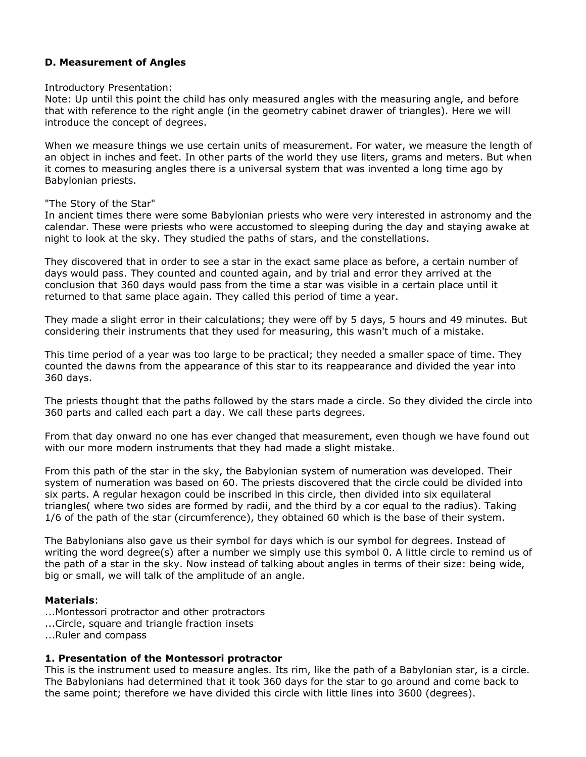# **D. Measurement of Angles**

#### Introductory Presentation:

Note: Up until this point the child has only measured angles with the measuring angle, and before that with reference to the right angle (in the geometry cabinet drawer of triangles). Here we will introduce the concept of degrees.

When we measure things we use certain units of measurement. For water, we measure the length of an object in inches and feet. In other parts of the world they use liters, grams and meters. But when it comes to measuring angles there is a universal system that was invented a long time ago by Babylonian priests.

#### "The Story of the Star"

In ancient times there were some Babylonian priests who were very interested in astronomy and the calendar. These were priests who were accustomed to sleeping during the day and staying awake at night to look at the sky. They studied the paths of stars, and the constellations.

They discovered that in order to see a star in the exact same place as before, a certain number of days would pass. They counted and counted again, and by trial and error they arrived at the conclusion that 360 days would pass from the time a star was visible in a certain place until it returned to that same place again. They called this period of time a year.

They made a slight error in their calculations; they were off by 5 days, 5 hours and 49 minutes. But considering their instruments that they used for measuring, this wasn't much of a mistake.

This time period of a year was too large to be practical; they needed a smaller space of time. They counted the dawns from the appearance of this star to its reappearance and divided the year into 360 days.

The priests thought that the paths followed by the stars made a circle. So they divided the circle into 360 parts and called each part a day. We call these parts degrees.

From that day onward no one has ever changed that measurement, even though we have found out with our more modern instruments that they had made a slight mistake.

From this path of the star in the sky, the Babylonian system of numeration was developed. Their system of numeration was based on 60. The priests discovered that the circle could be divided into six parts. A regular hexagon could be inscribed in this circle, then divided into six equilateral triangles( where two sides are formed by radii, and the third by a cor equal to the radius). Taking 1/6 of the path of the star (circumference), they obtained 60 which is the base of their system.

The Babylonians also gave us their symbol for days which is our symbol for degrees. Instead of writing the word degree(s) after a number we simply use this symbol 0. A little circle to remind us of the path of a star in the sky. Now instead of talking about angles in terms of their size: being wide, big or small, we will talk of the amplitude of an angle.

#### **Materials**:

- ...Montessori protractor and other protractors
- ...Circle, square and triangle fraction insets
- ...Ruler and compass

#### **1. Presentation of the Montessori protractor**

This is the instrument used to measure angles. Its rim, like the path of a Babylonian star, is a circle. The Babylonians had determined that it took 360 days for the star to go around and come back to the same point; therefore we have divided this circle with little lines into 3600 (degrees).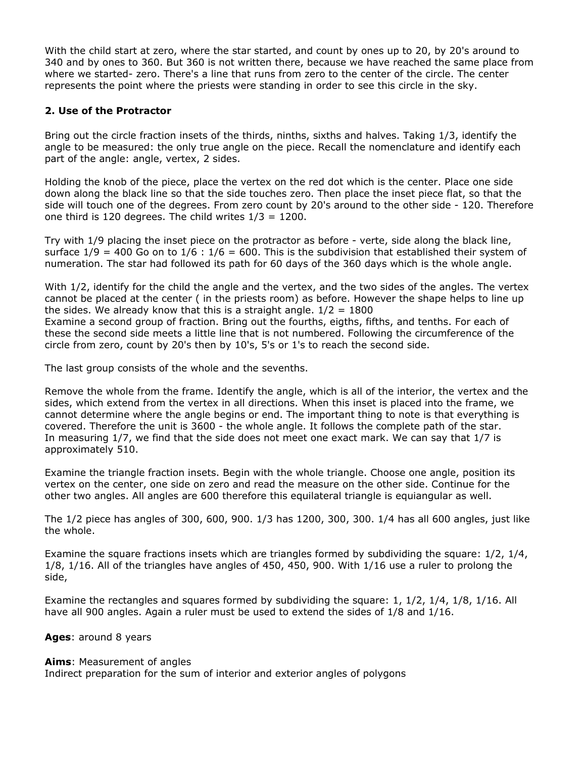With the child start at zero, where the star started, and count by ones up to 20, by 20's around to 340 and by ones to 360. But 360 is not written there, because we have reached the same place from where we started- zero. There's a line that runs from zero to the center of the circle. The center represents the point where the priests were standing in order to see this circle in the sky.

### **2. Use of the Protractor**

Bring out the circle fraction insets of the thirds, ninths, sixths and halves. Taking 1/3, identify the angle to be measured: the only true angle on the piece. Recall the nomenclature and identify each part of the angle: angle, vertex, 2 sides.

Holding the knob of the piece, place the vertex on the red dot which is the center. Place one side down along the black line so that the side touches zero. Then place the inset piece flat, so that the side will touch one of the degrees. From zero count by 20's around to the other side - 120. Therefore one third is 120 degrees. The child writes  $1/3 = 1200$ .

Try with 1/9 placing the inset piece on the protractor as before - verte, side along the black line, surface  $1/9 = 400$  Go on to  $1/6$  :  $1/6 = 600$ . This is the subdivision that established their system of numeration. The star had followed its path for 60 days of the 360 days which is the whole angle.

With 1/2, identify for the child the angle and the vertex, and the two sides of the angles. The vertex cannot be placed at the center ( in the priests room) as before. However the shape helps to line up the sides. We already know that this is a straight angle.  $1/2 = 1800$ Examine a second group of fraction. Bring out the fourths, eigths, fifths, and tenths. For each of these the second side meets a little line that is not numbered. Following the circumference of the circle from zero, count by 20's then by 10's, 5's or 1's to reach the second side.

The last group consists of the whole and the sevenths.

Remove the whole from the frame. Identify the angle, which is all of the interior, the vertex and the sides, which extend from the vertex in all directions. When this inset is placed into the frame, we cannot determine where the angle begins or end. The important thing to note is that everything is covered. Therefore the unit is 3600 - the whole angle. It follows the complete path of the star. In measuring 1/7, we find that the side does not meet one exact mark. We can say that 1/7 is approximately 510.

Examine the triangle fraction insets. Begin with the whole triangle. Choose one angle, position its vertex on the center, one side on zero and read the measure on the other side. Continue for the other two angles. All angles are 600 therefore this equilateral triangle is equiangular as well.

The 1/2 piece has angles of 300, 600, 900. 1/3 has 1200, 300, 300. 1/4 has all 600 angles, just like the whole.

Examine the square fractions insets which are triangles formed by subdividing the square: 1/2, 1/4, 1/8, 1/16. All of the triangles have angles of 450, 450, 900. With 1/16 use a ruler to prolong the side,

Examine the rectangles and squares formed by subdividing the square: 1, 1/2, 1/4, 1/8, 1/16. All have all 900 angles. Again a ruler must be used to extend the sides of 1/8 and 1/16.

**Ages**: around 8 years

#### **Aims**: Measurement of angles

Indirect preparation for the sum of interior and exterior angles of polygons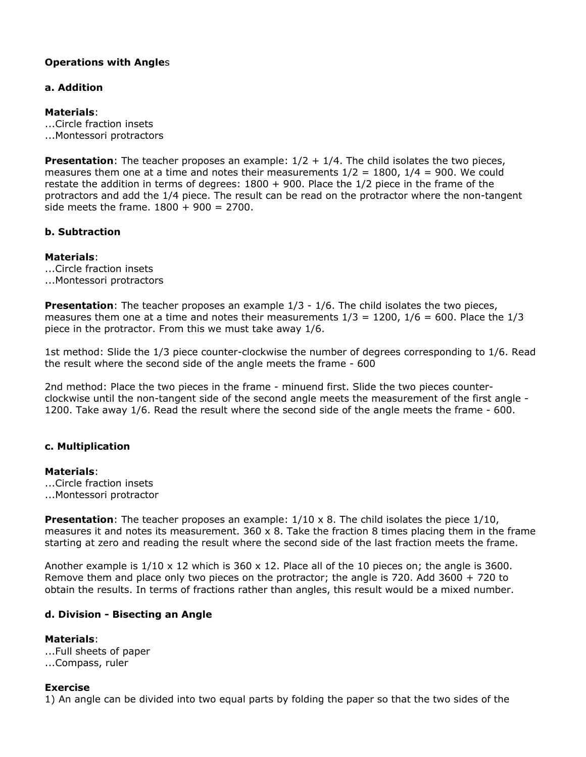# **Operations with Angle**s

### **a. Addition**

### **Materials**:

...Circle fraction insets ...Montessori protractors

**Presentation**: The teacher proposes an example:  $1/2 + 1/4$ . The child isolates the two pieces, measures them one at a time and notes their measurements  $1/2 = 1800$ ,  $1/4 = 900$ . We could restate the addition in terms of degrees: 1800 + 900. Place the 1/2 piece in the frame of the protractors and add the 1/4 piece. The result can be read on the protractor where the non-tangent side meets the frame.  $1800 + 900 = 2700$ .

### **b. Subtraction**

# **Materials**:

...Circle fraction insets ...Montessori protractors

**Presentation**: The teacher proposes an example  $1/3 - 1/6$ . The child isolates the two pieces, measures them one at a time and notes their measurements  $1/3 = 1200$ ,  $1/6 = 600$ . Place the  $1/3$ piece in the protractor. From this we must take away 1/6.

1st method: Slide the 1/3 piece counter-clockwise the number of degrees corresponding to 1/6. Read the result where the second side of the angle meets the frame - 600

2nd method: Place the two pieces in the frame - minuend first. Slide the two pieces counterclockwise until the non-tangent side of the second angle meets the measurement of the first angle - 1200. Take away 1/6. Read the result where the second side of the angle meets the frame - 600.

# **c. Multiplication**

#### **Materials**:

- ...Circle fraction insets
- ...Montessori protractor

**Presentation**: The teacher proposes an example:  $1/10 \times 8$ . The child isolates the piece  $1/10$ , measures it and notes its measurement. 360 x 8. Take the fraction 8 times placing them in the frame starting at zero and reading the result where the second side of the last fraction meets the frame.

Another example is  $1/10 \times 12$  which is  $360 \times 12$ . Place all of the 10 pieces on; the angle is  $3600$ . Remove them and place only two pieces on the protractor; the angle is 720. Add 3600 + 720 to obtain the results. In terms of fractions rather than angles, this result would be a mixed number.

# **d. Division - Bisecting an Angle**

**Materials**: ...Full sheets of paper ...Compass, ruler

#### **Exercise**

1) An angle can be divided into two equal parts by folding the paper so that the two sides of the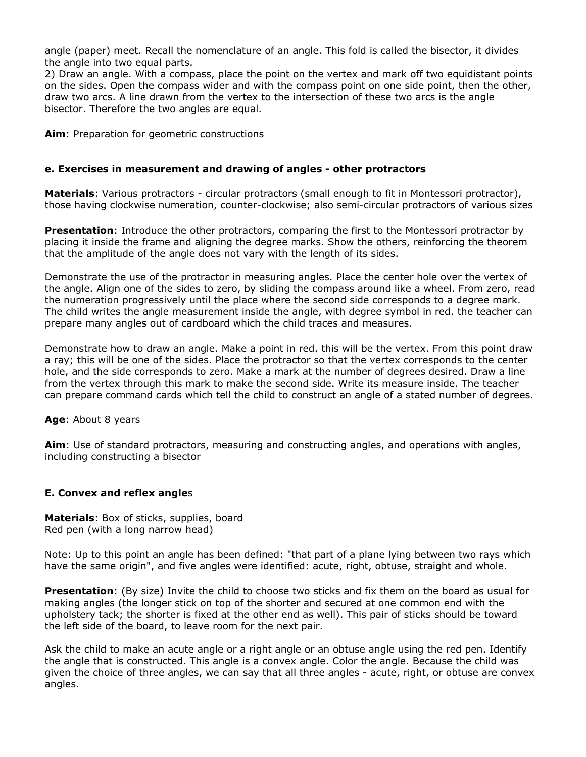angle (paper) meet. Recall the nomenclature of an angle. This fold is called the bisector, it divides the angle into two equal parts.

2) Draw an angle. With a compass, place the point on the vertex and mark off two equidistant points on the sides. Open the compass wider and with the compass point on one side point, then the other, draw two arcs. A line drawn from the vertex to the intersection of these two arcs is the angle bisector. Therefore the two angles are equal.

**Aim**: Preparation for geometric constructions

### **e. Exercises in measurement and drawing of angles - other protractors**

**Materials**: Various protractors - circular protractors (small enough to fit in Montessori protractor), those having clockwise numeration, counter-clockwise; also semi-circular protractors of various sizes

**Presentation**: Introduce the other protractors, comparing the first to the Montessori protractor by placing it inside the frame and aligning the degree marks. Show the others, reinforcing the theorem that the amplitude of the angle does not vary with the length of its sides.

Demonstrate the use of the protractor in measuring angles. Place the center hole over the vertex of the angle. Align one of the sides to zero, by sliding the compass around like a wheel. From zero, read the numeration progressively until the place where the second side corresponds to a degree mark. The child writes the angle measurement inside the angle, with degree symbol in red. the teacher can prepare many angles out of cardboard which the child traces and measures.

Demonstrate how to draw an angle. Make a point in red. this will be the vertex. From this point draw a ray; this will be one of the sides. Place the protractor so that the vertex corresponds to the center hole, and the side corresponds to zero. Make a mark at the number of degrees desired. Draw a line from the vertex through this mark to make the second side. Write its measure inside. The teacher can prepare command cards which tell the child to construct an angle of a stated number of degrees.

#### **Age**: About 8 years

**Aim**: Use of standard protractors, measuring and constructing angles, and operations with angles, including constructing a bisector

#### **E. Convex and reflex angle**s

**Materials**: Box of sticks, supplies, board Red pen (with a long narrow head)

Note: Up to this point an angle has been defined: "that part of a plane lying between two rays which have the same origin", and five angles were identified: acute, right, obtuse, straight and whole.

**Presentation**: (By size) Invite the child to choose two sticks and fix them on the board as usual for making angles (the longer stick on top of the shorter and secured at one common end with the upholstery tack; the shorter is fixed at the other end as well). This pair of sticks should be toward the left side of the board, to leave room for the next pair.

Ask the child to make an acute angle or a right angle or an obtuse angle using the red pen. Identify the angle that is constructed. This angle is a convex angle. Color the angle. Because the child was given the choice of three angles, we can say that all three angles - acute, right, or obtuse are convex angles.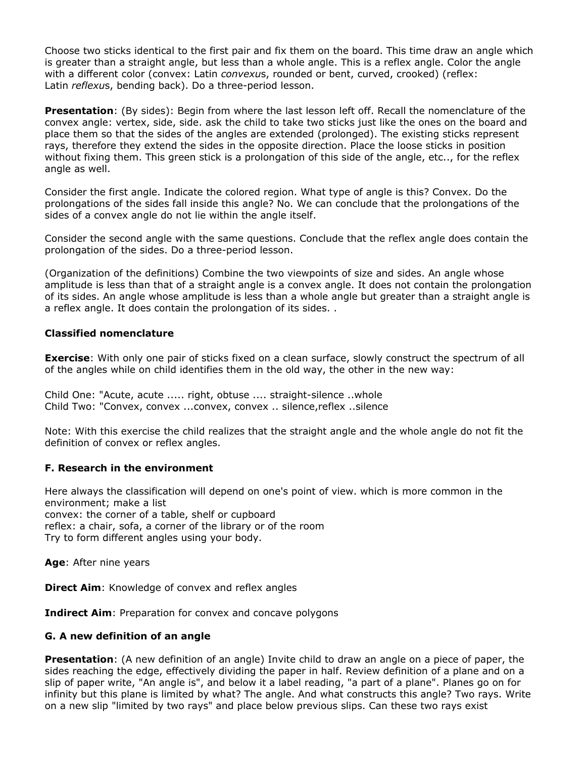Choose two sticks identical to the first pair and fix them on the board. This time draw an angle which is greater than a straight angle, but less than a whole angle. This is a reflex angle. Color the angle with a different color (convex: Latin *convexu*s, rounded or bent, curved, crooked) (reflex: Latin *reflexu*s, bending back). Do a three-period lesson.

**Presentation**: (By sides): Begin from where the last lesson left off. Recall the nomenclature of the convex angle: vertex, side, side. ask the child to take two sticks just like the ones on the board and place them so that the sides of the angles are extended (prolonged). The existing sticks represent rays, therefore they extend the sides in the opposite direction. Place the loose sticks in position without fixing them. This green stick is a prolongation of this side of the angle, etc.., for the reflex angle as well.

Consider the first angle. Indicate the colored region. What type of angle is this? Convex. Do the prolongations of the sides fall inside this angle? No. We can conclude that the prolongations of the sides of a convex angle do not lie within the angle itself.

Consider the second angle with the same questions. Conclude that the reflex angle does contain the prolongation of the sides. Do a three-period lesson.

(Organization of the definitions) Combine the two viewpoints of size and sides. An angle whose amplitude is less than that of a straight angle is a convex angle. It does not contain the prolongation of its sides. An angle whose amplitude is less than a whole angle but greater than a straight angle is a reflex angle. It does contain the prolongation of its sides. .

#### **Classified nomenclature**

**Exercise**: With only one pair of sticks fixed on a clean surface, slowly construct the spectrum of all of the angles while on child identifies them in the old way, the other in the new way:

Child One: "Acute, acute ..... right, obtuse .... straight-silence ..whole Child Two: "Convex, convex ...convex, convex .. silence,reflex ..silence

Note: With this exercise the child realizes that the straight angle and the whole angle do not fit the definition of convex or reflex angles.

#### **F. Research in the environment**

Here always the classification will depend on one's point of view. which is more common in the environment; make a list convex: the corner of a table, shelf or cupboard reflex: a chair, sofa, a corner of the library or of the room Try to form different angles using your body.

**Age**: After nine years

**Direct Aim:** Knowledge of convex and reflex angles

**Indirect Aim**: Preparation for convex and concave polygons

#### **G. A new definition of an angle**

**Presentation**: (A new definition of an angle) Invite child to draw an angle on a piece of paper, the sides reaching the edge, effectively dividing the paper in half. Review definition of a plane and on a slip of paper write, "An angle is", and below it a label reading, "a part of a plane". Planes go on for infinity but this plane is limited by what? The angle. And what constructs this angle? Two rays. Write on a new slip "limited by two rays" and place below previous slips. Can these two rays exist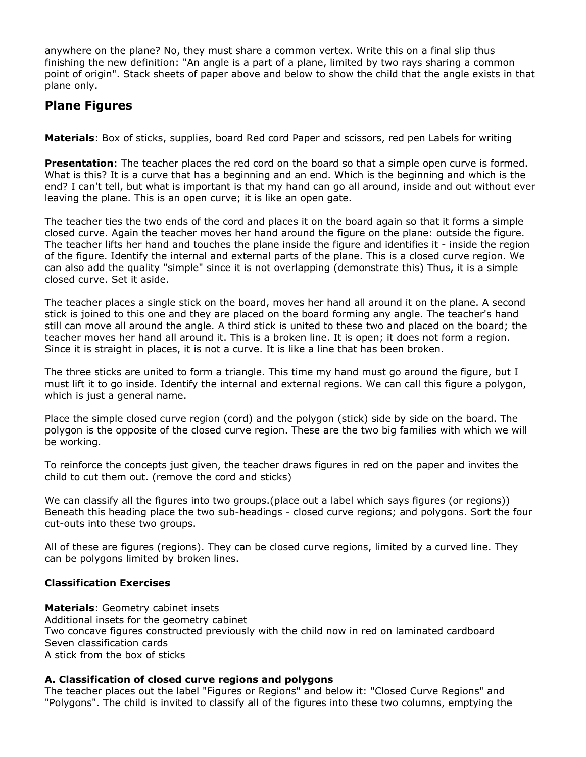anywhere on the plane? No, they must share a common vertex. Write this on a final slip thus finishing the new definition: "An angle is a part of a plane, limited by two rays sharing a common point of origin". Stack sheets of paper above and below to show the child that the angle exists in that plane only.

# **Plane Figures**

**Materials**: Box of sticks, supplies, board Red cord Paper and scissors, red pen Labels for writing

**Presentation**: The teacher places the red cord on the board so that a simple open curve is formed. What is this? It is a curve that has a beginning and an end. Which is the beginning and which is the end? I can't tell, but what is important is that my hand can go all around, inside and out without ever leaving the plane. This is an open curve; it is like an open gate.

The teacher ties the two ends of the cord and places it on the board again so that it forms a simple closed curve. Again the teacher moves her hand around the figure on the plane: outside the figure. The teacher lifts her hand and touches the plane inside the figure and identifies it - inside the region of the figure. Identify the internal and external parts of the plane. This is a closed curve region. We can also add the quality "simple" since it is not overlapping (demonstrate this) Thus, it is a simple closed curve. Set it aside.

The teacher places a single stick on the board, moves her hand all around it on the plane. A second stick is joined to this one and they are placed on the board forming any angle. The teacher's hand still can move all around the angle. A third stick is united to these two and placed on the board; the teacher moves her hand all around it. This is a broken line. It is open; it does not form a region. Since it is straight in places, it is not a curve. It is like a line that has been broken.

The three sticks are united to form a triangle. This time my hand must go around the figure, but I must lift it to go inside. Identify the internal and external regions. We can call this figure a polygon, which is just a general name.

Place the simple closed curve region (cord) and the polygon (stick) side by side on the board. The polygon is the opposite of the closed curve region. These are the two big families with which we will be working.

To reinforce the concepts just given, the teacher draws figures in red on the paper and invites the child to cut them out. (remove the cord and sticks)

We can classify all the figures into two groups.(place out a label which says figures (or regions)) Beneath this heading place the two sub-headings - closed curve regions; and polygons. Sort the four cut-outs into these two groups.

All of these are figures (regions). They can be closed curve regions, limited by a curved line. They can be polygons limited by broken lines.

# **Classification Exercises**

**Materials**: Geometry cabinet insets Additional insets for the geometry cabinet Two concave figures constructed previously with the child now in red on laminated cardboard Seven classification cards A stick from the box of sticks

# **A. Classification of closed curve regions and polygons**

The teacher places out the label "Figures or Regions" and below it: "Closed Curve Regions" and "Polygons". The child is invited to classify all of the figures into these two columns, emptying the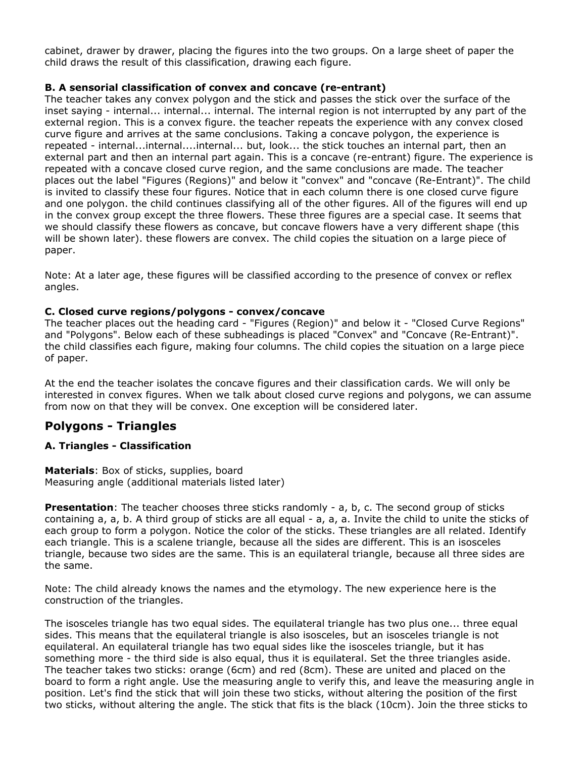cabinet, drawer by drawer, placing the figures into the two groups. On a large sheet of paper the child draws the result of this classification, drawing each figure.

### **B. A sensorial classification of convex and concave (re-entrant)**

The teacher takes any convex polygon and the stick and passes the stick over the surface of the inset saying - internal... internal... internal. The internal region is not interrupted by any part of the external region. This is a convex figure. the teacher repeats the experience with any convex closed curve figure and arrives at the same conclusions. Taking a concave polygon, the experience is repeated - internal...internal....internal... but, look... the stick touches an internal part, then an external part and then an internal part again. This is a concave (re-entrant) figure. The experience is repeated with a concave closed curve region, and the same conclusions are made. The teacher places out the label "Figures (Regions)" and below it "convex" and "concave (Re-Entrant)". The child is invited to classify these four figures. Notice that in each column there is one closed curve figure and one polygon. the child continues classifying all of the other figures. All of the figures will end up in the convex group except the three flowers. These three figures are a special case. It seems that we should classify these flowers as concave, but concave flowers have a very different shape (this will be shown later). these flowers are convex. The child copies the situation on a large piece of paper.

Note: At a later age, these figures will be classified according to the presence of convex or reflex angles.

#### **C. Closed curve regions/polygons - convex/concave**

The teacher places out the heading card - "Figures (Region)" and below it - "Closed Curve Regions" and "Polygons". Below each of these subheadings is placed "Convex" and "Concave (Re-Entrant)". the child classifies each figure, making four columns. The child copies the situation on a large piece of paper.

At the end the teacher isolates the concave figures and their classification cards. We will only be interested in convex figures. When we talk about closed curve regions and polygons, we can assume from now on that they will be convex. One exception will be considered later.

# **Polygons - Triangles**

# **A. Triangles - Classification**

**Materials**: Box of sticks, supplies, board Measuring angle (additional materials listed later)

**Presentation**: The teacher chooses three sticks randomly - a, b, c. The second group of sticks containing a, a, b. A third group of sticks are all equal - a, a, a. Invite the child to unite the sticks of each group to form a polygon. Notice the color of the sticks. These triangles are all related. Identify each triangle. This is a scalene triangle, because all the sides are different. This is an isosceles triangle, because two sides are the same. This is an equilateral triangle, because all three sides are the same.

Note: The child already knows the names and the etymology. The new experience here is the construction of the triangles.

The isosceles triangle has two equal sides. The equilateral triangle has two plus one... three equal sides. This means that the equilateral triangle is also isosceles, but an isosceles triangle is not equilateral. An equilateral triangle has two equal sides like the isosceles triangle, but it has something more - the third side is also equal, thus it is equilateral. Set the three triangles aside. The teacher takes two sticks: orange (6cm) and red (8cm). These are united and placed on the board to form a right angle. Use the measuring angle to verify this, and leave the measuring angle in position. Let's find the stick that will join these two sticks, without altering the position of the first two sticks, without altering the angle. The stick that fits is the black (10cm). Join the three sticks to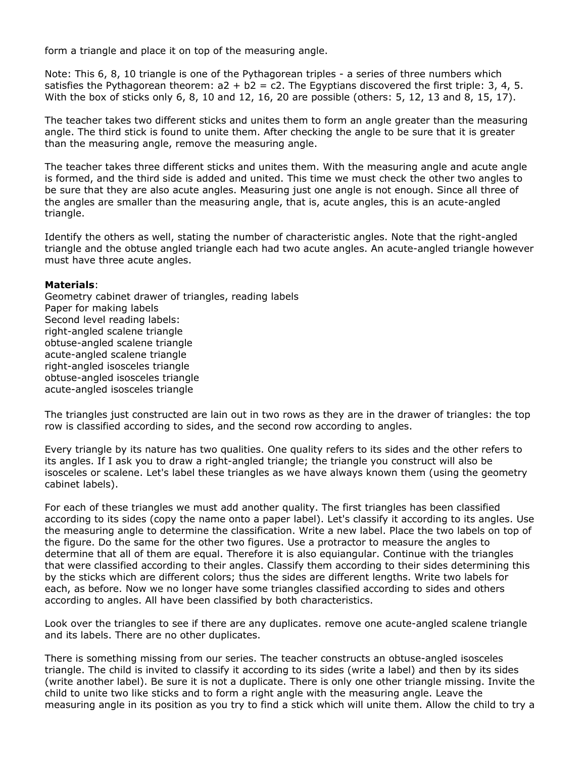form a triangle and place it on top of the measuring angle.

Note: This 6, 8, 10 triangle is one of the Pythagorean triples - a series of three numbers which satisfies the Pythagorean theorem:  $a2 + b2 = c2$ . The Egyptians discovered the first triple: 3, 4, 5. With the box of sticks only 6, 8, 10 and 12, 16, 20 are possible (others: 5, 12, 13 and 8, 15, 17).

The teacher takes two different sticks and unites them to form an angle greater than the measuring angle. The third stick is found to unite them. After checking the angle to be sure that it is greater than the measuring angle, remove the measuring angle.

The teacher takes three different sticks and unites them. With the measuring angle and acute angle is formed, and the third side is added and united. This time we must check the other two angles to be sure that they are also acute angles. Measuring just one angle is not enough. Since all three of the angles are smaller than the measuring angle, that is, acute angles, this is an acute-angled triangle.

Identify the others as well, stating the number of characteristic angles. Note that the right-angled triangle and the obtuse angled triangle each had two acute angles. An acute-angled triangle however must have three acute angles.

#### **Materials**:

Geometry cabinet drawer of triangles, reading labels Paper for making labels Second level reading labels: right-angled scalene triangle obtuse-angled scalene triangle acute-angled scalene triangle right-angled isosceles triangle obtuse-angled isosceles triangle acute-angled isosceles triangle

The triangles just constructed are lain out in two rows as they are in the drawer of triangles: the top row is classified according to sides, and the second row according to angles.

Every triangle by its nature has two qualities. One quality refers to its sides and the other refers to its angles. If I ask you to draw a right-angled triangle; the triangle you construct will also be isosceles or scalene. Let's label these triangles as we have always known them (using the geometry cabinet labels).

For each of these triangles we must add another quality. The first triangles has been classified according to its sides (copy the name onto a paper label). Let's classify it according to its angles. Use the measuring angle to determine the classification. Write a new label. Place the two labels on top of the figure. Do the same for the other two figures. Use a protractor to measure the angles to determine that all of them are equal. Therefore it is also equiangular. Continue with the triangles that were classified according to their angles. Classify them according to their sides determining this by the sticks which are different colors; thus the sides are different lengths. Write two labels for each, as before. Now we no longer have some triangles classified according to sides and others according to angles. All have been classified by both characteristics.

Look over the triangles to see if there are any duplicates. remove one acute-angled scalene triangle and its labels. There are no other duplicates.

There is something missing from our series. The teacher constructs an obtuse-angled isosceles triangle. The child is invited to classify it according to its sides (write a label) and then by its sides (write another label). Be sure it is not a duplicate. There is only one other triangle missing. Invite the child to unite two like sticks and to form a right angle with the measuring angle. Leave the measuring angle in its position as you try to find a stick which will unite them. Allow the child to try a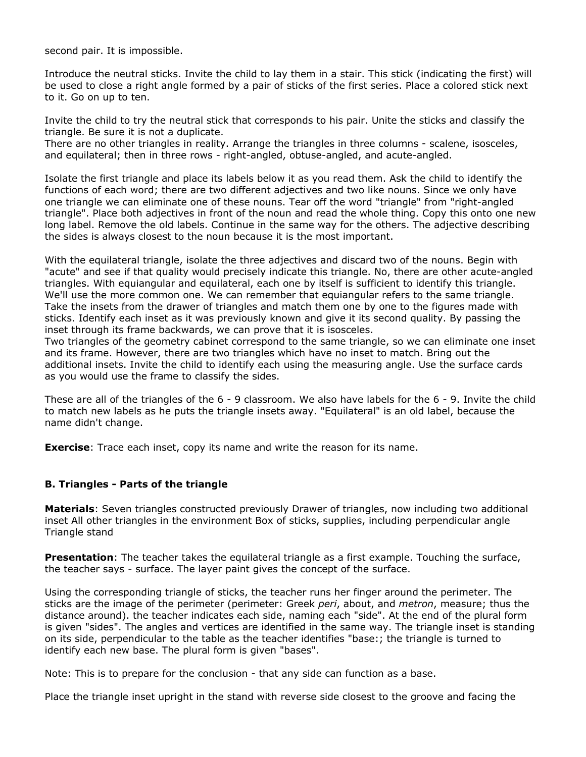second pair. It is impossible.

Introduce the neutral sticks. Invite the child to lay them in a stair. This stick (indicating the first) will be used to close a right angle formed by a pair of sticks of the first series. Place a colored stick next to it. Go on up to ten.

Invite the child to try the neutral stick that corresponds to his pair. Unite the sticks and classify the triangle. Be sure it is not a duplicate.

There are no other triangles in reality. Arrange the triangles in three columns - scalene, isosceles, and equilateral; then in three rows - right-angled, obtuse-angled, and acute-angled.

Isolate the first triangle and place its labels below it as you read them. Ask the child to identify the functions of each word; there are two different adjectives and two like nouns. Since we only have one triangle we can eliminate one of these nouns. Tear off the word "triangle" from "right-angled triangle". Place both adjectives in front of the noun and read the whole thing. Copy this onto one new long label. Remove the old labels. Continue in the same way for the others. The adjective describing the sides is always closest to the noun because it is the most important.

With the equilateral triangle, isolate the three adjectives and discard two of the nouns. Begin with "acute" and see if that quality would precisely indicate this triangle. No, there are other acute-angled triangles. With equiangular and equilateral, each one by itself is sufficient to identify this triangle. We'll use the more common one. We can remember that equiangular refers to the same triangle. Take the insets from the drawer of triangles and match them one by one to the figures made with sticks. Identify each inset as it was previously known and give it its second quality. By passing the inset through its frame backwards, we can prove that it is isosceles.

Two triangles of the geometry cabinet correspond to the same triangle, so we can eliminate one inset and its frame. However, there are two triangles which have no inset to match. Bring out the additional insets. Invite the child to identify each using the measuring angle. Use the surface cards as you would use the frame to classify the sides.

These are all of the triangles of the 6 - 9 classroom. We also have labels for the 6 - 9. Invite the child to match new labels as he puts the triangle insets away. "Equilateral" is an old label, because the name didn't change.

**Exercise**: Trace each inset, copy its name and write the reason for its name.

#### **B. Triangles - Parts of the triangle**

**Materials**: Seven triangles constructed previously Drawer of triangles, now including two additional inset All other triangles in the environment Box of sticks, supplies, including perpendicular angle Triangle stand

**Presentation**: The teacher takes the equilateral triangle as a first example. Touching the surface, the teacher says - surface. The layer paint gives the concept of the surface.

Using the corresponding triangle of sticks, the teacher runs her finger around the perimeter. The sticks are the image of the perimeter (perimeter: Greek *peri*, about, and *metron*, measure; thus the distance around). the teacher indicates each side, naming each "side". At the end of the plural form is given "sides". The angles and vertices are identified in the same way. The triangle inset is standing on its side, perpendicular to the table as the teacher identifies "base:; the triangle is turned to identify each new base. The plural form is given "bases".

Note: This is to prepare for the conclusion - that any side can function as a base.

Place the triangle inset upright in the stand with reverse side closest to the groove and facing the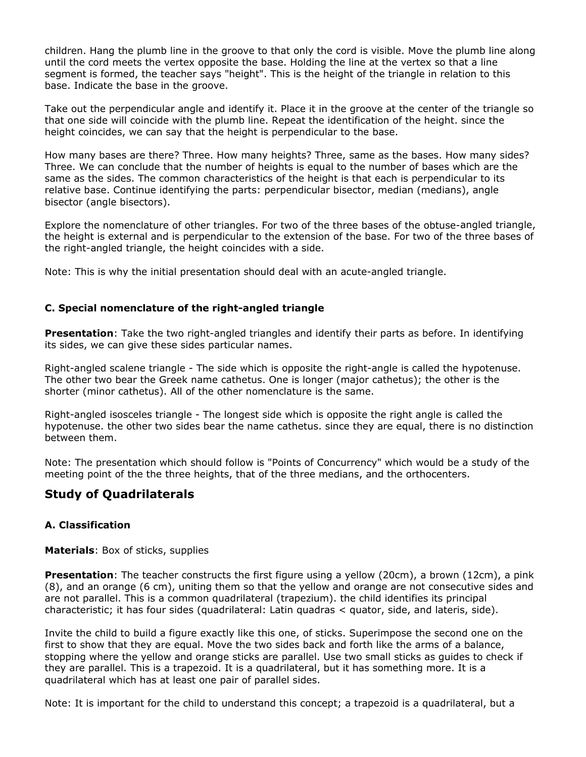children. Hang the plumb line in the groove to that only the cord is visible. Move the plumb line along until the cord meets the vertex opposite the base. Holding the line at the vertex so that a line segment is formed, the teacher says "height". This is the height of the triangle in relation to this base. Indicate the base in the groove.

Take out the perpendicular angle and identify it. Place it in the groove at the center of the triangle so that one side will coincide with the plumb line. Repeat the identification of the height. since the height coincides, we can say that the height is perpendicular to the base.

How many bases are there? Three. How many heights? Three, same as the bases. How many sides? Three. We can conclude that the number of heights is equal to the number of bases which are the same as the sides. The common characteristics of the height is that each is perpendicular to its relative base. Continue identifying the parts: perpendicular bisector, median (medians), angle bisector (angle bisectors).

Explore the nomenclature of other triangles. For two of the three bases of the obtuse-angled triangle, the height is external and is perpendicular to the extension of the base. For two of the three bases of the right-angled triangle, the height coincides with a side.

Note: This is why the initial presentation should deal with an acute-angled triangle.

### **C. Special nomenclature of the right-angled triangle**

**Presentation**: Take the two right-angled triangles and identify their parts as before. In identifying its sides, we can give these sides particular names.

Right-angled scalene triangle - The side which is opposite the right-angle is called the hypotenuse. The other two bear the Greek name cathetus. One is longer (major cathetus); the other is the shorter (minor cathetus). All of the other nomenclature is the same.

Right-angled isosceles triangle - The longest side which is opposite the right angle is called the hypotenuse. the other two sides bear the name cathetus. since they are equal, there is no distinction between them.

Note: The presentation which should follow is "Points of Concurrency" which would be a study of the meeting point of the the three heights, that of the three medians, and the orthocenters.

# **Study of Quadrilaterals**

# **A. Classification**

**Materials**: Box of sticks, supplies

**Presentation**: The teacher constructs the first figure using a yellow (20cm), a brown (12cm), a pink (8), and an orange (6 cm), uniting them so that the yellow and orange are not consecutive sides and are not parallel. This is a common quadrilateral (trapezium). the child identifies its principal characteristic; it has four sides (quadrilateral: Latin quadras < quator, side, and lateris, side).

Invite the child to build a figure exactly like this one, of sticks. Superimpose the second one on the first to show that they are equal. Move the two sides back and forth like the arms of a balance, stopping where the yellow and orange sticks are parallel. Use two small sticks as guides to check if they are parallel. This is a trapezoid. It is a quadrilateral, but it has something more. It is a quadrilateral which has at least one pair of parallel sides.

Note: It is important for the child to understand this concept; a trapezoid is a quadrilateral, but a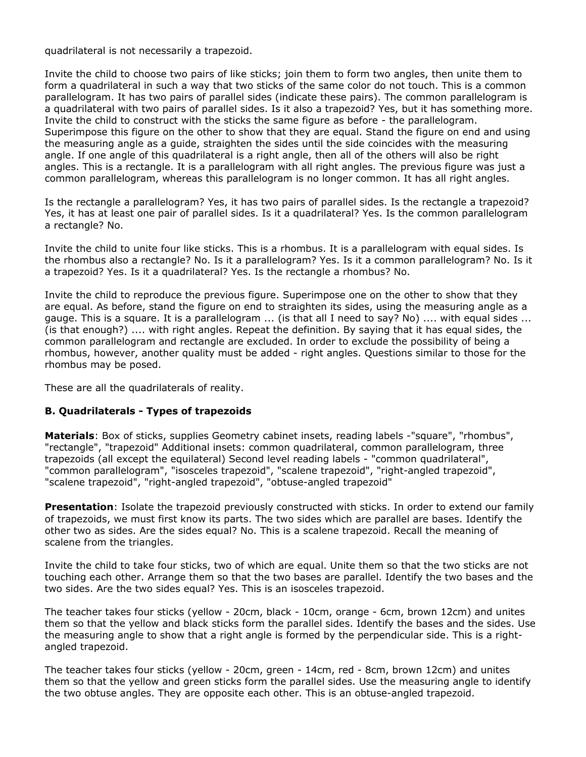quadrilateral is not necessarily a trapezoid.

Invite the child to choose two pairs of like sticks; join them to form two angles, then unite them to form a quadrilateral in such a way that two sticks of the same color do not touch. This is a common parallelogram. It has two pairs of parallel sides (indicate these pairs). The common parallelogram is a quadrilateral with two pairs of parallel sides. Is it also a trapezoid? Yes, but it has something more. Invite the child to construct with the sticks the same figure as before - the parallelogram. Superimpose this figure on the other to show that they are equal. Stand the figure on end and using the measuring angle as a guide, straighten the sides until the side coincides with the measuring angle. If one angle of this quadrilateral is a right angle, then all of the others will also be right angles. This is a rectangle. It is a parallelogram with all right angles. The previous figure was just a common parallelogram, whereas this parallelogram is no longer common. It has all right angles.

Is the rectangle a parallelogram? Yes, it has two pairs of parallel sides. Is the rectangle a trapezoid? Yes, it has at least one pair of parallel sides. Is it a quadrilateral? Yes. Is the common parallelogram a rectangle? No.

Invite the child to unite four like sticks. This is a rhombus. It is a parallelogram with equal sides. Is the rhombus also a rectangle? No. Is it a parallelogram? Yes. Is it a common parallelogram? No. Is it a trapezoid? Yes. Is it a quadrilateral? Yes. Is the rectangle a rhombus? No.

Invite the child to reproduce the previous figure. Superimpose one on the other to show that they are equal. As before, stand the figure on end to straighten its sides, using the measuring angle as a gauge. This is a square. It is a parallelogram ... (is that all I need to say? No) .... with equal sides ... (is that enough?) .... with right angles. Repeat the definition. By saying that it has equal sides, the common parallelogram and rectangle are excluded. In order to exclude the possibility of being a rhombus, however, another quality must be added - right angles. Questions similar to those for the rhombus may be posed.

These are all the quadrilaterals of reality.

#### **B. Quadrilaterals - Types of trapezoids**

**Materials**: Box of sticks, supplies Geometry cabinet insets, reading labels -"square", "rhombus", "rectangle", "trapezoid" Additional insets: common quadrilateral, common parallelogram, three trapezoids (all except the equilateral) Second level reading labels - "common quadrilateral", "common parallelogram", "isosceles trapezoid", "scalene trapezoid", "right-angled trapezoid", "scalene trapezoid", "right-angled trapezoid", "obtuse-angled trapezoid"

**Presentation**: Isolate the trapezoid previously constructed with sticks. In order to extend our family of trapezoids, we must first know its parts. The two sides which are parallel are bases. Identify the other two as sides. Are the sides equal? No. This is a scalene trapezoid. Recall the meaning of scalene from the triangles.

Invite the child to take four sticks, two of which are equal. Unite them so that the two sticks are not touching each other. Arrange them so that the two bases are parallel. Identify the two bases and the two sides. Are the two sides equal? Yes. This is an isosceles trapezoid.

The teacher takes four sticks (yellow - 20cm, black - 10cm, orange - 6cm, brown 12cm) and unites them so that the yellow and black sticks form the parallel sides. Identify the bases and the sides. Use the measuring angle to show that a right angle is formed by the perpendicular side. This is a rightangled trapezoid.

The teacher takes four sticks (yellow - 20cm, green - 14cm, red - 8cm, brown 12cm) and unites them so that the yellow and green sticks form the parallel sides. Use the measuring angle to identify the two obtuse angles. They are opposite each other. This is an obtuse-angled trapezoid.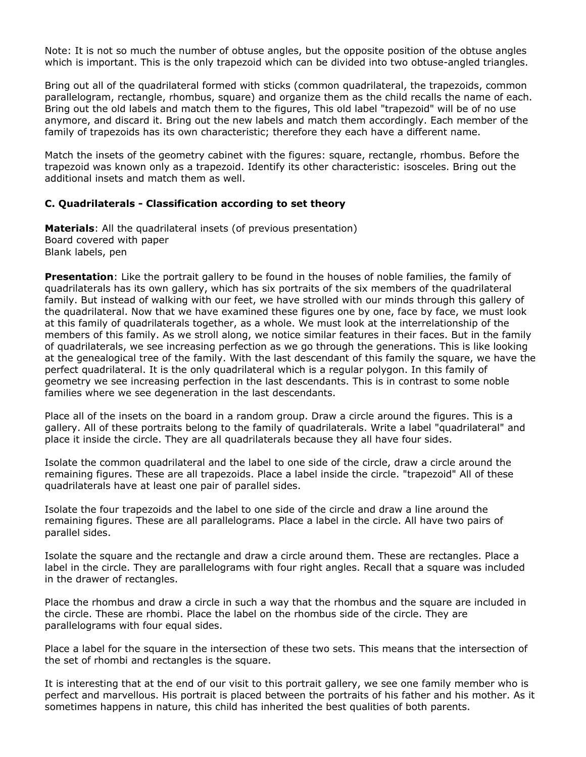Note: It is not so much the number of obtuse angles, but the opposite position of the obtuse angles which is important. This is the only trapezoid which can be divided into two obtuse-angled triangles.

Bring out all of the quadrilateral formed with sticks (common quadrilateral, the trapezoids, common parallelogram, rectangle, rhombus, square) and organize them as the child recalls the name of each. Bring out the old labels and match them to the figures, This old label "trapezoid" will be of no use anymore, and discard it. Bring out the new labels and match them accordingly. Each member of the family of trapezoids has its own characteristic; therefore they each have a different name.

Match the insets of the geometry cabinet with the figures: square, rectangle, rhombus. Before the trapezoid was known only as a trapezoid. Identify its other characteristic: isosceles. Bring out the additional insets and match them as well.

#### **C. Quadrilaterals - Classification according to set theory**

**Materials**: All the quadrilateral insets (of previous presentation) Board covered with paper Blank labels, pen

**Presentation**: Like the portrait gallery to be found in the houses of noble families, the family of quadrilaterals has its own gallery, which has six portraits of the six members of the quadrilateral family. But instead of walking with our feet, we have strolled with our minds through this gallery of the quadrilateral. Now that we have examined these figures one by one, face by face, we must look at this family of quadrilaterals together, as a whole. We must look at the interrelationship of the members of this family. As we stroll along, we notice similar features in their faces. But in the family of quadrilaterals, we see increasing perfection as we go through the generations. This is like looking at the genealogical tree of the family. With the last descendant of this family the square, we have the perfect quadrilateral. It is the only quadrilateral which is a regular polygon. In this family of geometry we see increasing perfection in the last descendants. This is in contrast to some noble families where we see degeneration in the last descendants.

Place all of the insets on the board in a random group. Draw a circle around the figures. This is a gallery. All of these portraits belong to the family of quadrilaterals. Write a label "quadrilateral" and place it inside the circle. They are all quadrilaterals because they all have four sides.

Isolate the common quadrilateral and the label to one side of the circle, draw a circle around the remaining figures. These are all trapezoids. Place a label inside the circle. "trapezoid" All of these quadrilaterals have at least one pair of parallel sides.

Isolate the four trapezoids and the label to one side of the circle and draw a line around the remaining figures. These are all parallelograms. Place a label in the circle. All have two pairs of parallel sides.

Isolate the square and the rectangle and draw a circle around them. These are rectangles. Place a label in the circle. They are parallelograms with four right angles. Recall that a square was included in the drawer of rectangles.

Place the rhombus and draw a circle in such a way that the rhombus and the square are included in the circle. These are rhombi. Place the label on the rhombus side of the circle. They are parallelograms with four equal sides.

Place a label for the square in the intersection of these two sets. This means that the intersection of the set of rhombi and rectangles is the square.

It is interesting that at the end of our visit to this portrait gallery, we see one family member who is perfect and marvellous. His portrait is placed between the portraits of his father and his mother. As it sometimes happens in nature, this child has inherited the best qualities of both parents.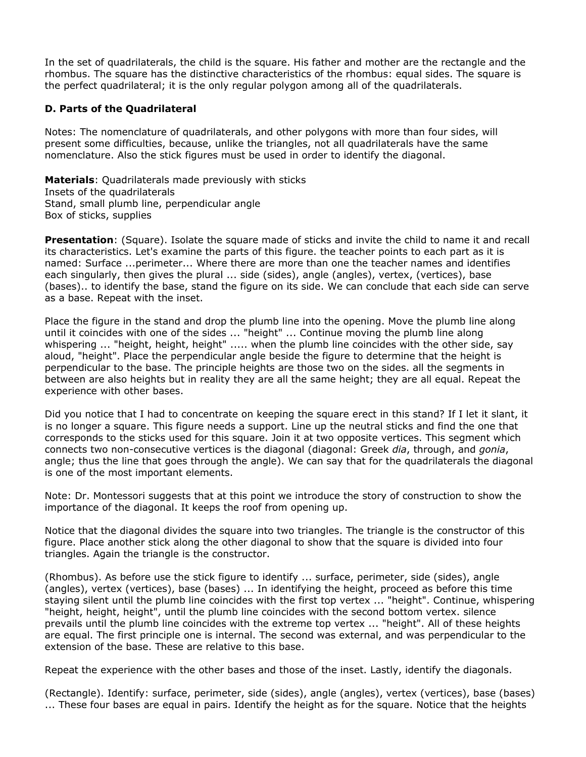In the set of quadrilaterals, the child is the square. His father and mother are the rectangle and the rhombus. The square has the distinctive characteristics of the rhombus: equal sides. The square is the perfect quadrilateral; it is the only regular polygon among all of the quadrilaterals.

### **D. Parts of the Quadrilateral**

Notes: The nomenclature of quadrilaterals, and other polygons with more than four sides, will present some difficulties, because, unlike the triangles, not all quadrilaterals have the same nomenclature. Also the stick figures must be used in order to identify the diagonal.

**Materials**: Quadrilaterals made previously with sticks Insets of the quadrilaterals Stand, small plumb line, perpendicular angle Box of sticks, supplies

**Presentation**: (Square). Isolate the square made of sticks and invite the child to name it and recall its characteristics. Let's examine the parts of this figure. the teacher points to each part as it is named: Surface ...perimeter... Where there are more than one the teacher names and identifies each singularly, then gives the plural ... side (sides), angle (angles), vertex, (vertices), base (bases).. to identify the base, stand the figure on its side. We can conclude that each side can serve as a base. Repeat with the inset.

Place the figure in the stand and drop the plumb line into the opening. Move the plumb line along until it coincides with one of the sides ... "height" ... Continue moving the plumb line along whispering ... "height, height, height" ..... when the plumb line coincides with the other side, say aloud, "height". Place the perpendicular angle beside the figure to determine that the height is perpendicular to the base. The principle heights are those two on the sides. all the segments in between are also heights but in reality they are all the same height; they are all equal. Repeat the experience with other bases.

Did you notice that I had to concentrate on keeping the square erect in this stand? If I let it slant, it is no longer a square. This figure needs a support. Line up the neutral sticks and find the one that corresponds to the sticks used for this square. Join it at two opposite vertices. This segment which connects two non-consecutive vertices is the diagonal (diagonal: Greek *dia*, through, and *gonia*, angle; thus the line that goes through the angle). We can say that for the quadrilaterals the diagonal is one of the most important elements.

Note: Dr. Montessori suggests that at this point we introduce the story of construction to show the importance of the diagonal. It keeps the roof from opening up.

Notice that the diagonal divides the square into two triangles. The triangle is the constructor of this figure. Place another stick along the other diagonal to show that the square is divided into four triangles. Again the triangle is the constructor.

(Rhombus). As before use the stick figure to identify ... surface, perimeter, side (sides), angle (angles), vertex (vertices), base (bases) ... In identifying the height, proceed as before this time staying silent until the plumb line coincides with the first top vertex ... "height". Continue, whispering "height, height, height", until the plumb line coincides with the second bottom vertex. silence prevails until the plumb line coincides with the extreme top vertex ... "height". All of these heights are equal. The first principle one is internal. The second was external, and was perpendicular to the extension of the base. These are relative to this base.

Repeat the experience with the other bases and those of the inset. Lastly, identify the diagonals.

(Rectangle). Identify: surface, perimeter, side (sides), angle (angles), vertex (vertices), base (bases) ... These four bases are equal in pairs. Identify the height as for the square. Notice that the heights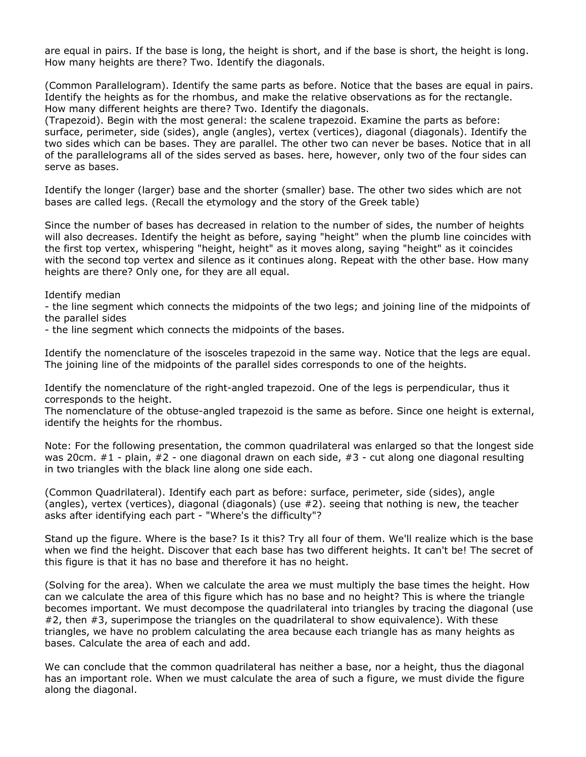are equal in pairs. If the base is long, the height is short, and if the base is short, the height is long. How many heights are there? Two. Identify the diagonals.

(Common Parallelogram). Identify the same parts as before. Notice that the bases are equal in pairs. Identify the heights as for the rhombus, and make the relative observations as for the rectangle. How many different heights are there? Two. Identify the diagonals.

(Trapezoid). Begin with the most general: the scalene trapezoid. Examine the parts as before: surface, perimeter, side (sides), angle (angles), vertex (vertices), diagonal (diagonals). Identify the two sides which can be bases. They are parallel. The other two can never be bases. Notice that in all of the parallelograms all of the sides served as bases. here, however, only two of the four sides can serve as bases.

Identify the longer (larger) base and the shorter (smaller) base. The other two sides which are not bases are called legs. (Recall the etymology and the story of the Greek table)

Since the number of bases has decreased in relation to the number of sides, the number of heights will also decreases. Identify the height as before, saying "height" when the plumb line coincides with the first top vertex, whispering "height, height" as it moves along, saying "height" as it coincides with the second top vertex and silence as it continues along. Repeat with the other base. How many heights are there? Only one, for they are all equal.

Identify median

- the line segment which connects the midpoints of the two legs; and joining line of the midpoints of the parallel sides

- the line segment which connects the midpoints of the bases.

Identify the nomenclature of the isosceles trapezoid in the same way. Notice that the legs are equal. The joining line of the midpoints of the parallel sides corresponds to one of the heights.

Identify the nomenclature of the right-angled trapezoid. One of the legs is perpendicular, thus it corresponds to the height.

The nomenclature of the obtuse-angled trapezoid is the same as before. Since one height is external, identify the heights for the rhombus.

Note: For the following presentation, the common quadrilateral was enlarged so that the longest side was 20cm. #1 - plain, #2 - one diagonal drawn on each side, #3 - cut along one diagonal resulting in two triangles with the black line along one side each.

(Common Quadrilateral). Identify each part as before: surface, perimeter, side (sides), angle (angles), vertex (vertices), diagonal (diagonals) (use #2). seeing that nothing is new, the teacher asks after identifying each part - "Where's the difficulty"?

Stand up the figure. Where is the base? Is it this? Try all four of them. We'll realize which is the base when we find the height. Discover that each base has two different heights. It can't be! The secret of this figure is that it has no base and therefore it has no height.

(Solving for the area). When we calculate the area we must multiply the base times the height. How can we calculate the area of this figure which has no base and no height? This is where the triangle becomes important. We must decompose the quadrilateral into triangles by tracing the diagonal (use #2, then #3, superimpose the triangles on the quadrilateral to show equivalence). With these triangles, we have no problem calculating the area because each triangle has as many heights as bases. Calculate the area of each and add.

We can conclude that the common quadrilateral has neither a base, nor a height, thus the diagonal has an important role. When we must calculate the area of such a figure, we must divide the figure along the diagonal.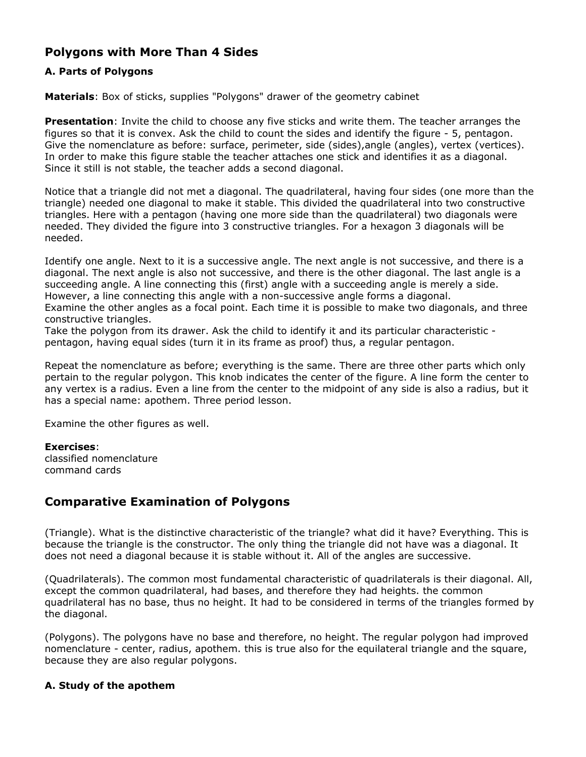# **Polygons with More Than 4 Sides**

# **A. Parts of Polygons**

**Materials**: Box of sticks, supplies "Polygons" drawer of the geometry cabinet

**Presentation**: Invite the child to choose any five sticks and write them. The teacher arranges the figures so that it is convex. Ask the child to count the sides and identify the figure - 5, pentagon. Give the nomenclature as before: surface, perimeter, side (sides), angle (angles), vertex (vertices). In order to make this figure stable the teacher attaches one stick and identifies it as a diagonal. Since it still is not stable, the teacher adds a second diagonal.

Notice that a triangle did not met a diagonal. The quadrilateral, having four sides (one more than the triangle) needed one diagonal to make it stable. This divided the quadrilateral into two constructive triangles. Here with a pentagon (having one more side than the quadrilateral) two diagonals were needed. They divided the figure into 3 constructive triangles. For a hexagon 3 diagonals will be needed.

Identify one angle. Next to it is a successive angle. The next angle is not successive, and there is a diagonal. The next angle is also not successive, and there is the other diagonal. The last angle is a succeeding angle. A line connecting this (first) angle with a succeeding angle is merely a side. However, a line connecting this angle with a non-successive angle forms a diagonal.

Examine the other angles as a focal point. Each time it is possible to make two diagonals, and three constructive triangles.

Take the polygon from its drawer. Ask the child to identify it and its particular characteristic pentagon, having equal sides (turn it in its frame as proof) thus, a regular pentagon.

Repeat the nomenclature as before; everything is the same. There are three other parts which only pertain to the regular polygon. This knob indicates the center of the figure. A line form the center to any vertex is a radius. Even a line from the center to the midpoint of any side is also a radius, but it has a special name: apothem. Three period lesson.

Examine the other figures as well.

#### **Exercises**:

classified nomenclature command cards

# **Comparative Examination of Polygons**

(Triangle). What is the distinctive characteristic of the triangle? what did it have? Everything. This is because the triangle is the constructor. The only thing the triangle did not have was a diagonal. It does not need a diagonal because it is stable without it. All of the angles are successive.

(Quadrilaterals). The common most fundamental characteristic of quadrilaterals is their diagonal. All, except the common quadrilateral, had bases, and therefore they had heights. the common quadrilateral has no base, thus no height. It had to be considered in terms of the triangles formed by the diagonal.

(Polygons). The polygons have no base and therefore, no height. The regular polygon had improved nomenclature - center, radius, apothem. this is true also for the equilateral triangle and the square, because they are also regular polygons.

# **A. Study of the apothem**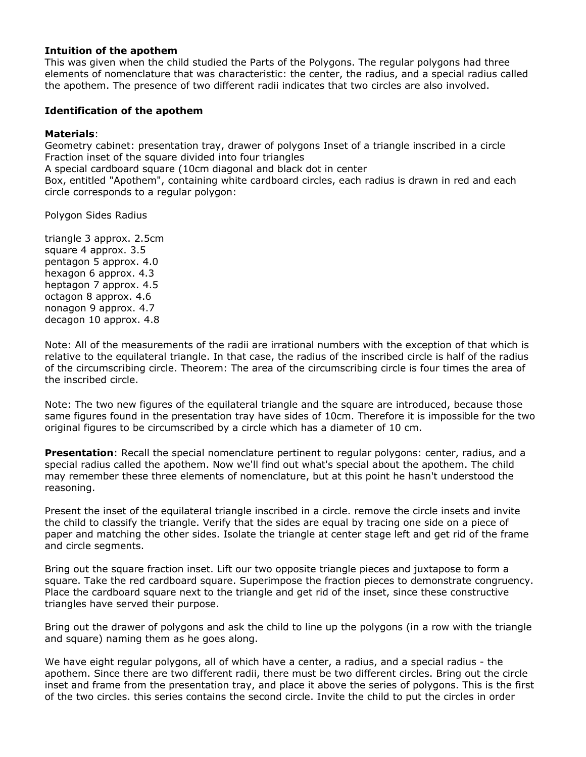#### **Intuition of the apothem**

This was given when the child studied the Parts of the Polygons. The regular polygons had three elements of nomenclature that was characteristic: the center, the radius, and a special radius called the apothem. The presence of two different radii indicates that two circles are also involved.

### **Identification of the apothem**

#### **Materials**:

Geometry cabinet: presentation tray, drawer of polygons Inset of a triangle inscribed in a circle Fraction inset of the square divided into four triangles

A special cardboard square (10cm diagonal and black dot in center

Box, entitled "Apothem", containing white cardboard circles, each radius is drawn in red and each circle corresponds to a regular polygon:

Polygon Sides Radius

triangle 3 approx. 2.5cm square 4 approx. 3.5 pentagon 5 approx. 4.0 hexagon 6 approx. 4.3 heptagon 7 approx. 4.5 octagon 8 approx. 4.6 nonagon 9 approx. 4.7 decagon 10 approx. 4.8

Note: All of the measurements of the radii are irrational numbers with the exception of that which is relative to the equilateral triangle. In that case, the radius of the inscribed circle is half of the radius of the circumscribing circle. Theorem: The area of the circumscribing circle is four times the area of the inscribed circle.

Note: The two new figures of the equilateral triangle and the square are introduced, because those same figures found in the presentation tray have sides of 10cm. Therefore it is impossible for the two original figures to be circumscribed by a circle which has a diameter of 10 cm.

**Presentation**: Recall the special nomenclature pertinent to regular polygons: center, radius, and a special radius called the apothem. Now we'll find out what's special about the apothem. The child may remember these three elements of nomenclature, but at this point he hasn't understood the reasoning.

Present the inset of the equilateral triangle inscribed in a circle. remove the circle insets and invite the child to classify the triangle. Verify that the sides are equal by tracing one side on a piece of paper and matching the other sides. Isolate the triangle at center stage left and get rid of the frame and circle segments.

Bring out the square fraction inset. Lift our two opposite triangle pieces and juxtapose to form a square. Take the red cardboard square. Superimpose the fraction pieces to demonstrate congruency. Place the cardboard square next to the triangle and get rid of the inset, since these constructive triangles have served their purpose.

Bring out the drawer of polygons and ask the child to line up the polygons (in a row with the triangle and square) naming them as he goes along.

We have eight regular polygons, all of which have a center, a radius, and a special radius - the apothem. Since there are two different radii, there must be two different circles. Bring out the circle inset and frame from the presentation tray, and place it above the series of polygons. This is the first of the two circles. this series contains the second circle. Invite the child to put the circles in order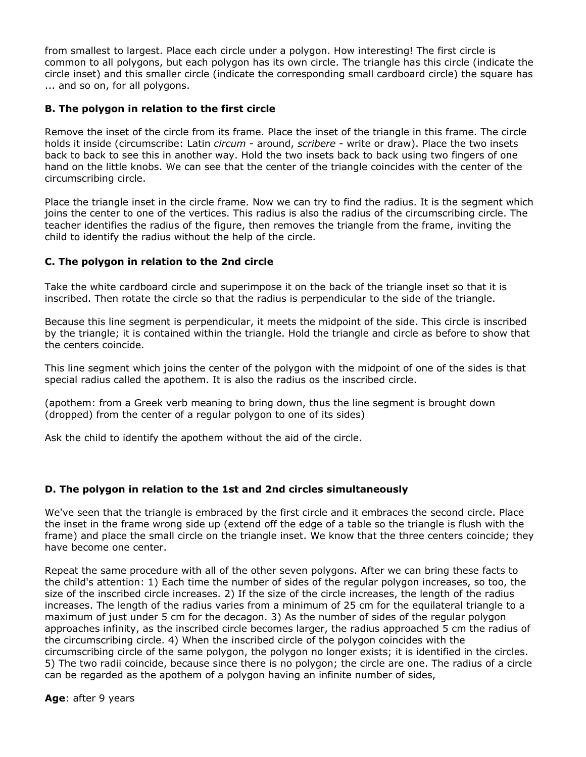from smallest to largest. Place each circle under a polygon. How interesting! The first circle is common to all polygons, but each polygon has its own circle. The triangle has this circle (indicate the circle inset) and this smaller circle (indicate the corresponding small cardboard circle) the square has ... and so on, for all polygons.

# **B. The polygon in relation to the first circle**

Remove the inset of the circle from its frame. Place the inset of the triangle in this frame. The circle holds it inside (circumscribe: Latin *circum* - around, *scribere* - write or draw). Place the two insets back to back to see this in another way. Hold the two insets back to back using two fingers of one hand on the little knobs. We can see that the center of the triangle coincides with the center of the circumscribing circle.

Place the triangle inset in the circle frame. Now we can try to find the radius. It is the segment which joins the center to one of the vertices. This radius is also the radius of the circumscribing circle. The teacher identifies the radius of the figure, then removes the triangle from the frame, inviting the child to identify the radius without the help of the circle.

# **C. The polygon in relation to the 2nd circle**

Take the white cardboard circle and superimpose it on the back of the triangle inset so that it is inscribed. Then rotate the circle so that the radius is perpendicular to the side of the triangle.

Because this line segment is perpendicular, it meets the midpoint of the side. This circle is inscribed by the triangle; it is contained within the triangle. Hold the triangle and circle as before to show that the centers coincide.

This line segment which joins the center of the polygon with the midpoint of one of the sides is that special radius called the apothem. It is also the radius os the inscribed circle.

(apothem: from a Greek verb meaning to bring down, thus the line segment is brought down (dropped) from the center of a regular polygon to one of its sides)

Ask the child to identify the apothem without the aid of the circle.

# **D. The polygon in relation to the 1st and 2nd circles simultaneously**

We've seen that the triangle is embraced by the first circle and it embraces the second circle. Place the inset in the frame wrong side up (extend off the edge of a table so the triangle is flush with the frame) and place the small circle on the triangle inset. We know that the three centers coincide; they have become one center.

Repeat the same procedure with all of the other seven polygons. After we can bring these facts to the child's attention: 1) Each time the number of sides of the regular polygon increases, so too, the size of the inscribed circle increases. 2) If the size of the circle increases, the length of the radius increases. The length of the radius varies from a minimum of 25 cm for the equilateral triangle to a maximum of just under 5 cm for the decagon. 3) As the number of sides of the regular polygon approaches infinity, as the inscribed circle becomes larger, the radius approached 5 cm the radius of the circumscribing circle. 4) When the inscribed circle of the polygon coincides with the circumscribing circle of the same polygon, the polygon no longer exists; it is identified in the circles. 5) The two radii coincide, because since there is no polygon; the circle are one. The radius of a circle can be regarded as the apothem of a polygon having an infinite number of sides,

**Age**: after 9 years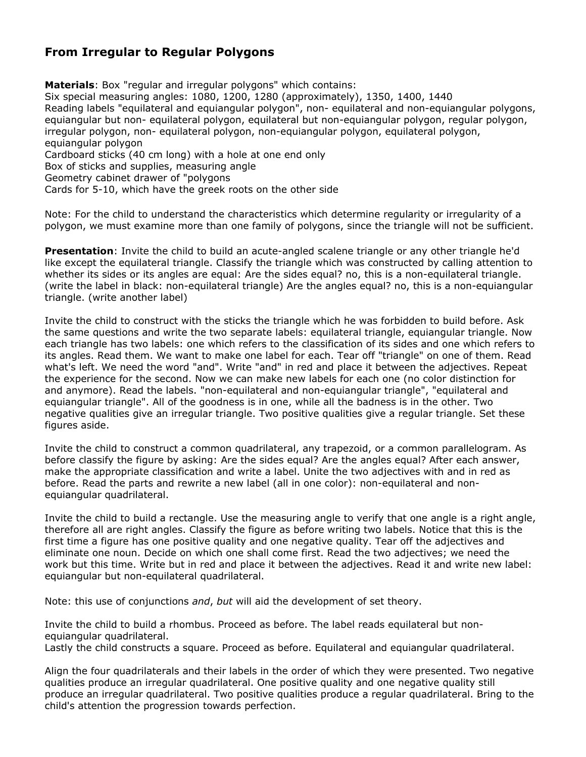# **From Irregular to Regular Polygons**

**Materials**: Box "regular and irregular polygons" which contains: Six special measuring angles: 1080, 1200, 1280 (approximately), 1350, 1400, 1440 Reading labels "equilateral and equiangular polygon", non- equilateral and non-equiangular polygons, equiangular but non- equilateral polygon, equilateral but non-equiangular polygon, regular polygon, irregular polygon, non- equilateral polygon, non-equiangular polygon, equilateral polygon, equiangular polygon Cardboard sticks (40 cm long) with a hole at one end only Box of sticks and supplies, measuring angle Geometry cabinet drawer of "polygons

Cards for 5-10, which have the greek roots on the other side

Note: For the child to understand the characteristics which determine regularity or irregularity of a polygon, we must examine more than one family of polygons, since the triangle will not be sufficient.

**Presentation**: Invite the child to build an acute-angled scalene triangle or any other triangle he'd like except the equilateral triangle. Classify the triangle which was constructed by calling attention to whether its sides or its angles are equal: Are the sides equal? no, this is a non-equilateral triangle. (write the label in black: non-equilateral triangle) Are the angles equal? no, this is a non-equiangular triangle. (write another label)

Invite the child to construct with the sticks the triangle which he was forbidden to build before. Ask the same questions and write the two separate labels: equilateral triangle, equiangular triangle. Now each triangle has two labels: one which refers to the classification of its sides and one which refers to its angles. Read them. We want to make one label for each. Tear off "triangle" on one of them. Read what's left. We need the word "and". Write "and" in red and place it between the adjectives. Repeat the experience for the second. Now we can make new labels for each one (no color distinction for and anymore). Read the labels. "non-equilateral and non-equiangular triangle", "equilateral and equiangular triangle". All of the goodness is in one, while all the badness is in the other. Two negative qualities give an irregular triangle. Two positive qualities give a regular triangle. Set these figures aside.

Invite the child to construct a common quadrilateral, any trapezoid, or a common parallelogram. As before classify the figure by asking: Are the sides equal? Are the angles equal? After each answer, make the appropriate classification and write a label. Unite the two adjectives with and in red as before. Read the parts and rewrite a new label (all in one color): non-equilateral and nonequiangular quadrilateral.

Invite the child to build a rectangle. Use the measuring angle to verify that one angle is a right angle, therefore all are right angles. Classify the figure as before writing two labels. Notice that this is the first time a figure has one positive quality and one negative quality. Tear off the adjectives and eliminate one noun. Decide on which one shall come first. Read the two adjectives; we need the work but this time. Write but in red and place it between the adjectives. Read it and write new label: equiangular but non-equilateral quadrilateral.

Note: this use of conjunctions *and*, *but* will aid the development of set theory.

Invite the child to build a rhombus. Proceed as before. The label reads equilateral but nonequiangular quadrilateral.

Lastly the child constructs a square. Proceed as before. Equilateral and equiangular quadrilateral.

Align the four quadrilaterals and their labels in the order of which they were presented. Two negative qualities produce an irregular quadrilateral. One positive quality and one negative quality still produce an irregular quadrilateral. Two positive qualities produce a regular quadrilateral. Bring to the child's attention the progression towards perfection.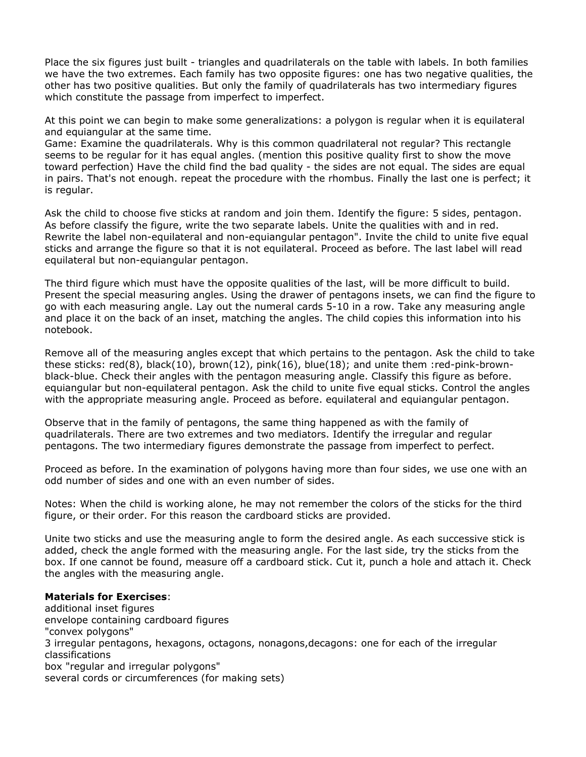Place the six figures just built - triangles and quadrilaterals on the table with labels. In both families we have the two extremes. Each family has two opposite figures: one has two negative qualities, the other has two positive qualities. But only the family of quadrilaterals has two intermediary figures which constitute the passage from imperfect to imperfect.

At this point we can begin to make some generalizations: a polygon is regular when it is equilateral and equiangular at the same time.

Game: Examine the quadrilaterals. Why is this common quadrilateral not regular? This rectangle seems to be regular for it has equal angles. (mention this positive quality first to show the move toward perfection) Have the child find the bad quality - the sides are not equal. The sides are equal in pairs. That's not enough. repeat the procedure with the rhombus. Finally the last one is perfect; it is regular.

Ask the child to choose five sticks at random and join them. Identify the figure: 5 sides, pentagon. As before classify the figure, write the two separate labels. Unite the qualities with and in red. Rewrite the label non-equilateral and non-equiangular pentagon". Invite the child to unite five equal sticks and arrange the figure so that it is not equilateral. Proceed as before. The last label will read equilateral but non-equiangular pentagon.

The third figure which must have the opposite qualities of the last, will be more difficult to build. Present the special measuring angles. Using the drawer of pentagons insets, we can find the figure to go with each measuring angle. Lay out the numeral cards 5-10 in a row. Take any measuring angle and place it on the back of an inset, matching the angles. The child copies this information into his notebook.

Remove all of the measuring angles except that which pertains to the pentagon. Ask the child to take these sticks: red(8), black(10), brown(12), pink(16), blue(18); and unite them :red-pink-brownblack-blue. Check their angles with the pentagon measuring angle. Classify this figure as before. equiangular but non-equilateral pentagon. Ask the child to unite five equal sticks. Control the angles with the appropriate measuring angle. Proceed as before. equilateral and equiangular pentagon.

Observe that in the family of pentagons, the same thing happened as with the family of quadrilaterals. There are two extremes and two mediators. Identify the irregular and regular pentagons. The two intermediary figures demonstrate the passage from imperfect to perfect.

Proceed as before. In the examination of polygons having more than four sides, we use one with an odd number of sides and one with an even number of sides.

Notes: When the child is working alone, he may not remember the colors of the sticks for the third figure, or their order. For this reason the cardboard sticks are provided.

Unite two sticks and use the measuring angle to form the desired angle. As each successive stick is added, check the angle formed with the measuring angle. For the last side, try the sticks from the box. If one cannot be found, measure off a cardboard stick. Cut it, punch a hole and attach it. Check the angles with the measuring angle.

#### **Materials for Exercises**:

additional inset figures envelope containing cardboard figures "convex polygons" 3 irregular pentagons, hexagons, octagons, nonagons,decagons: one for each of the irregular classifications box "regular and irregular polygons" several cords or circumferences (for making sets)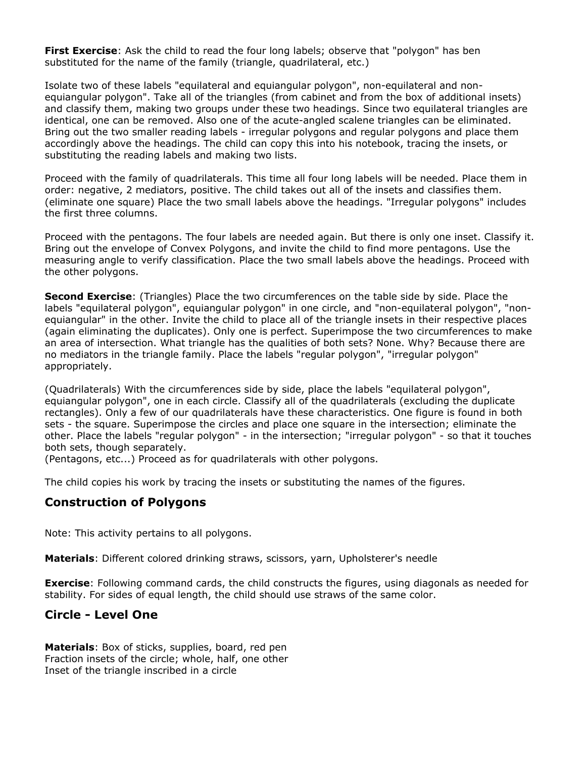**First Exercise**: Ask the child to read the four long labels; observe that "polygon" has ben substituted for the name of the family (triangle, quadrilateral, etc.)

Isolate two of these labels "equilateral and equiangular polygon", non-equilateral and nonequiangular polygon". Take all of the triangles (from cabinet and from the box of additional insets) and classify them, making two groups under these two headings. Since two equilateral triangles are identical, one can be removed. Also one of the acute-angled scalene triangles can be eliminated. Bring out the two smaller reading labels - irregular polygons and regular polygons and place them accordingly above the headings. The child can copy this into his notebook, tracing the insets, or substituting the reading labels and making two lists.

Proceed with the family of quadrilaterals. This time all four long labels will be needed. Place them in order: negative, 2 mediators, positive. The child takes out all of the insets and classifies them. (eliminate one square) Place the two small labels above the headings. "Irregular polygons" includes the first three columns.

Proceed with the pentagons. The four labels are needed again. But there is only one inset. Classify it. Bring out the envelope of Convex Polygons, and invite the child to find more pentagons. Use the measuring angle to verify classification. Place the two small labels above the headings. Proceed with the other polygons.

**Second Exercise**: (Triangles) Place the two circumferences on the table side by side. Place the labels "equilateral polygon", equiangular polygon" in one circle, and "non-equilateral polygon", "nonequiangular" in the other. Invite the child to place all of the triangle insets in their respective places (again eliminating the duplicates). Only one is perfect. Superimpose the two circumferences to make an area of intersection. What triangle has the qualities of both sets? None. Why? Because there are no mediators in the triangle family. Place the labels "regular polygon", "irregular polygon" appropriately.

(Quadrilaterals) With the circumferences side by side, place the labels "equilateral polygon", equiangular polygon", one in each circle. Classify all of the quadrilaterals (excluding the duplicate rectangles). Only a few of our quadrilaterals have these characteristics. One figure is found in both sets - the square. Superimpose the circles and place one square in the intersection; eliminate the other. Place the labels "regular polygon" - in the intersection; "irregular polygon" - so that it touches both sets, though separately.

(Pentagons, etc...) Proceed as for quadrilaterals with other polygons.

The child copies his work by tracing the insets or substituting the names of the figures.

# **Construction of Polygons**

Note: This activity pertains to all polygons.

**Materials**: Different colored drinking straws, scissors, yarn, Upholsterer's needle

**Exercise**: Following command cards, the child constructs the figures, using diagonals as needed for stability. For sides of equal length, the child should use straws of the same color.

# **Circle - Level One**

**Materials**: Box of sticks, supplies, board, red pen Fraction insets of the circle; whole, half, one other Inset of the triangle inscribed in a circle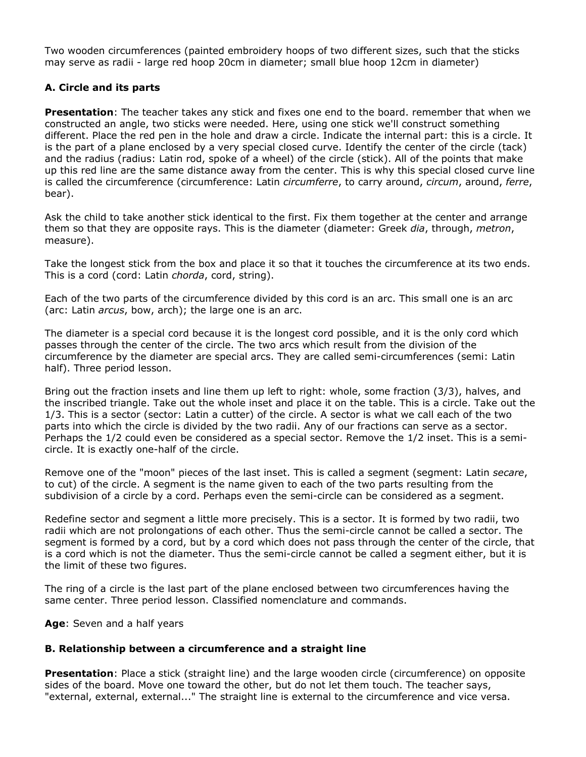Two wooden circumferences (painted embroidery hoops of two different sizes, such that the sticks may serve as radii - large red hoop 20cm in diameter; small blue hoop 12cm in diameter)

# **A. Circle and its parts**

**Presentation**: The teacher takes any stick and fixes one end to the board. remember that when we constructed an angle, two sticks were needed. Here, using one stick we'll construct something different. Place the red pen in the hole and draw a circle. Indicate the internal part: this is a circle. It is the part of a plane enclosed by a very special closed curve. Identify the center of the circle (tack) and the radius (radius: Latin rod, spoke of a wheel) of the circle (stick). All of the points that make up this red line are the same distance away from the center. This is why this special closed curve line is called the circumference (circumference: Latin *circumferre*, to carry around, *circum*, around, *ferre*, bear).

Ask the child to take another stick identical to the first. Fix them together at the center and arrange them so that they are opposite rays. This is the diameter (diameter: Greek *dia*, through, *metron*, measure).

Take the longest stick from the box and place it so that it touches the circumference at its two ends. This is a cord (cord: Latin *chorda*, cord, string).

Each of the two parts of the circumference divided by this cord is an arc. This small one is an arc (arc: Latin *arcus*, bow, arch); the large one is an arc.

The diameter is a special cord because it is the longest cord possible, and it is the only cord which passes through the center of the circle. The two arcs which result from the division of the circumference by the diameter are special arcs. They are called semi-circumferences (semi: Latin half). Three period lesson.

Bring out the fraction insets and line them up left to right: whole, some fraction (3/3), halves, and the inscribed triangle. Take out the whole inset and place it on the table. This is a circle. Take out the 1/3. This is a sector (sector: Latin a cutter) of the circle. A sector is what we call each of the two parts into which the circle is divided by the two radii. Any of our fractions can serve as a sector. Perhaps the 1/2 could even be considered as a special sector. Remove the 1/2 inset. This is a semicircle. It is exactly one-half of the circle.

Remove one of the "moon" pieces of the last inset. This is called a segment (segment: Latin *secare*, to cut) of the circle. A segment is the name given to each of the two parts resulting from the subdivision of a circle by a cord. Perhaps even the semi-circle can be considered as a segment.

Redefine sector and segment a little more precisely. This is a sector. It is formed by two radii, two radii which are not prolongations of each other. Thus the semi-circle cannot be called a sector. The segment is formed by a cord, but by a cord which does not pass through the center of the circle, that is a cord which is not the diameter. Thus the semi-circle cannot be called a segment either, but it is the limit of these two figures.

The ring of a circle is the last part of the plane enclosed between two circumferences having the same center. Three period lesson. Classified nomenclature and commands.

**Age**: Seven and a half years

# **B. Relationship between a circumference and a straight line**

**Presentation**: Place a stick (straight line) and the large wooden circle (circumference) on opposite sides of the board. Move one toward the other, but do not let them touch. The teacher says, "external, external, external..." The straight line is external to the circumference and vice versa.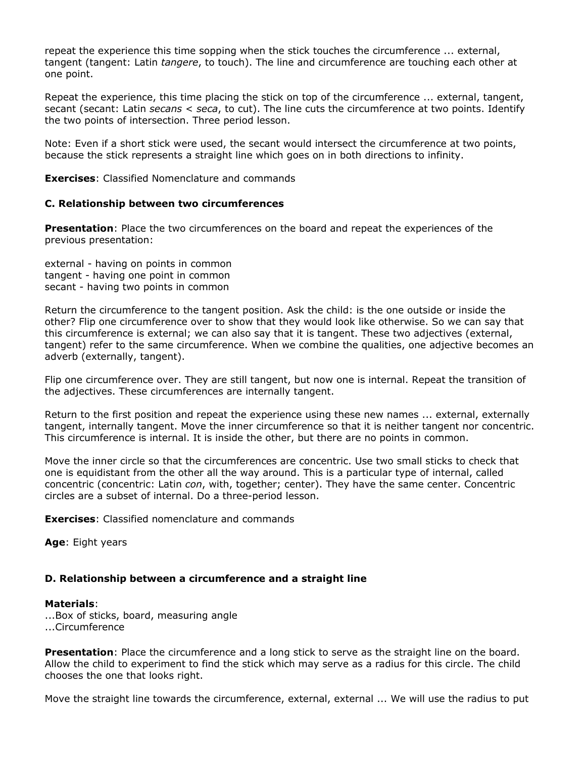repeat the experience this time sopping when the stick touches the circumference ... external, tangent (tangent: Latin *tangere*, to touch). The line and circumference are touching each other at one point.

Repeat the experience, this time placing the stick on top of the circumference ... external, tangent, secant (secant: Latin *secans* < *seca*, to cut). The line cuts the circumference at two points. Identify the two points of intersection. Three period lesson.

Note: Even if a short stick were used, the secant would intersect the circumference at two points, because the stick represents a straight line which goes on in both directions to infinity.

**Exercises**: Classified Nomenclature and commands

#### **C. Relationship between two circumferences**

**Presentation**: Place the two circumferences on the board and repeat the experiences of the previous presentation:

external - having on points in common tangent - having one point in common secant - having two points in common

Return the circumference to the tangent position. Ask the child: is the one outside or inside the other? Flip one circumference over to show that they would look like otherwise. So we can say that this circumference is external; we can also say that it is tangent. These two adjectives (external, tangent) refer to the same circumference. When we combine the qualities, one adjective becomes an adverb (externally, tangent).

Flip one circumference over. They are still tangent, but now one is internal. Repeat the transition of the adjectives. These circumferences are internally tangent.

Return to the first position and repeat the experience using these new names ... external, externally tangent, internally tangent. Move the inner circumference so that it is neither tangent nor concentric. This circumference is internal. It is inside the other, but there are no points in common.

Move the inner circle so that the circumferences are concentric. Use two small sticks to check that one is equidistant from the other all the way around. This is a particular type of internal, called concentric (concentric: Latin *con*, with, together; center). They have the same center. Concentric circles are a subset of internal. Do a three-period lesson.

**Exercises**: Classified nomenclature and commands

**Age**: Eight years

#### **D. Relationship between a circumference and a straight line**

#### **Materials**:

...Box of sticks, board, measuring angle ...Circumference

**Presentation**: Place the circumference and a long stick to serve as the straight line on the board. Allow the child to experiment to find the stick which may serve as a radius for this circle. The child chooses the one that looks right.

Move the straight line towards the circumference, external, external ... We will use the radius to put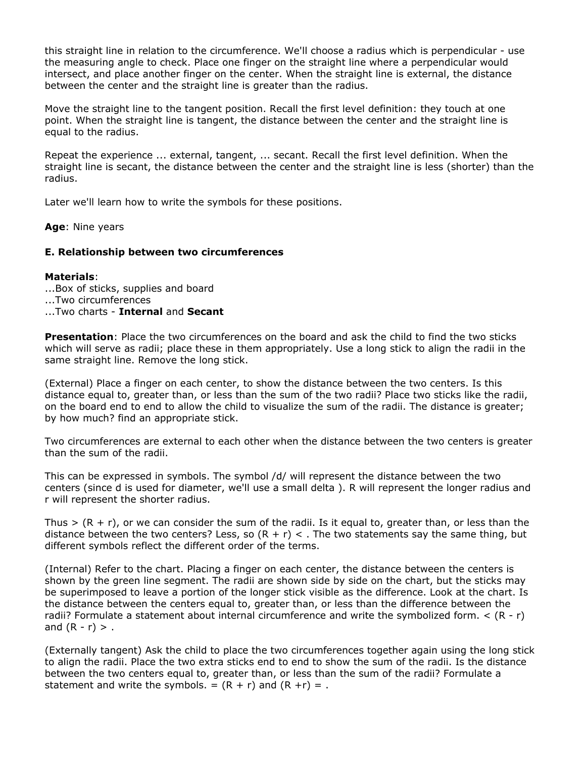this straight line in relation to the circumference. We'll choose a radius which is perpendicular - use the measuring angle to check. Place one finger on the straight line where a perpendicular would intersect, and place another finger on the center. When the straight line is external, the distance between the center and the straight line is greater than the radius.

Move the straight line to the tangent position. Recall the first level definition: they touch at one point. When the straight line is tangent, the distance between the center and the straight line is equal to the radius.

Repeat the experience ... external, tangent, ... secant. Recall the first level definition. When the straight line is secant, the distance between the center and the straight line is less (shorter) than the radius.

Later we'll learn how to write the symbols for these positions.

**Age**: Nine years

#### **E. Relationship between two circumferences**

#### **Materials**:

...Box of sticks, supplies and board

...Two circumferences

#### ...Two charts - **Internal** and **Secant**

**Presentation**: Place the two circumferences on the board and ask the child to find the two sticks which will serve as radii; place these in them appropriately. Use a long stick to align the radii in the same straight line. Remove the long stick.

(External) Place a finger on each center, to show the distance between the two centers. Is this distance equal to, greater than, or less than the sum of the two radii? Place two sticks like the radii, on the board end to end to allow the child to visualize the sum of the radii. The distance is greater; by how much? find an appropriate stick.

Two circumferences are external to each other when the distance between the two centers is greater than the sum of the radii.

This can be expressed in symbols. The symbol /d/ will represent the distance between the two centers (since d is used for diameter, we'll use a small delta ). R will represent the longer radius and r will represent the shorter radius.

Thus  $>(R + r)$ , or we can consider the sum of the radii. Is it equal to, greater than, or less than the distance between the two centers? Less, so  $(R + r) <$ . The two statements say the same thing, but different symbols reflect the different order of the terms.

(Internal) Refer to the chart. Placing a finger on each center, the distance between the centers is shown by the green line segment. The radii are shown side by side on the chart, but the sticks may be superimposed to leave a portion of the longer stick visible as the difference. Look at the chart. Is the distance between the centers equal to, greater than, or less than the difference between the radii? Formulate a statement about internal circumference and write the symbolized form.  $\lt (R - r)$ and  $(R - r) > .$ 

(Externally tangent) Ask the child to place the two circumferences together again using the long stick to align the radii. Place the two extra sticks end to end to show the sum of the radii. Is the distance between the two centers equal to, greater than, or less than the sum of the radii? Formulate a statement and write the symbols. =  $(R + r)$  and  $(R + r) =$ .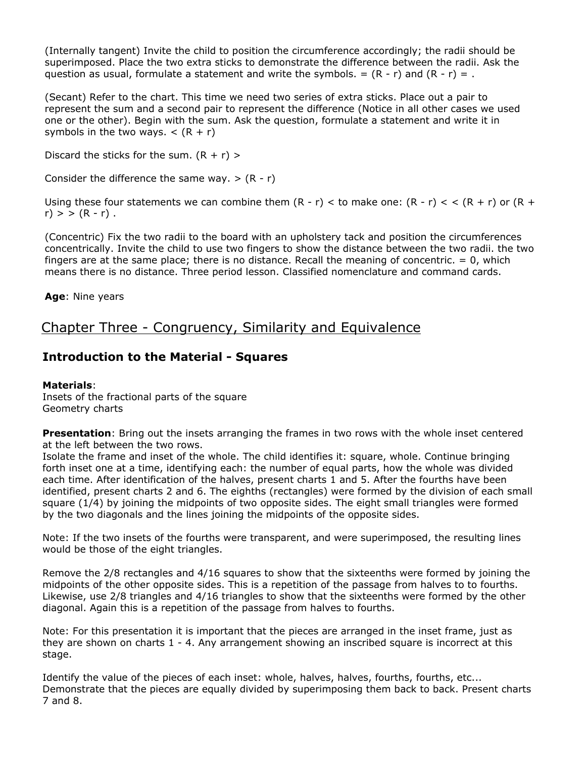(Internally tangent) Invite the child to position the circumference accordingly; the radii should be superimposed. Place the two extra sticks to demonstrate the difference between the radii. Ask the question as usual, formulate a statement and write the symbols. =  $(R - r)$  and  $(R - r) =$ .

(Secant) Refer to the chart. This time we need two series of extra sticks. Place out a pair to represent the sum and a second pair to represent the difference (Notice in all other cases we used one or the other). Begin with the sum. Ask the question, formulate a statement and write it in symbols in the two ways.  $\lt$  (R + r)

Discard the sticks for the sum.  $(R + r)$  >

Consider the difference the same way.  $> (R - r)$ 

Using these four statements we can combine them  $(R - r) <$  to make one:  $(R - r) <$   $(R + r)$  or  $(R + r)$  $r$ ) > >  $(R - r)$ .

(Concentric) Fix the two radii to the board with an upholstery tack and position the circumferences concentrically. Invite the child to use two fingers to show the distance between the two radii. the two fingers are at the same place; there is no distance. Recall the meaning of concentric.  $= 0$ , which means there is no distance. Three period lesson. Classified nomenclature and command cards.

**Age**: Nine years

# Chapter Three - Congruency, Similarity and Equivalence

# **Introduction to the Material - Squares**

# **Materials**:

Insets of the fractional parts of the square Geometry charts

**Presentation**: Bring out the insets arranging the frames in two rows with the whole inset centered at the left between the two rows.

Isolate the frame and inset of the whole. The child identifies it: square, whole. Continue bringing forth inset one at a time, identifying each: the number of equal parts, how the whole was divided each time. After identification of the halves, present charts 1 and 5. After the fourths have been identified, present charts 2 and 6. The eighths (rectangles) were formed by the division of each small square (1/4) by joining the midpoints of two opposite sides. The eight small triangles were formed by the two diagonals and the lines joining the midpoints of the opposite sides.

Note: If the two insets of the fourths were transparent, and were superimposed, the resulting lines would be those of the eight triangles.

Remove the 2/8 rectangles and 4/16 squares to show that the sixteenths were formed by joining the midpoints of the other opposite sides. This is a repetition of the passage from halves to to fourths. Likewise, use 2/8 triangles and 4/16 triangles to show that the sixteenths were formed by the other diagonal. Again this is a repetition of the passage from halves to fourths.

Note: For this presentation it is important that the pieces are arranged in the inset frame, just as they are shown on charts 1 - 4. Any arrangement showing an inscribed square is incorrect at this stage.

Identify the value of the pieces of each inset: whole, halves, halves, fourths, fourths, etc... Demonstrate that the pieces are equally divided by superimposing them back to back. Present charts 7 and 8.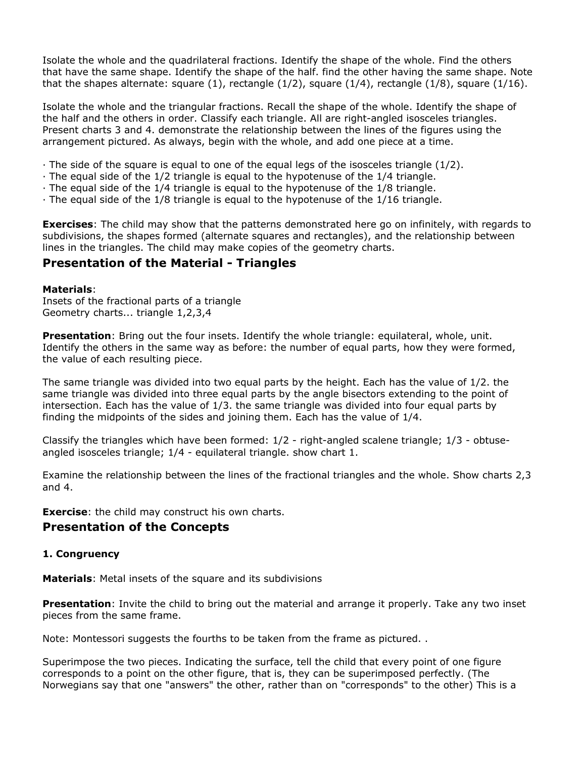Isolate the whole and the quadrilateral fractions. Identify the shape of the whole. Find the others that have the same shape. Identify the shape of the half. find the other having the same shape. Note that the shapes alternate: square  $(1)$ , rectangle  $(1/2)$ , square  $(1/4)$ , rectangle  $(1/8)$ , square  $(1/16)$ .

Isolate the whole and the triangular fractions. Recall the shape of the whole. Identify the shape of the half and the others in order. Classify each triangle. All are right-angled isosceles triangles. Present charts 3 and 4. demonstrate the relationship between the lines of the figures using the arrangement pictured. As always, begin with the whole, and add one piece at a time.

- $\cdot$  The side of the square is equal to one of the equal legs of the isosceles triangle (1/2).
- $\cdot$  The equal side of the 1/2 triangle is equal to the hypotenuse of the 1/4 triangle.
- · The equal side of the 1/4 triangle is equal to the hypotenuse of the 1/8 triangle.
- · The equal side of the 1/8 triangle is equal to the hypotenuse of the 1/16 triangle.

**Exercises**: The child may show that the patterns demonstrated here go on infinitely, with regards to subdivisions, the shapes formed (alternate squares and rectangles), and the relationship between lines in the triangles. The child may make copies of the geometry charts.

# **Presentation of the Material - Triangles**

#### **Materials**:

Insets of the fractional parts of a triangle Geometry charts... triangle 1,2,3,4

**Presentation**: Bring out the four insets. Identify the whole triangle: equilateral, whole, unit. Identify the others in the same way as before: the number of equal parts, how they were formed, the value of each resulting piece.

The same triangle was divided into two equal parts by the height. Each has the value of 1/2. the same triangle was divided into three equal parts by the angle bisectors extending to the point of intersection. Each has the value of 1/3. the same triangle was divided into four equal parts by finding the midpoints of the sides and joining them. Each has the value of 1/4.

Classify the triangles which have been formed: 1/2 - right-angled scalene triangle; 1/3 - obtuseangled isosceles triangle; 1/4 - equilateral triangle. show chart 1.

Examine the relationship between the lines of the fractional triangles and the whole. Show charts 2,3 and 4.

**Exercise:** the child may construct his own charts.

# **Presentation of the Concepts**

#### **1. Congruency**

**Materials**: Metal insets of the square and its subdivisions

**Presentation**: Invite the child to bring out the material and arrange it properly. Take any two inset pieces from the same frame.

Note: Montessori suggests the fourths to be taken from the frame as pictured. .

Superimpose the two pieces. Indicating the surface, tell the child that every point of one figure corresponds to a point on the other figure, that is, they can be superimposed perfectly. (The Norwegians say that one "answers" the other, rather than on "corresponds" to the other) This is a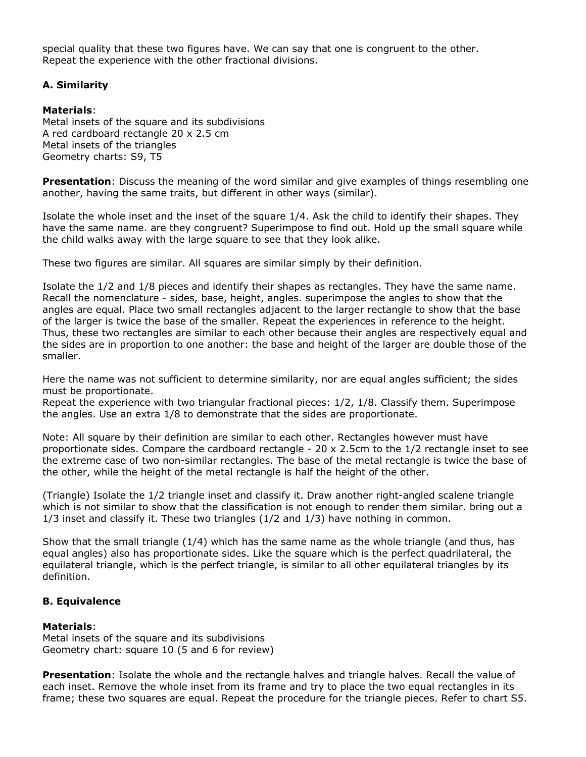special quality that these two figures have. We can say that one is congruent to the other. Repeat the experience with the other fractional divisions.

### **A. Similarity**

#### **Materials**:

Metal insets of the square and its subdivisions A red cardboard rectangle 20 x 2.5 cm Metal insets of the triangles Geometry charts: S9, T5

**Presentation**: Discuss the meaning of the word similar and give examples of things resembling one another, having the same traits, but different in other ways (similar).

Isolate the whole inset and the inset of the square 1/4. Ask the child to identify their shapes. They have the same name. are they congruent? Superimpose to find out. Hold up the small square while the child walks away with the large square to see that they look alike.

These two figures are similar. All squares are similar simply by their definition.

Isolate the 1/2 and 1/8 pieces and identify their shapes as rectangles. They have the same name. Recall the nomenclature - sides, base, height, angles. superimpose the angles to show that the angles are equal. Place two small rectangles adjacent to the larger rectangle to show that the base of the larger is twice the base of the smaller. Repeat the experiences in reference to the height. Thus, these two rectangles are similar to each other because their angles are respectively equal and the sides are in proportion to one another: the base and height of the larger are double those of the smaller.

Here the name was not sufficient to determine similarity, nor are equal angles sufficient; the sides must be proportionate.

Repeat the experience with two triangular fractional pieces: 1/2, 1/8. Classify them. Superimpose the angles. Use an extra 1/8 to demonstrate that the sides are proportionate.

Note: All square by their definition are similar to each other. Rectangles however must have proportionate sides. Compare the cardboard rectangle - 20 x 2.5cm to the 1/2 rectangle inset to see the extreme case of two non-similar rectangles. The base of the metal rectangle is twice the base of the other, while the height of the metal rectangle is half the height of the other.

(Triangle) Isolate the 1/2 triangle inset and classify it. Draw another right-angled scalene triangle which is not similar to show that the classification is not enough to render them similar. bring out a 1/3 inset and classify it. These two triangles (1/2 and 1/3) have nothing in common.

Show that the small triangle (1/4) which has the same name as the whole triangle (and thus, has equal angles) also has proportionate sides. Like the square which is the perfect quadrilateral, the equilateral triangle, which is the perfect triangle, is similar to all other equilateral triangles by its definition.

### **B. Equivalence**

#### **Materials**:

Metal insets of the square and its subdivisions Geometry chart: square 10 (5 and 6 for review)

**Presentation**: Isolate the whole and the rectangle halves and triangle halves. Recall the value of each inset. Remove the whole inset from its frame and try to place the two equal rectangles in its frame; these two squares are equal. Repeat the procedure for the triangle pieces. Refer to chart S5.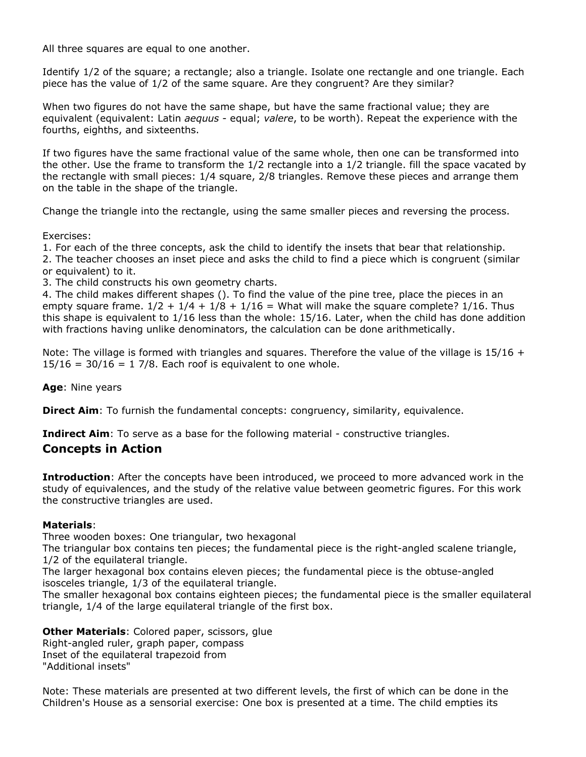All three squares are equal to one another.

Identify 1/2 of the square; a rectangle; also a triangle. Isolate one rectangle and one triangle. Each piece has the value of 1/2 of the same square. Are they congruent? Are they similar?

When two figures do not have the same shape, but have the same fractional value; they are equivalent (equivalent: Latin *aequus* - equal; *valere*, to be worth). Repeat the experience with the fourths, eighths, and sixteenths.

If two figures have the same fractional value of the same whole, then one can be transformed into the other. Use the frame to transform the 1/2 rectangle into a 1/2 triangle. fill the space vacated by the rectangle with small pieces: 1/4 square, 2/8 triangles. Remove these pieces and arrange them on the table in the shape of the triangle.

Change the triangle into the rectangle, using the same smaller pieces and reversing the process.

Exercises:

1. For each of the three concepts, ask the child to identify the insets that bear that relationship.

2. The teacher chooses an inset piece and asks the child to find a piece which is congruent (similar or equivalent) to it.

3. The child constructs his own geometry charts.

4. The child makes different shapes (). To find the value of the pine tree, place the pieces in an empty square frame.  $1/2 + 1/4 + 1/8 + 1/16 =$  What will make the square complete?  $1/16$ . Thus this shape is equivalent to 1/16 less than the whole: 15/16. Later, when the child has done addition with fractions having unlike denominators, the calculation can be done arithmetically.

Note: The village is formed with triangles and squares. Therefore the value of the village is  $15/16 +$  $15/16 = 30/16 = 1$  7/8. Each roof is equivalent to one whole.

**Age**: Nine years

**Direct Aim**: To furnish the fundamental concepts: congruency, similarity, equivalence.

**Indirect Aim**: To serve as a base for the following material - constructive triangles.

# **Concepts in Action**

**Introduction**: After the concepts have been introduced, we proceed to more advanced work in the study of equivalences, and the study of the relative value between geometric figures. For this work the constructive triangles are used.

# **Materials**:

Three wooden boxes: One triangular, two hexagonal

The triangular box contains ten pieces; the fundamental piece is the right-angled scalene triangle, 1/2 of the equilateral triangle.

The larger hexagonal box contains eleven pieces; the fundamental piece is the obtuse-angled isosceles triangle, 1/3 of the equilateral triangle.

The smaller hexagonal box contains eighteen pieces; the fundamental piece is the smaller equilateral triangle, 1/4 of the large equilateral triangle of the first box.

**Other Materials**: Colored paper, scissors, glue Right-angled ruler, graph paper, compass Inset of the equilateral trapezoid from "Additional insets"

Note: These materials are presented at two different levels, the first of which can be done in the Children's House as a sensorial exercise: One box is presented at a time. The child empties its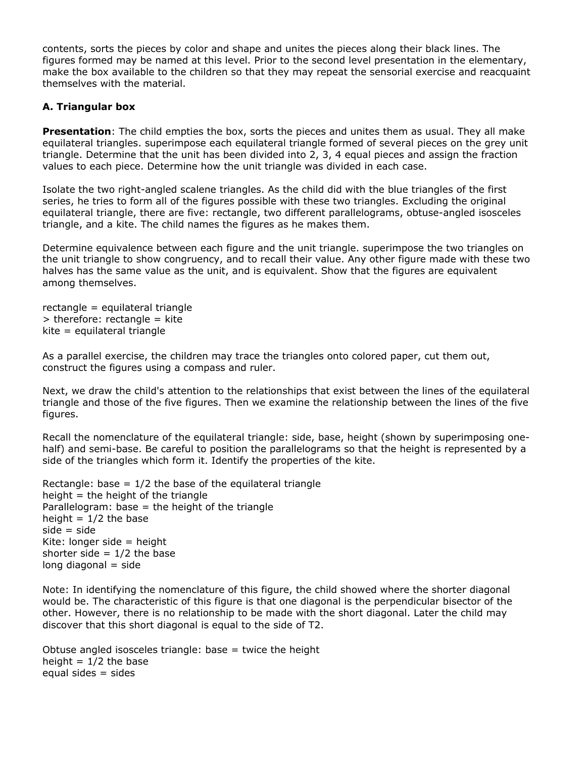contents, sorts the pieces by color and shape and unites the pieces along their black lines. The figures formed may be named at this level. Prior to the second level presentation in the elementary, make the box available to the children so that they may repeat the sensorial exercise and reacquaint themselves with the material.

### **A. Triangular box**

**Presentation**: The child empties the box, sorts the pieces and unites them as usual. They all make equilateral triangles. superimpose each equilateral triangle formed of several pieces on the grey unit triangle. Determine that the unit has been divided into 2, 3, 4 equal pieces and assign the fraction values to each piece. Determine how the unit triangle was divided in each case.

Isolate the two right-angled scalene triangles. As the child did with the blue triangles of the first series, he tries to form all of the figures possible with these two triangles. Excluding the original equilateral triangle, there are five: rectangle, two different parallelograms, obtuse-angled isosceles triangle, and a kite. The child names the figures as he makes them.

Determine equivalence between each figure and the unit triangle. superimpose the two triangles on the unit triangle to show congruency, and to recall their value. Any other figure made with these two halves has the same value as the unit, and is equivalent. Show that the figures are equivalent among themselves.

rectangle = equilateral triangle  $>$  therefore: rectangle = kite kite = equilateral triangle

As a parallel exercise, the children may trace the triangles onto colored paper, cut them out, construct the figures using a compass and ruler.

Next, we draw the child's attention to the relationships that exist between the lines of the equilateral triangle and those of the five figures. Then we examine the relationship between the lines of the five figures.

Recall the nomenclature of the equilateral triangle: side, base, height (shown by superimposing onehalf) and semi-base. Be careful to position the parallelograms so that the height is represented by a side of the triangles which form it. Identify the properties of the kite.

Rectangle: base  $= 1/2$  the base of the equilateral triangle height  $=$  the height of the triangle Parallelogram: base  $=$  the height of the triangle height  $= 1/2$  the base  $side = side$ Kite: longer side = height shorter side  $= 1/2$  the base  $long$  diagonal  $=$  side

Note: In identifying the nomenclature of this figure, the child showed where the shorter diagonal would be. The characteristic of this figure is that one diagonal is the perpendicular bisector of the other. However, there is no relationship to be made with the short diagonal. Later the child may discover that this short diagonal is equal to the side of T2.

Obtuse angled isosceles triangle: base  $=$  twice the height height =  $1/2$  the base equal sides  $=$  sides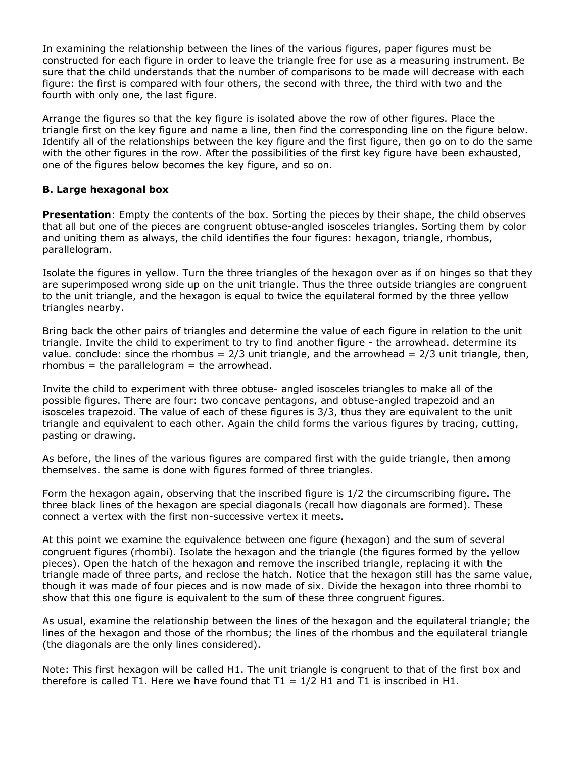In examining the relationship between the lines of the various figures, paper figures must be constructed for each figure in order to leave the triangle free for use as a measuring instrument. Be sure that the child understands that the number of comparisons to be made will decrease with each figure: the first is compared with four others, the second with three, the third with two and the fourth with only one, the last figure.

Arrange the figures so that the key figure is isolated above the row of other figures. Place the triangle first on the key figure and name a line, then find the corresponding line on the figure below. Identify all of the relationships between the key figure and the first figure, then go on to do the same with the other figures in the row. After the possibilities of the first key figure have been exhausted, one of the figures below becomes the key figure, and so on.

### **B. Large hexagonal box**

**Presentation**: Empty the contents of the box. Sorting the pieces by their shape, the child observes that all but one of the pieces are congruent obtuse-angled isosceles triangles. Sorting them by color and uniting them as always, the child identifies the four figures: hexagon, triangle, rhombus, parallelogram.

Isolate the figures in yellow. Turn the three triangles of the hexagon over as if on hinges so that they are superimposed wrong side up on the unit triangle. Thus the three outside triangles are congruent to the unit triangle, and the hexagon is equal to twice the equilateral formed by the three yellow triangles nearby.

Bring back the other pairs of triangles and determine the value of each figure in relation to the unit triangle. Invite the child to experiment to try to find another figure - the arrowhead. determine its value. conclude: since the rhombus =  $2/3$  unit triangle, and the arrowhead =  $2/3$  unit triangle, then,  $r$ hombus = the parallelogram = the arrowhead.

Invite the child to experiment with three obtuse- angled isosceles triangles to make all of the possible figures. There are four: two concave pentagons, and obtuse-angled trapezoid and an isosceles trapezoid. The value of each of these figures is 3/3, thus they are equivalent to the unit triangle and equivalent to each other. Again the child forms the various figures by tracing, cutting, pasting or drawing.

As before, the lines of the various figures are compared first with the guide triangle, then among themselves. the same is done with figures formed of three triangles.

Form the hexagon again, observing that the inscribed figure is 1/2 the circumscribing figure. The three black lines of the hexagon are special diagonals (recall how diagonals are formed). These connect a vertex with the first non-successive vertex it meets.

At this point we examine the equivalence between one figure (hexagon) and the sum of several congruent figures (rhombi). Isolate the hexagon and the triangle (the figures formed by the yellow pieces). Open the hatch of the hexagon and remove the inscribed triangle, replacing it with the triangle made of three parts, and reclose the hatch. Notice that the hexagon still has the same value, though it was made of four pieces and is now made of six. Divide the hexagon into three rhombi to show that this one figure is equivalent to the sum of these three congruent figures.

As usual, examine the relationship between the lines of the hexagon and the equilateral triangle; the lines of the hexagon and those of the rhombus; the lines of the rhombus and the equilateral triangle (the diagonals are the only lines considered).

Note: This first hexagon will be called H1. The unit triangle is congruent to that of the first box and therefore is called T1. Here we have found that  $T1 = 1/2$  H1 and T1 is inscribed in H1.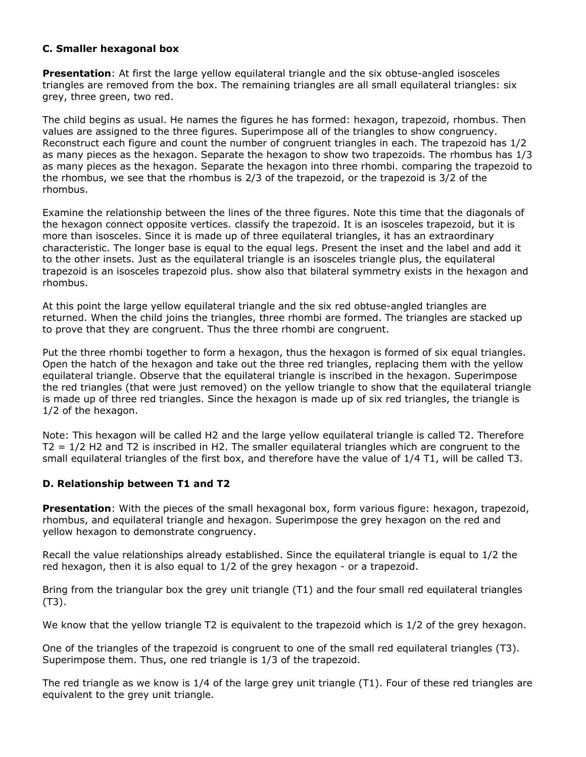### **C. Smaller hexagonal box**

**Presentation**: At first the large yellow equilateral triangle and the six obtuse-angled isosceles triangles are removed from the box. The remaining triangles are all small equilateral triangles: six grey, three green, two red.

The child begins as usual. He names the figures he has formed: hexagon, trapezoid, rhombus. Then values are assigned to the three figures. Superimpose all of the triangles to show congruency. Reconstruct each figure and count the number of congruent triangles in each. The trapezoid has 1/2 as many pieces as the hexagon. Separate the hexagon to show two trapezoids. The rhombus has 1/3 as many pieces as the hexagon. Separate the hexagon into three rhombi. comparing the trapezoid to the rhombus, we see that the rhombus is 2/3 of the trapezoid, or the trapezoid is 3/2 of the rhombus.

Examine the relationship between the lines of the three figures. Note this time that the diagonals of the hexagon connect opposite vertices. classify the trapezoid. It is an isosceles trapezoid, but it is more than isosceles. Since it is made up of three equilateral triangles, it has an extraordinary characteristic. The longer base is equal to the equal legs. Present the inset and the label and add it to the other insets. Just as the equilateral triangle is an isosceles triangle plus, the equilateral trapezoid is an isosceles trapezoid plus. show also that bilateral symmetry exists in the hexagon and rhombus.

At this point the large yellow equilateral triangle and the six red obtuse-angled triangles are returned. When the child joins the triangles, three rhombi are formed. The triangles are stacked up to prove that they are congruent. Thus the three rhombi are congruent.

Put the three rhombi together to form a hexagon, thus the hexagon is formed of six equal triangles. Open the hatch of the hexagon and take out the three red triangles, replacing them with the yellow equilateral triangle. Observe that the equilateral triangle is inscribed in the hexagon. Superimpose the red triangles (that were just removed) on the yellow triangle to show that the equilateral triangle is made up of three red triangles. Since the hexagon is made up of six red triangles, the triangle is 1/2 of the hexagon.

Note: This hexagon will be called H2 and the large yellow equilateral triangle is called T2. Therefore  $T2 = 1/2$  H2 and T2 is inscribed in H2. The smaller equilateral triangles which are congruent to the small equilateral triangles of the first box, and therefore have the value of 1/4 T1, will be called T3.

# **D. Relationship between T1 and T2**

**Presentation**: With the pieces of the small hexagonal box, form various figure: hexagon, trapezoid, rhombus, and equilateral triangle and hexagon. Superimpose the grey hexagon on the red and yellow hexagon to demonstrate congruency.

Recall the value relationships already established. Since the equilateral triangle is equal to 1/2 the red hexagon, then it is also equal to 1/2 of the grey hexagon - or a trapezoid.

Bring from the triangular box the grey unit triangle (T1) and the four small red equilateral triangles (T3).

We know that the yellow triangle T2 is equivalent to the trapezoid which is 1/2 of the grey hexagon.

One of the triangles of the trapezoid is congruent to one of the small red equilateral triangles (T3). Superimpose them. Thus, one red triangle is 1/3 of the trapezoid.

The red triangle as we know is 1/4 of the large grey unit triangle (T1). Four of these red triangles are equivalent to the grey unit triangle.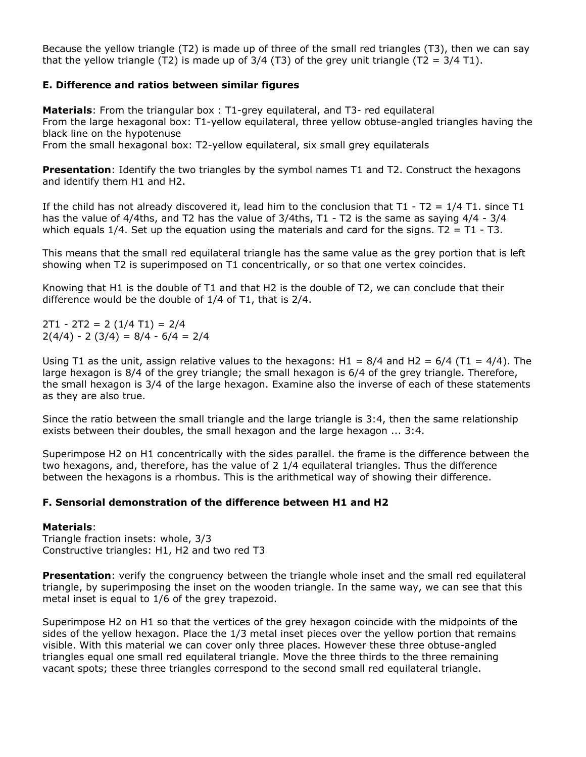Because the yellow triangle (T2) is made up of three of the small red triangles (T3), then we can say that the yellow triangle (T2) is made up of  $3/4$  (T3) of the grey unit triangle (T2 =  $3/4$  T1).

#### **E. Difference and ratios between similar figures**

**Materials**: From the triangular box : T1-grey equilateral, and T3- red equilateral From the large hexagonal box: T1-yellow equilateral, three yellow obtuse-angled triangles having the black line on the hypotenuse

From the small hexagonal box: T2-yellow equilateral, six small grey equilaterals

**Presentation**: Identify the two triangles by the symbol names T1 and T2. Construct the hexagons and identify them H1 and H2.

If the child has not already discovered it, lead him to the conclusion that  $T1 - T2 = 1/4 T1$ , since T1 has the value of 4/4ths, and T2 has the value of 3/4ths, T1 - T2 is the same as saying 4/4 - 3/4 which equals  $1/4$ . Set up the equation using the materials and card for the signs. T2 = T1 - T3.

This means that the small red equilateral triangle has the same value as the grey portion that is left showing when T2 is superimposed on T1 concentrically, or so that one vertex coincides.

Knowing that H1 is the double of T1 and that H2 is the double of T2, we can conclude that their difference would be the double of 1/4 of T1, that is 2/4.

2T1 - 2T2 = 2 (1/4 T1) = 2/4  $2(4/4) - 2(3/4) = 8/4 - 6/4 = 2/4$ 

Using T1 as the unit, assign relative values to the hexagons: H1 =  $8/4$  and H2 =  $6/4$  (T1 =  $4/4$ ). The large hexagon is 8/4 of the grey triangle; the small hexagon is 6/4 of the grey triangle. Therefore, the small hexagon is 3/4 of the large hexagon. Examine also the inverse of each of these statements as they are also true.

Since the ratio between the small triangle and the large triangle is 3:4, then the same relationship exists between their doubles, the small hexagon and the large hexagon ... 3:4.

Superimpose H2 on H1 concentrically with the sides parallel. the frame is the difference between the two hexagons, and, therefore, has the value of 2 1/4 equilateral triangles. Thus the difference between the hexagons is a rhombus. This is the arithmetical way of showing their difference.

#### **F. Sensorial demonstration of the difference between H1 and H2**

#### **Materials**:

Triangle fraction insets: whole, 3/3 Constructive triangles: H1, H2 and two red T3

**Presentation**: verify the congruency between the triangle whole inset and the small red equilateral triangle, by superimposing the inset on the wooden triangle. In the same way, we can see that this metal inset is equal to 1/6 of the grey trapezoid.

Superimpose H2 on H1 so that the vertices of the grey hexagon coincide with the midpoints of the sides of the yellow hexagon. Place the 1/3 metal inset pieces over the yellow portion that remains visible. With this material we can cover only three places. However these three obtuse-angled triangles equal one small red equilateral triangle. Move the three thirds to the three remaining vacant spots; these three triangles correspond to the second small red equilateral triangle.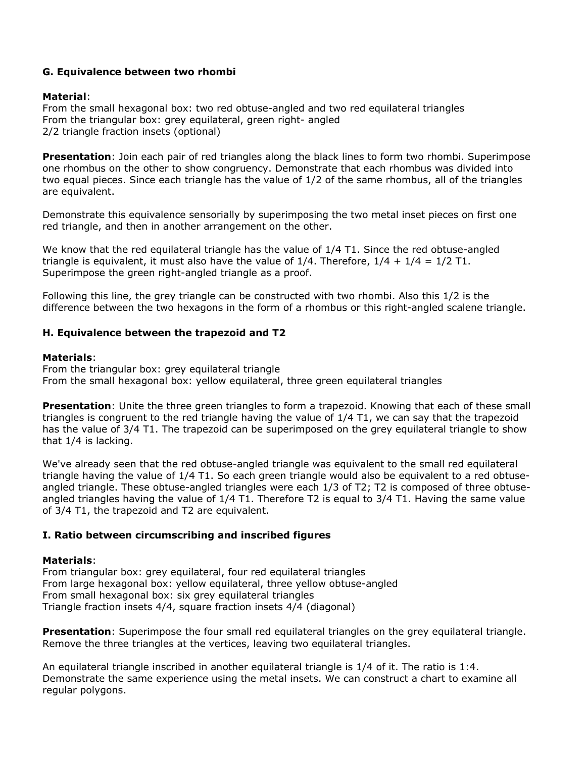#### **G. Equivalence between two rhombi**

#### **Material**:

From the small hexagonal box: two red obtuse-angled and two red equilateral triangles From the triangular box: grey equilateral, green right- angled 2/2 triangle fraction insets (optional)

**Presentation**: Join each pair of red triangles along the black lines to form two rhombi. Superimpose one rhombus on the other to show congruency. Demonstrate that each rhombus was divided into two equal pieces. Since each triangle has the value of 1/2 of the same rhombus, all of the triangles are equivalent.

Demonstrate this equivalence sensorially by superimposing the two metal inset pieces on first one red triangle, and then in another arrangement on the other.

We know that the red equilateral triangle has the value of 1/4 T1. Since the red obtuse-angled triangle is equivalent, it must also have the value of  $1/4$ . Therefore,  $1/4 + 1/4 = 1/2$  T1. Superimpose the green right-angled triangle as a proof.

Following this line, the grey triangle can be constructed with two rhombi. Also this 1/2 is the difference between the two hexagons in the form of a rhombus or this right-angled scalene triangle.

#### **H. Equivalence between the trapezoid and T2**

#### **Materials**:

From the triangular box: grey equilateral triangle From the small hexagonal box: yellow equilateral, three green equilateral triangles

**Presentation**: Unite the three green triangles to form a trapezoid. Knowing that each of these small triangles is congruent to the red triangle having the value of 1/4 T1, we can say that the trapezoid has the value of 3/4 T1. The trapezoid can be superimposed on the grey equilateral triangle to show that 1/4 is lacking.

We've already seen that the red obtuse-angled triangle was equivalent to the small red equilateral triangle having the value of 1/4 T1. So each green triangle would also be equivalent to a red obtuseangled triangle. These obtuse-angled triangles were each 1/3 of T2; T2 is composed of three obtuseangled triangles having the value of 1/4 T1. Therefore T2 is equal to 3/4 T1. Having the same value of 3/4 T1, the trapezoid and T2 are equivalent.

#### **I. Ratio between circumscribing and inscribed figures**

#### **Materials**:

From triangular box: grey equilateral, four red equilateral triangles From large hexagonal box: yellow equilateral, three yellow obtuse-angled From small hexagonal box: six grey equilateral triangles Triangle fraction insets 4/4, square fraction insets 4/4 (diagonal)

**Presentation**: Superimpose the four small red equilateral triangles on the grey equilateral triangle. Remove the three triangles at the vertices, leaving two equilateral triangles.

An equilateral triangle inscribed in another equilateral triangle is 1/4 of it. The ratio is 1:4. Demonstrate the same experience using the metal insets. We can construct a chart to examine all regular polygons.